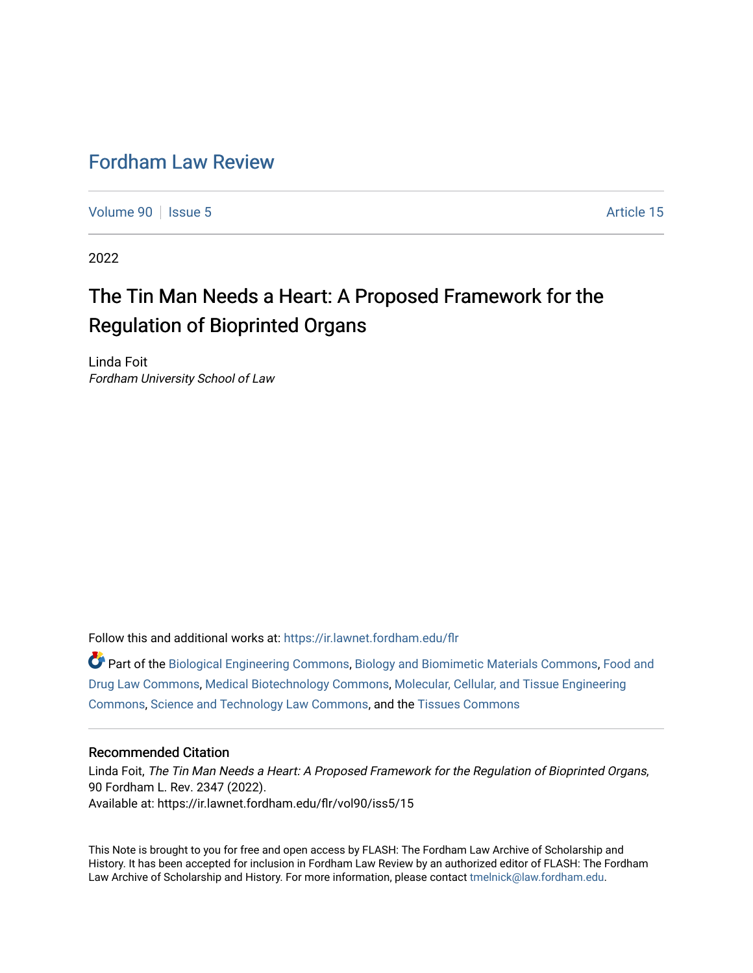## [Fordham Law Review](https://ir.lawnet.fordham.edu/flr)

[Volume 90](https://ir.lawnet.fordham.edu/flr/vol90) | [Issue 5](https://ir.lawnet.fordham.edu/flr/vol90/iss5) Article 15

2022

# The Tin Man Needs a Heart: A Proposed Framework for the Regulation of Bioprinted Organs

Linda Foit Fordham University School of Law

Follow this and additional works at: [https://ir.lawnet.fordham.edu/flr](https://ir.lawnet.fordham.edu/flr?utm_source=ir.lawnet.fordham.edu%2Fflr%2Fvol90%2Fiss5%2F15&utm_medium=PDF&utm_campaign=PDFCoverPages)

Part of the [Biological Engineering Commons](http://network.bepress.com/hgg/discipline/230?utm_source=ir.lawnet.fordham.edu%2Fflr%2Fvol90%2Fiss5%2F15&utm_medium=PDF&utm_campaign=PDFCoverPages), [Biology and Biomimetic Materials Commons](http://network.bepress.com/hgg/discipline/286?utm_source=ir.lawnet.fordham.edu%2Fflr%2Fvol90%2Fiss5%2F15&utm_medium=PDF&utm_campaign=PDFCoverPages), [Food and](http://network.bepress.com/hgg/discipline/844?utm_source=ir.lawnet.fordham.edu%2Fflr%2Fvol90%2Fiss5%2F15&utm_medium=PDF&utm_campaign=PDFCoverPages) [Drug Law Commons](http://network.bepress.com/hgg/discipline/844?utm_source=ir.lawnet.fordham.edu%2Fflr%2Fvol90%2Fiss5%2F15&utm_medium=PDF&utm_campaign=PDFCoverPages), [Medical Biotechnology Commons,](http://network.bepress.com/hgg/discipline/989?utm_source=ir.lawnet.fordham.edu%2Fflr%2Fvol90%2Fiss5%2F15&utm_medium=PDF&utm_campaign=PDFCoverPages) [Molecular, Cellular, and Tissue Engineering](http://network.bepress.com/hgg/discipline/236?utm_source=ir.lawnet.fordham.edu%2Fflr%2Fvol90%2Fiss5%2F15&utm_medium=PDF&utm_campaign=PDFCoverPages)  [Commons](http://network.bepress.com/hgg/discipline/236?utm_source=ir.lawnet.fordham.edu%2Fflr%2Fvol90%2Fiss5%2F15&utm_medium=PDF&utm_campaign=PDFCoverPages), [Science and Technology Law Commons,](http://network.bepress.com/hgg/discipline/875?utm_source=ir.lawnet.fordham.edu%2Fflr%2Fvol90%2Fiss5%2F15&utm_medium=PDF&utm_campaign=PDFCoverPages) and the [Tissues Commons](http://network.bepress.com/hgg/discipline/1005?utm_source=ir.lawnet.fordham.edu%2Fflr%2Fvol90%2Fiss5%2F15&utm_medium=PDF&utm_campaign=PDFCoverPages) 

#### Recommended Citation

Linda Foit, The Tin Man Needs a Heart: A Proposed Framework for the Regulation of Bioprinted Organs, 90 Fordham L. Rev. 2347 (2022). Available at: https://ir.lawnet.fordham.edu/flr/vol90/iss5/15

This Note is brought to you for free and open access by FLASH: The Fordham Law Archive of Scholarship and History. It has been accepted for inclusion in Fordham Law Review by an authorized editor of FLASH: The Fordham Law Archive of Scholarship and History. For more information, please contact [tmelnick@law.fordham.edu](mailto:tmelnick@law.fordham.edu).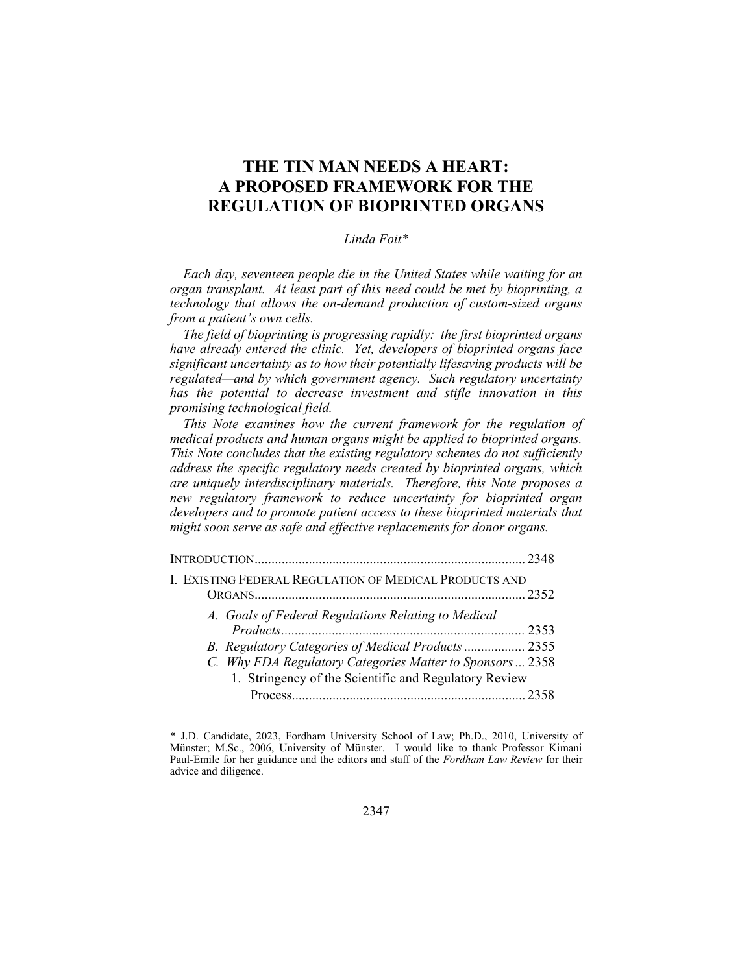### THE TIN MAN NEEDS A HEART: A PROPOSED FRAMEWORK FOR THE REGULATION OF BIOPRINTED ORGANS

#### Linda Foit\*

Each day, seventeen people die in the United States while waiting for an organ transplant. At least part of this need could be met by bioprinting, a technology that allows the on-demand production of custom-sized organs from a patient's own cells.

The field of bioprinting is progressing rapidly: the first bioprinted organs have already entered the clinic. Yet, developers of bioprinted organs face significant uncertainty as to how their potentially lifesaving products will be regulated—and by which government agency. Such regulatory uncertainty has the potential to decrease investment and stifle innovation in this promising technological field.

This Note examines how the current framework for the regulation of medical products and human organs might be applied to bioprinted organs. This Note concludes that the existing regulatory schemes do not sufficiently address the specific regulatory needs created by bioprinted organs, which are uniquely interdisciplinary materials. Therefore, this Note proposes a new regulatory framework to reduce uncertainty for bioprinted organ developers and to promote patient access to these bioprinted materials that might soon serve as safe and effective replacements for donor organs.

| I. EXISTING FEDERAL REGULATION OF MEDICAL PRODUCTS AND                                                                                                                                                                          | . 2352 |
|---------------------------------------------------------------------------------------------------------------------------------------------------------------------------------------------------------------------------------|--------|
| A. Goals of Federal Regulations Relating to Medical<br>B. Regulatory Categories of Medical Products  2355<br>C. Why FDA Regulatory Categories Matter to Sponsors  2358<br>1. Stringency of the Scientific and Regulatory Review |        |
|                                                                                                                                                                                                                                 |        |

<sup>\*</sup> J.D. Candidate, 2023, Fordham University School of Law; Ph.D., 2010, University of Münster; M.Sc., 2006, University of Münster. I would like to thank Professor Kimani Paul-Emile for her guidance and the editors and staff of the Fordham Law Review for their advice and diligence.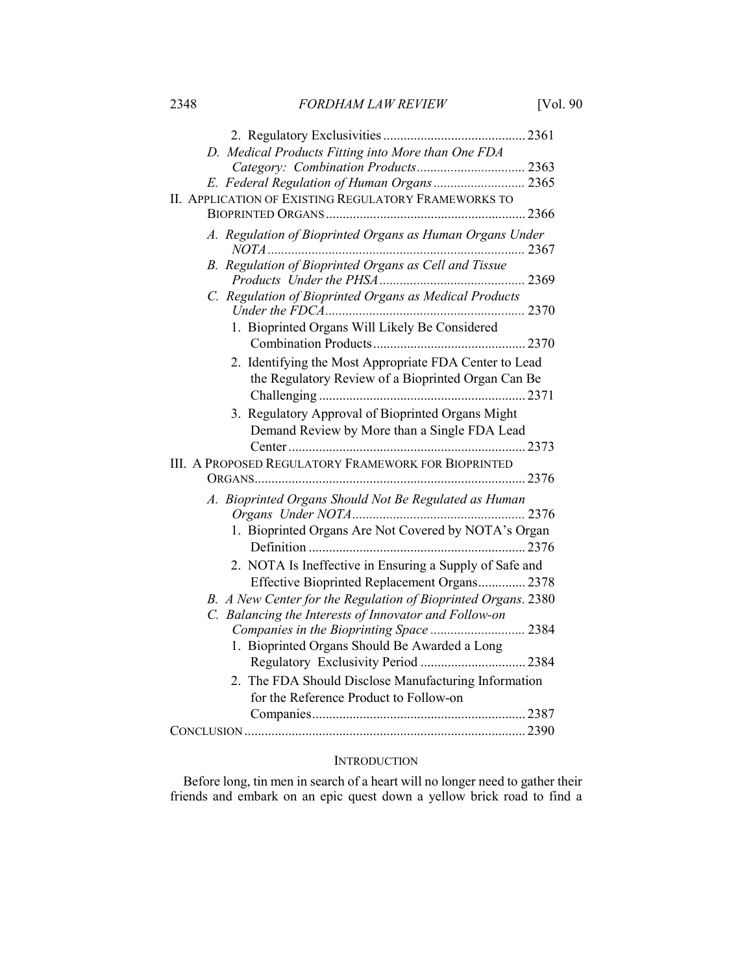| D. Medical Products Fitting into More than One FDA                                        |  |
|-------------------------------------------------------------------------------------------|--|
|                                                                                           |  |
| E. Federal Regulation of Human Organs 2365                                                |  |
| II. APPLICATION OF EXISTING REGULATORY FRAMEWORKS TO                                      |  |
|                                                                                           |  |
| A. Regulation of Bioprinted Organs as Human Organs Under                                  |  |
| B. Regulation of Bioprinted Organs as Cell and Tissue                                     |  |
| C. Regulation of Bioprinted Organs as Medical Products                                    |  |
| 1. Bioprinted Organs Will Likely Be Considered                                            |  |
|                                                                                           |  |
| 2. Identifying the Most Appropriate FDA Center to Lead                                    |  |
| the Regulatory Review of a Bioprinted Organ Can Be                                        |  |
|                                                                                           |  |
| 3. Regulatory Approval of Bioprinted Organs Might                                         |  |
| Demand Review by More than a Single FDA Lead                                              |  |
|                                                                                           |  |
| <b>III. A PROPOSED REGULATORY FRAMEWORK FOR BIOPRINTED</b>                                |  |
|                                                                                           |  |
| A. Bioprinted Organs Should Not Be Regulated as Human                                     |  |
|                                                                                           |  |
| 1. Bioprinted Organs Are Not Covered by NOTA's Organ                                      |  |
|                                                                                           |  |
| 2. NOTA Is Ineffective in Ensuring a Supply of Safe and                                   |  |
| Effective Bioprinted Replacement Organs 2378                                              |  |
| B. A New Center for the Regulation of Bioprinted Organs. 2380                             |  |
| C. Balancing the Interests of Innovator and Follow-on                                     |  |
| Companies in the Bioprinting Space  2384<br>1. Bioprinted Organs Should Be Awarded a Long |  |
|                                                                                           |  |
| 2. The FDA Should Disclose Manufacturing Information                                      |  |
| for the Reference Product to Follow-on                                                    |  |
|                                                                                           |  |
|                                                                                           |  |
|                                                                                           |  |

#### INTRODUCTION

Before long, tin men in search of a heart will no longer need to gather their friends and embark on an epic quest down a yellow brick road to find a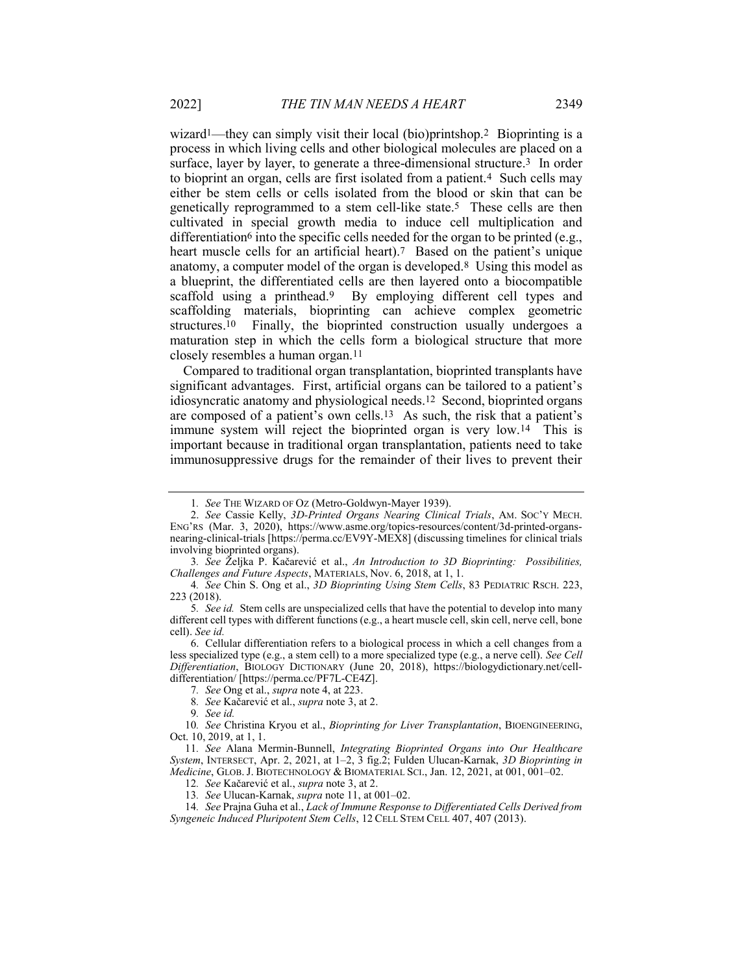wizard<sup>1</sup>—they can simply visit their local (bio)printshop.<sup>2</sup> Bioprinting is a process in which living cells and other biological molecules are placed on a surface, layer by layer, to generate a three-dimensional structure.3 In order to bioprint an organ, cells are first isolated from a patient.4 Such cells may either be stem cells or cells isolated from the blood or skin that can be genetically reprogrammed to a stem cell-like state.5 These cells are then cultivated in special growth media to induce cell multiplication and differentiation<sup>6</sup> into the specific cells needed for the organ to be printed (e.g., heart muscle cells for an artificial heart).<sup>7</sup> Based on the patient's unique anatomy, a computer model of the organ is developed.8 Using this model as a blueprint, the differentiated cells are then layered onto a biocompatible scaffold using a printhead.9 By employing different cell types and scaffolding materials, bioprinting can achieve complex geometric structures.10 Finally, the bioprinted construction usually undergoes a maturation step in which the cells form a biological structure that more closely resembles a human organ.11

Compared to traditional organ transplantation, bioprinted transplants have significant advantages. First, artificial organs can be tailored to a patient's idiosyncratic anatomy and physiological needs.12 Second, bioprinted organs are composed of a patient's own cells.13 As such, the risk that a patient's immune system will reject the bioprinted organ is very low.14 This is important because in traditional organ transplantation, patients need to take immunosuppressive drugs for the remainder of their lives to prevent their

<sup>1</sup>. See THE WIZARD OF OZ (Metro-Goldwyn-Mayer 1939).

<sup>2.</sup> See Cassie Kelly, 3D-Printed Organs Nearing Clinical Trials, AM. Soc'y MECH. ENG'RS (Mar. 3, 2020), https://www.asme.org/topics-resources/content/3d-printed-organsnearing-clinical-trials [https://perma.cc/EV9Y-MEX8] (discussing timelines for clinical trials involving bioprinted organs).

<sup>3</sup>. See Željka P. Kačarević et al., An Introduction to 3D Bioprinting: Possibilities, Challenges and Future Aspects, MATERIALS, Nov. 6, 2018, at 1, 1.

<sup>4.</sup> See Chin S. Ong et al., 3D Bioprinting Using Stem Cells, 83 PEDIATRIC RSCH. 223, 223 (2018).

<sup>5.</sup> See id. Stem cells are unspecialized cells that have the potential to develop into many different cell types with different functions (e.g., a heart muscle cell, skin cell, nerve cell, bone cell). See id.

 <sup>6.</sup> Cellular differentiation refers to a biological process in which a cell changes from a less specialized type (e.g., a stem cell) to a more specialized type (e.g., a nerve cell). See Cell Differentiation, BIOLOGY DICTIONARY (June 20, 2018), https://biologydictionary.net/celldifferentiation/ [https://perma.cc/PF7L-CE4Z].

<sup>7</sup>. See Ong et al., supra note 4, at 223.

<sup>8.</sup> See Kačarević et al., *supra* note 3, at 2.

<sup>9</sup>. See id.

<sup>10.</sup> See Christina Kryou et al., *Bioprinting for Liver Transplantation*, BIOENGINEERING, Oct. 10, 2019, at 1, 1.

<sup>11</sup>. See Alana Mermin-Bunnell, Integrating Bioprinted Organs into Our Healthcare System, INTERSECT, Apr. 2, 2021, at 1–2, 3 fig.2; Fulden Ulucan-Karnak, 3D Bioprinting in Medicine, GLOB. J. BIOTECHNOLOGY & BIOMATERIAL SCI., Jan. 12, 2021, at 001, 001-02.

<sup>12</sup>. See Kačarević et al., supra note 3, at 2.

<sup>13</sup>. See Ulucan-Karnak, supra note 11, at 001–02.

<sup>14</sup>. See Prajna Guha et al., Lack of Immune Response to Differentiated Cells Derived from Syngeneic Induced Pluripotent Stem Cells, 12 CELL STEM CELL 407, 407 (2013).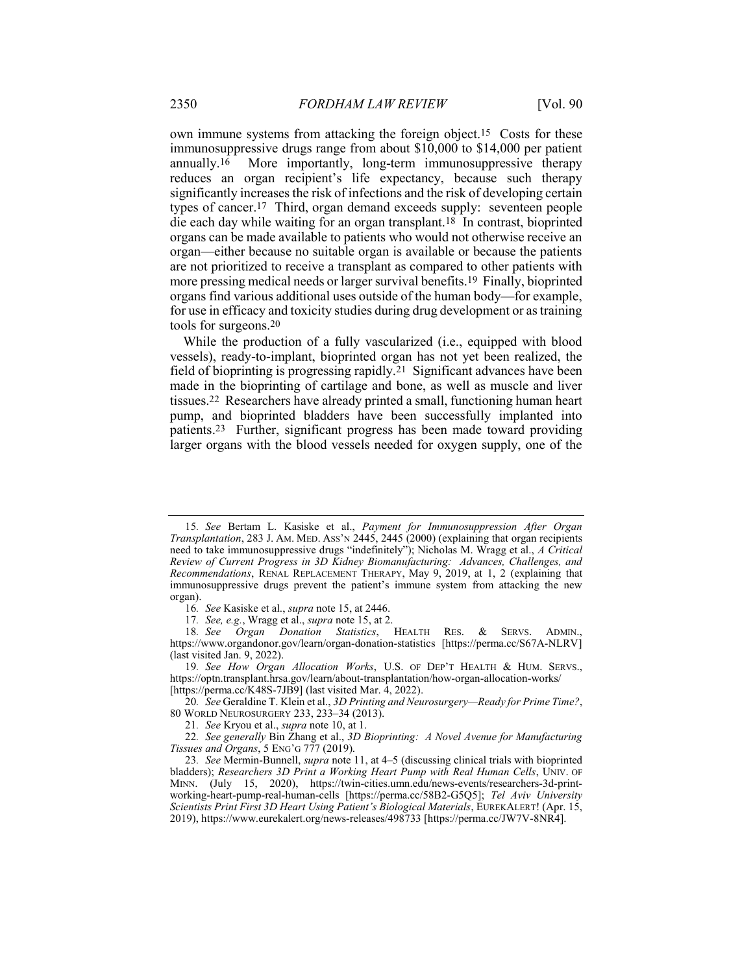own immune systems from attacking the foreign object.15 Costs for these immunosuppressive drugs range from about \$10,000 to \$14,000 per patient annually.16 More importantly, long-term immunosuppressive therapy reduces an organ recipient's life expectancy, because such therapy significantly increases the risk of infections and the risk of developing certain types of cancer.17 Third, organ demand exceeds supply: seventeen people die each day while waiting for an organ transplant.18 In contrast, bioprinted organs can be made available to patients who would not otherwise receive an organ—either because no suitable organ is available or because the patients are not prioritized to receive a transplant as compared to other patients with more pressing medical needs or larger survival benefits.19 Finally, bioprinted organs find various additional uses outside of the human body—for example, for use in efficacy and toxicity studies during drug development or as training tools for surgeons.20

While the production of a fully vascularized (i.e., equipped with blood vessels), ready-to-implant, bioprinted organ has not yet been realized, the field of bioprinting is progressing rapidly.21 Significant advances have been made in the bioprinting of cartilage and bone, as well as muscle and liver tissues.22 Researchers have already printed a small, functioning human heart pump, and bioprinted bladders have been successfully implanted into patients.23 Further, significant progress has been made toward providing larger organs with the blood vessels needed for oxygen supply, one of the

19. See How Organ Allocation Works, U.S. OF DEP'T HEALTH & HUM. SERVS., https://optn.transplant.hrsa.gov/learn/about-transplantation/how-organ-allocation-works/ [https://perma.cc/K48S-7JB9] (last visited Mar. 4, 2022).

20. See Geraldine T. Klein et al., 3D Printing and Neurosurgery—Ready for Prime Time?, 80 WORLD NEUROSURGERY 233, 233–34 (2013).

22. See generally Bin Zhang et al., 3D Bioprinting: A Novel Avenue for Manufacturing Tissues and Organs, 5 ENG'G 777 (2019).

<sup>15</sup>. See Bertam L. Kasiske et al., Payment for Immunosuppression After Organ Transplantation, 283 J. AM. MED. ASS'N 2445, 2445 (2000) (explaining that organ recipients need to take immunosuppressive drugs "indefinitely"); Nicholas M. Wragg et al., A Critical Review of Current Progress in 3D Kidney Biomanufacturing: Advances, Challenges, and Recommendations, RENAL REPLACEMENT THERAPY, May 9, 2019, at 1, 2 (explaining that immunosuppressive drugs prevent the patient's immune system from attacking the new organ).

<sup>16</sup>. See Kasiske et al., supra note 15, at 2446.

<sup>17.</sup> See, e.g., Wragg et al., *supra* note 15, at 2.<br>18. See Organ Donation Statistics, HEALTH RES. 18. See Organ Donation Statistics, HEALTH RES. & SERVS. ADMIN., https://www.organdonor.gov/learn/organ-donation-statistics [https://perma.cc/S67A-NLRV] (last visited Jan. 9, 2022).

<sup>21.</sup> See Kryou et al., *supra* note 10, at 1.

<sup>23</sup>. See Mermin-Bunnell, supra note 11, at 4–5 (discussing clinical trials with bioprinted bladders); Researchers 3D Print a Working Heart Pump with Real Human Cells, UNIV. OF MINN. (July 15, 2020), https://twin-cities.umn.edu/news-events/researchers-3d-printworking-heart-pump-real-human-cells [https://perma.cc/58B2-G5Q5]; Tel Aviv University Scientists Print First 3D Heart Using Patient's Biological Materials, EUREKALERT! (Apr. 15, 2019), https://www.eurekalert.org/news-releases/498733 [https://perma.cc/JW7V-8NR4].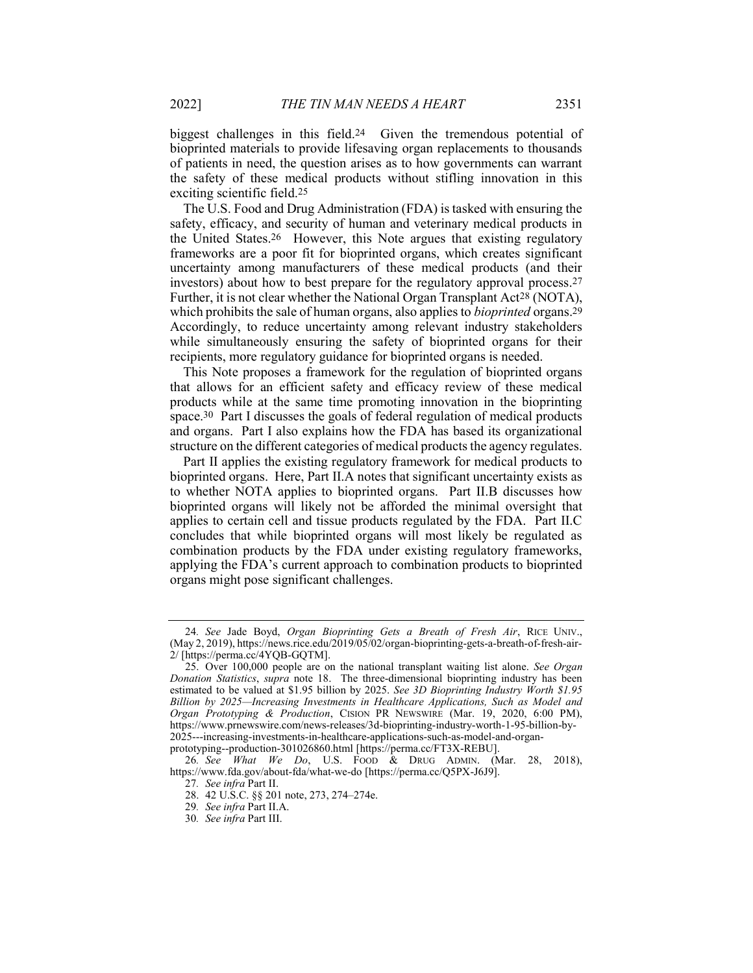biggest challenges in this field.24 Given the tremendous potential of bioprinted materials to provide lifesaving organ replacements to thousands of patients in need, the question arises as to how governments can warrant the safety of these medical products without stifling innovation in this exciting scientific field.25

The U.S. Food and Drug Administration (FDA) is tasked with ensuring the safety, efficacy, and security of human and veterinary medical products in the United States.26 However, this Note argues that existing regulatory frameworks are a poor fit for bioprinted organs, which creates significant uncertainty among manufacturers of these medical products (and their investors) about how to best prepare for the regulatory approval process.27 Further, it is not clear whether the National Organ Transplant Act28 (NOTA), which prohibits the sale of human organs, also applies to *bioprinted* organs.<sup>29</sup> Accordingly, to reduce uncertainty among relevant industry stakeholders while simultaneously ensuring the safety of bioprinted organs for their recipients, more regulatory guidance for bioprinted organs is needed.

This Note proposes a framework for the regulation of bioprinted organs that allows for an efficient safety and efficacy review of these medical products while at the same time promoting innovation in the bioprinting space.30 Part I discusses the goals of federal regulation of medical products and organs. Part I also explains how the FDA has based its organizational structure on the different categories of medical products the agency regulates.

Part II applies the existing regulatory framework for medical products to bioprinted organs. Here, Part II.A notes that significant uncertainty exists as to whether NOTA applies to bioprinted organs. Part II.B discusses how bioprinted organs will likely not be afforded the minimal oversight that applies to certain cell and tissue products regulated by the FDA. Part II.C concludes that while bioprinted organs will most likely be regulated as combination products by the FDA under existing regulatory frameworks, applying the FDA's current approach to combination products to bioprinted organs might pose significant challenges.

<sup>24.</sup> See Jade Boyd, Organ Bioprinting Gets a Breath of Fresh Air, RICE UNIV., (May 2, 2019), https://news.rice.edu/2019/05/02/organ-bioprinting-gets-a-breath-of-fresh-air-2/ [https://perma.cc/4YQB-GQTM].

<sup>25.</sup> Over 100,000 people are on the national transplant waiting list alone. See Organ Donation Statistics, supra note 18. The three-dimensional bioprinting industry has been estimated to be valued at \$1.95 billion by 2025. See 3D Bioprinting Industry Worth \$1.95 Billion by 2025—Increasing Investments in Healthcare Applications, Such as Model and Organ Prototyping & Production, CISION PR NEWSWIRE (Mar. 19, 2020, 6:00 PM), https://www.prnewswire.com/news-releases/3d-bioprinting-industry-worth-1-95-billion-by-2025---increasing-investments-in-healthcare-applications-such-as-model-and-organprototyping--production-301026860.html [https://perma.cc/FT3X-REBU].

<sup>26</sup>. See What We Do, U.S. FOOD & DRUG ADMIN. (Mar. 28, 2018), https://www.fda.gov/about-fda/what-we-do [https://perma.cc/Q5PX-J6J9].

<sup>27</sup>. See infra Part II.

 <sup>28. 42</sup> U.S.C. §§ 201 note, 273, 274–274e.

<sup>29</sup>. See infra Part II.A.

<sup>30</sup>. See infra Part III.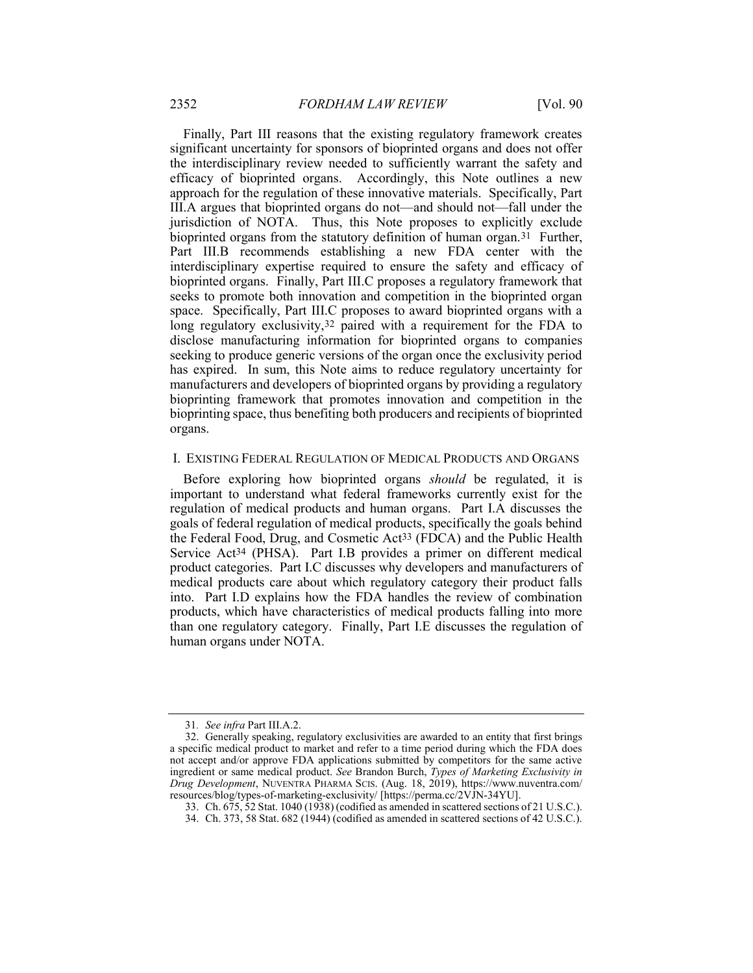Finally, Part III reasons that the existing regulatory framework creates significant uncertainty for sponsors of bioprinted organs and does not offer the interdisciplinary review needed to sufficiently warrant the safety and efficacy of bioprinted organs. Accordingly, this Note outlines a new approach for the regulation of these innovative materials. Specifically, Part III.A argues that bioprinted organs do not—and should not—fall under the jurisdiction of NOTA. Thus, this Note proposes to explicitly exclude bioprinted organs from the statutory definition of human organ.<sup>31</sup> Further, Part III.B recommends establishing a new FDA center with the interdisciplinary expertise required to ensure the safety and efficacy of bioprinted organs. Finally, Part III.C proposes a regulatory framework that seeks to promote both innovation and competition in the bioprinted organ space. Specifically, Part III.C proposes to award bioprinted organs with a long regulatory exclusivity,<sup>32</sup> paired with a requirement for the FDA to disclose manufacturing information for bioprinted organs to companies seeking to produce generic versions of the organ once the exclusivity period has expired. In sum, this Note aims to reduce regulatory uncertainty for manufacturers and developers of bioprinted organs by providing a regulatory bioprinting framework that promotes innovation and competition in the bioprinting space, thus benefiting both producers and recipients of bioprinted organs.

#### I. EXISTING FEDERAL REGULATION OF MEDICAL PRODUCTS AND ORGANS

Before exploring how bioprinted organs should be regulated, it is important to understand what federal frameworks currently exist for the regulation of medical products and human organs. Part I.A discusses the goals of federal regulation of medical products, specifically the goals behind the Federal Food, Drug, and Cosmetic Act33 (FDCA) and the Public Health Service Act34 (PHSA). Part I.B provides a primer on different medical product categories. Part I.C discusses why developers and manufacturers of medical products care about which regulatory category their product falls into. Part I.D explains how the FDA handles the review of combination products, which have characteristics of medical products falling into more than one regulatory category. Finally, Part I.E discusses the regulation of human organs under NOTA.

<sup>31</sup>. See infra Part III.A.2.

 <sup>32.</sup> Generally speaking, regulatory exclusivities are awarded to an entity that first brings a specific medical product to market and refer to a time period during which the FDA does not accept and/or approve FDA applications submitted by competitors for the same active ingredient or same medical product. See Brandon Burch, Types of Marketing Exclusivity in Drug Development, NUVENTRA PHARMA SCIS. (Aug. 18, 2019), https://www.nuventra.com/ resources/blog/types-of-marketing-exclusivity/ [https://perma.cc/2VJN-34YU].

 <sup>33.</sup> Ch. 675, 52 Stat. 1040 (1938) (codified as amended in scattered sections of 21 U.S.C.).

 <sup>34.</sup> Ch. 373, 58 Stat. 682 (1944) (codified as amended in scattered sections of 42 U.S.C.).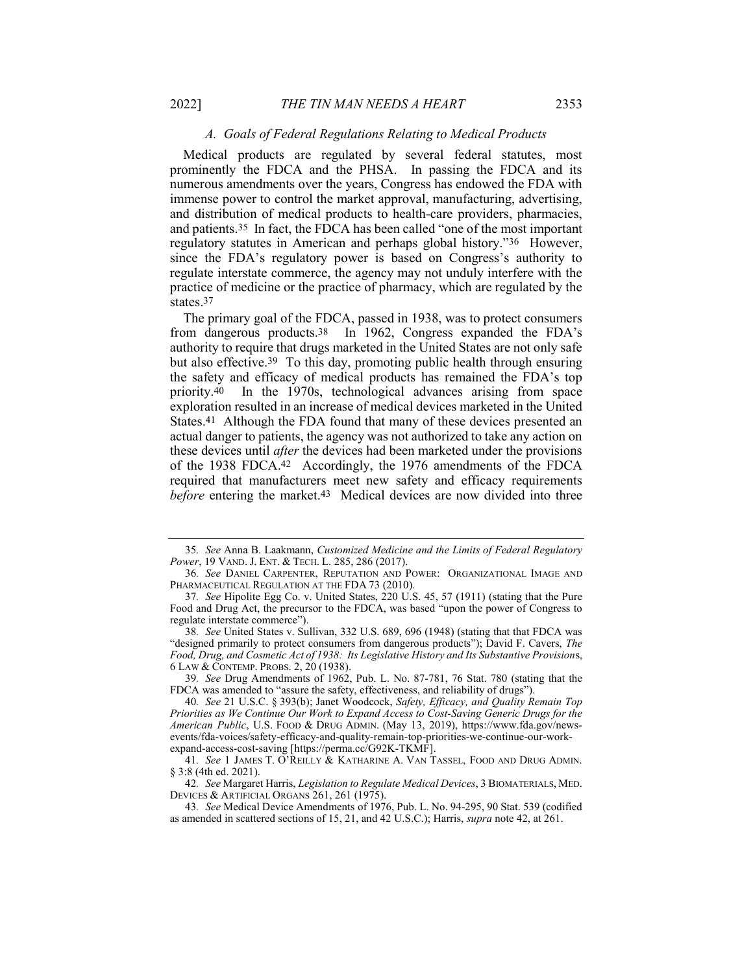#### A. Goals of Federal Regulations Relating to Medical Products

Medical products are regulated by several federal statutes, most prominently the FDCA and the PHSA. In passing the FDCA and its numerous amendments over the years, Congress has endowed the FDA with immense power to control the market approval, manufacturing, advertising, and distribution of medical products to health-care providers, pharmacies, and patients.35 In fact, the FDCA has been called "one of the most important regulatory statutes in American and perhaps global history."36 However, since the FDA's regulatory power is based on Congress's authority to regulate interstate commerce, the agency may not unduly interfere with the practice of medicine or the practice of pharmacy, which are regulated by the states.37

The primary goal of the FDCA, passed in 1938, was to protect consumers from dangerous products.38 In 1962, Congress expanded the FDA's authority to require that drugs marketed in the United States are not only safe but also effective.39 To this day, promoting public health through ensuring the safety and efficacy of medical products has remained the FDA's top priority.40 In the 1970s, technological advances arising from space exploration resulted in an increase of medical devices marketed in the United States.<sup>41</sup> Although the FDA found that many of these devices presented an actual danger to patients, the agency was not authorized to take any action on these devices until *after* the devices had been marketed under the provisions of the 1938 FDCA.42 Accordingly, the 1976 amendments of the FDCA required that manufacturers meet new safety and efficacy requirements before entering the market.<sup>43</sup> Medical devices are now divided into three

<sup>35</sup>. See Anna B. Laakmann, Customized Medicine and the Limits of Federal Regulatory Power, 19 VAND. J. ENT. & TECH. L. 285, 286 (2017).

<sup>36</sup>. See DANIEL CARPENTER, REPUTATION AND POWER: ORGANIZATIONAL IMAGE AND PHARMACEUTICAL REGULATION AT THE FDA 73 (2010).

<sup>37</sup>. See Hipolite Egg Co. v. United States, 220 U.S. 45, 57 (1911) (stating that the Pure Food and Drug Act, the precursor to the FDCA, was based "upon the power of Congress to regulate interstate commerce").

<sup>38</sup>. See United States v. Sullivan, 332 U.S. 689, 696 (1948) (stating that that FDCA was "designed primarily to protect consumers from dangerous products"); David F. Cavers, The Food, Drug, and Cosmetic Act of 1938: Its Legislative History and Its Substantive Provisions, 6 LAW & CONTEMP. PROBS. 2, 20 (1938).

<sup>39</sup>. See Drug Amendments of 1962, Pub. L. No. 87-781, 76 Stat. 780 (stating that the FDCA was amended to "assure the safety, effectiveness, and reliability of drugs").

<sup>40</sup>. See 21 U.S.C. § 393(b); Janet Woodcock, Safety, Efficacy, and Quality Remain Top Priorities as We Continue Our Work to Expand Access to Cost-Saving Generic Drugs for the American Public, U.S. FOOD & DRUG ADMIN. (May 13, 2019), https://www.fda.gov/newsevents/fda-voices/safety-efficacy-and-quality-remain-top-priorities-we-continue-our-workexpand-access-cost-saving [https://perma.cc/G92K-TKMF].

<sup>41</sup>. See 1 JAMES T. O'REILLY & KATHARINE A. VAN TASSEL, FOOD AND DRUG ADMIN. § 3:8 (4th ed. 2021).

<sup>42.</sup> See Margaret Harris, Legislation to Regulate Medical Devices, 3 BIOMATERIALS, MED. DEVICES & ARTIFICIAL ORGANS 261, 261 (1975).

<sup>43</sup>. See Medical Device Amendments of 1976, Pub. L. No. 94-295, 90 Stat. 539 (codified as amended in scattered sections of 15, 21, and 42 U.S.C.); Harris, supra note 42, at 261.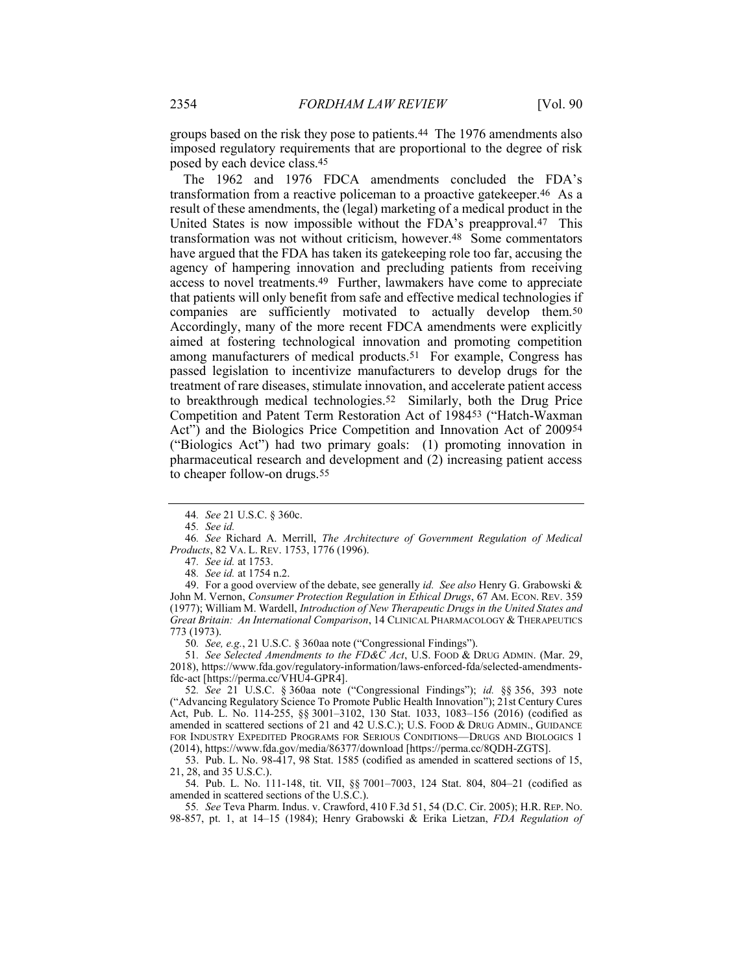groups based on the risk they pose to patients.44 The 1976 amendments also imposed regulatory requirements that are proportional to the degree of risk posed by each device class.45

The 1962 and 1976 FDCA amendments concluded the FDA's transformation from a reactive policeman to a proactive gatekeeper.46 As a result of these amendments, the (legal) marketing of a medical product in the United States is now impossible without the FDA's preapproval.47 This transformation was not without criticism, however.48 Some commentators have argued that the FDA has taken its gatekeeping role too far, accusing the agency of hampering innovation and precluding patients from receiving access to novel treatments.49 Further, lawmakers have come to appreciate that patients will only benefit from safe and effective medical technologies if companies are sufficiently motivated to actually develop them.50 Accordingly, many of the more recent FDCA amendments were explicitly aimed at fostering technological innovation and promoting competition among manufacturers of medical products.51 For example, Congress has passed legislation to incentivize manufacturers to develop drugs for the treatment of rare diseases, stimulate innovation, and accelerate patient access to breakthrough medical technologies.52 Similarly, both the Drug Price Competition and Patent Term Restoration Act of 198453 ("Hatch-Waxman Act") and the Biologics Price Competition and Innovation Act of 200954 ("Biologics Act") had two primary goals: (1) promoting innovation in pharmaceutical research and development and (2) increasing patient access to cheaper follow-on drugs.55

45. See id.

47. See id. at 1753.

48. See id. at 1754 n.2.

49. For a good overview of the debate, see generally *id. See also* Henry G. Grabowski & John M. Vernon, *Consumer Protection Regulation in Ethical Drugs*, 67 AM. ECON. REV. 359 (1977); William M. Wardell, Introduction of New Therapeutic Drugs in the United States and Great Britain: An International Comparison, 14 CLINICAL PHARMACOLOGY & THERAPEUTICS 773 (1973).

50. See, e.g., 21 U.S.C. § 360aa note ("Congressional Findings").

51. See Selected Amendments to the FD&C Act, U.S. FOOD & DRUG ADMIN. (Mar. 29, 2018), https://www.fda.gov/regulatory-information/laws-enforced-fda/selected-amendmentsfdc-act [https://perma.cc/VHU4-GPR4].

52. See 21 U.S.C. § 360aa note ("Congressional Findings"); id. §§ 356, 393 note ("Advancing Regulatory Science To Promote Public Health Innovation"); 21st Century Cures Act, Pub. L. No. 114-255, §§ 3001–3102, 130 Stat. 1033, 1083–156 (2016) (codified as amended in scattered sections of 21 and 42 U.S.C.); U.S. FOOD & DRUG ADMIN., GUIDANCE FOR INDUSTRY EXPEDITED PROGRAMS FOR SERIOUS CONDITIONS—DRUGS AND BIOLOGICS 1 (2014), https://www.fda.gov/media/86377/download [https://perma.cc/8QDH-ZGTS].

 53. Pub. L. No. 98-417, 98 Stat. 1585 (codified as amended in scattered sections of 15, 21, 28, and 35 U.S.C.).

 54. Pub. L. No. 111-148, tit. VII, §§ 7001–7003, 124 Stat. 804, 804–21 (codified as amended in scattered sections of the U.S.C.).

55. See Teva Pharm. Indus. v. Crawford, 410 F.3d 51, 54 (D.C. Cir. 2005); H.R. REP. NO. 98-857, pt. 1, at 14–15 (1984); Henry Grabowski & Erika Lietzan, FDA Regulation of

<sup>44</sup>. See 21 U.S.C. § 360c.

<sup>46</sup>. See Richard A. Merrill, The Architecture of Government Regulation of Medical Products, 82 VA. L. REV. 1753, 1776 (1996).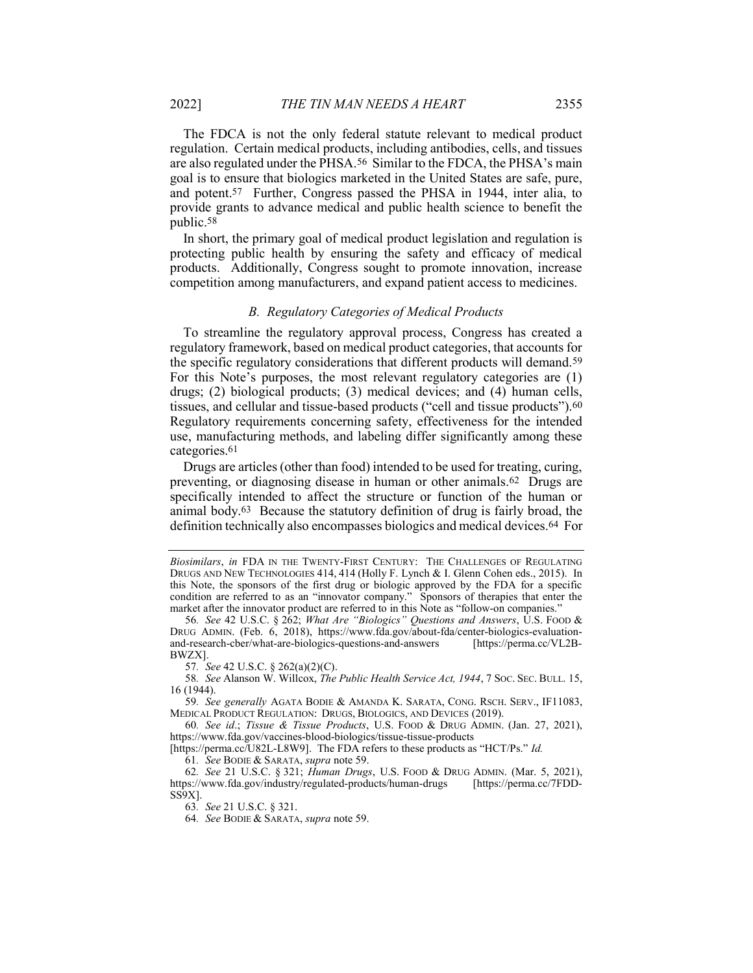The FDCA is not the only federal statute relevant to medical product regulation. Certain medical products, including antibodies, cells, and tissues are also regulated under the PHSA.56 Similar to the FDCA, the PHSA's main goal is to ensure that biologics marketed in the United States are safe, pure, and potent.57 Further, Congress passed the PHSA in 1944, inter alia, to provide grants to advance medical and public health science to benefit the public.58

In short, the primary goal of medical product legislation and regulation is protecting public health by ensuring the safety and efficacy of medical products. Additionally, Congress sought to promote innovation, increase competition among manufacturers, and expand patient access to medicines.

#### B. Regulatory Categories of Medical Products

To streamline the regulatory approval process, Congress has created a regulatory framework, based on medical product categories, that accounts for the specific regulatory considerations that different products will demand.59 For this Note's purposes, the most relevant regulatory categories are (1) drugs; (2) biological products; (3) medical devices; and (4) human cells, tissues, and cellular and tissue-based products ("cell and tissue products").60 Regulatory requirements concerning safety, effectiveness for the intended use, manufacturing methods, and labeling differ significantly among these categories.61

Drugs are articles (other than food) intended to be used for treating, curing, preventing, or diagnosing disease in human or other animals.62 Drugs are specifically intended to affect the structure or function of the human or animal body.63 Because the statutory definition of drug is fairly broad, the definition technically also encompasses biologics and medical devices.64 For

57. See 42 U.S.C. § 262(a)(2)(C).

58. See Alanson W. Willcox, The Public Health Service Act, 1944, 7 Soc. SEC. BULL. 15, 16 (1944).

59. See generally AGATA BODIE & AMANDA K. SARATA, CONG. RSCH. SERV., IF11083, MEDICAL PRODUCT REGULATION: DRUGS, BIOLOGICS, AND DEVICES (2019).

60. See id.; Tissue & Tissue Products, U.S. FOOD & DRUG ADMIN. (Jan. 27, 2021), https://www.fda.gov/vaccines-blood-biologics/tissue-tissue-products

[https://perma.cc/U82L-L8W9]. The FDA refers to these products as "HCT/Ps." Id.

61. See BODIE & SARATA, supra note 59.

62. See 21 U.S.C. § 321; Human Drugs, U.S. FOOD & DRUG ADMIN. (Mar. 5, 2021), https://www.fda.gov/industry/regulated-products/human-drugs [https://perma.cc/7FDD-SS9X].

63. See 21 U.S.C. § 321.

64. See BODIE & SARATA, supra note 59.

Biosimilars, in FDA IN THE TWENTY-FIRST CENTURY: THE CHALLENGES OF REGULATING DRUGS AND NEW TECHNOLOGIES 414, 414 (Holly F. Lynch & I. Glenn Cohen eds., 2015). In this Note, the sponsors of the first drug or biologic approved by the FDA for a specific condition are referred to as an "innovator company." Sponsors of therapies that enter the market after the innovator product are referred to in this Note as "follow-on companies."

<sup>56.</sup> See 42 U.S.C. § 262; What Are "Biologics" Questions and Answers, U.S. Food & DRUG ADMIN. (Feb. 6, 2018), https://www.fda.gov/about-fda/center-biologics-evaluationand-research-cber/what-are-biologics-questions-and-answers [https://perma.cc/VL2B-BWZX].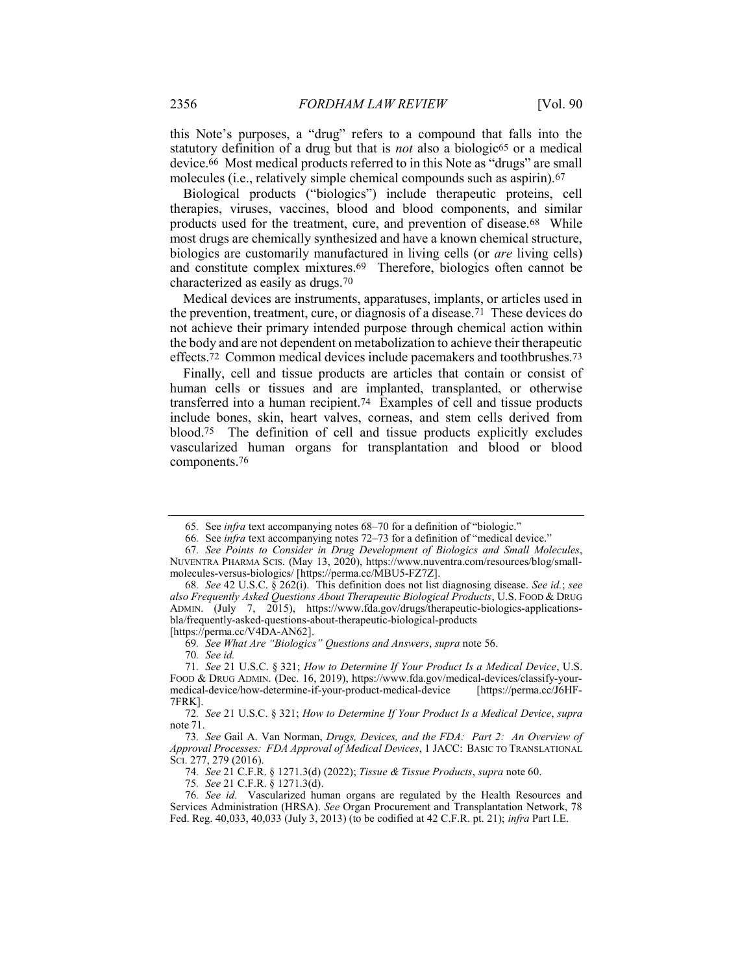this Note's purposes, a "drug" refers to a compound that falls into the statutory definition of a drug but that is *not* also a biologic<sup>65</sup> or a medical device.66 Most medical products referred to in this Note as "drugs" are small molecules (i.e., relatively simple chemical compounds such as aspirin).67

Biological products ("biologics") include therapeutic proteins, cell therapies, viruses, vaccines, blood and blood components, and similar products used for the treatment, cure, and prevention of disease.68 While most drugs are chemically synthesized and have a known chemical structure, biologics are customarily manufactured in living cells (or *are* living cells) and constitute complex mixtures.69 Therefore, biologics often cannot be characterized as easily as drugs.70

Medical devices are instruments, apparatuses, implants, or articles used in the prevention, treatment, cure, or diagnosis of a disease.71 These devices do not achieve their primary intended purpose through chemical action within the body and are not dependent on metabolization to achieve their therapeutic effects.72 Common medical devices include pacemakers and toothbrushes.73

Finally, cell and tissue products are articles that contain or consist of human cells or tissues and are implanted, transplanted, or otherwise transferred into a human recipient.74 Examples of cell and tissue products include bones, skin, heart valves, corneas, and stem cells derived from blood.75 The definition of cell and tissue products explicitly excludes vascularized human organs for transplantation and blood or blood components.76

70. See id.

74. See 21 C.F.R. § 1271.3(d) (2022); Tissue & Tissue Products, supra note 60.

<sup>65</sup>. See infra text accompanying notes 68–70 for a definition of "biologic."

<sup>66</sup>. See infra text accompanying notes 72–73 for a definition of "medical device."

<sup>67</sup>. See Points to Consider in Drug Development of Biologics and Small Molecules, NUVENTRA PHARMA SCIS. (May 13, 2020), https://www.nuventra.com/resources/blog/smallmolecules-versus-biologics/ [https://perma.cc/MBU5-FZ7Z].

<sup>68</sup>. See 42 U.S.C. § 262(i). This definition does not list diagnosing disease. See id.; see also Frequently Asked Questions About Therapeutic Biological Products, U.S. FOOD & DRUG ADMIN. (July 7, 2015), https://www.fda.gov/drugs/therapeutic-biologics-applicationsbla/frequently-asked-questions-about-therapeutic-biological-products [https://perma.cc/V4DA-AN62].

<sup>69</sup>. See What Are "Biologics" Questions and Answers, supra note 56.

<sup>71</sup>. See 21 U.S.C. § 321; How to Determine If Your Product Is a Medical Device, U.S. FOOD & DRUG ADMIN. (Dec. 16, 2019), https://www.fda.gov/medical-devices/classify-yourmedical-device/how-determine-if-your-product-medical-device [https://perma.cc/J6HF-7FRK].

<sup>72</sup>. See 21 U.S.C. § 321; How to Determine If Your Product Is a Medical Device, supra note 71.

<sup>73</sup>. See Gail A. Van Norman, Drugs, Devices, and the FDA: Part 2: An Overview of Approval Processes: FDA Approval of Medical Devices, 1 JACC: BASIC TO TRANSLATIONAL SCI. 277, 279 (2016).

<sup>75</sup>. See 21 C.F.R. § 1271.3(d).

<sup>76</sup>. See id. Vascularized human organs are regulated by the Health Resources and Services Administration (HRSA). See Organ Procurement and Transplantation Network, 78 Fed. Reg. 40,033, 40,033 (July 3, 2013) (to be codified at 42 C.F.R. pt. 21); infra Part I.E.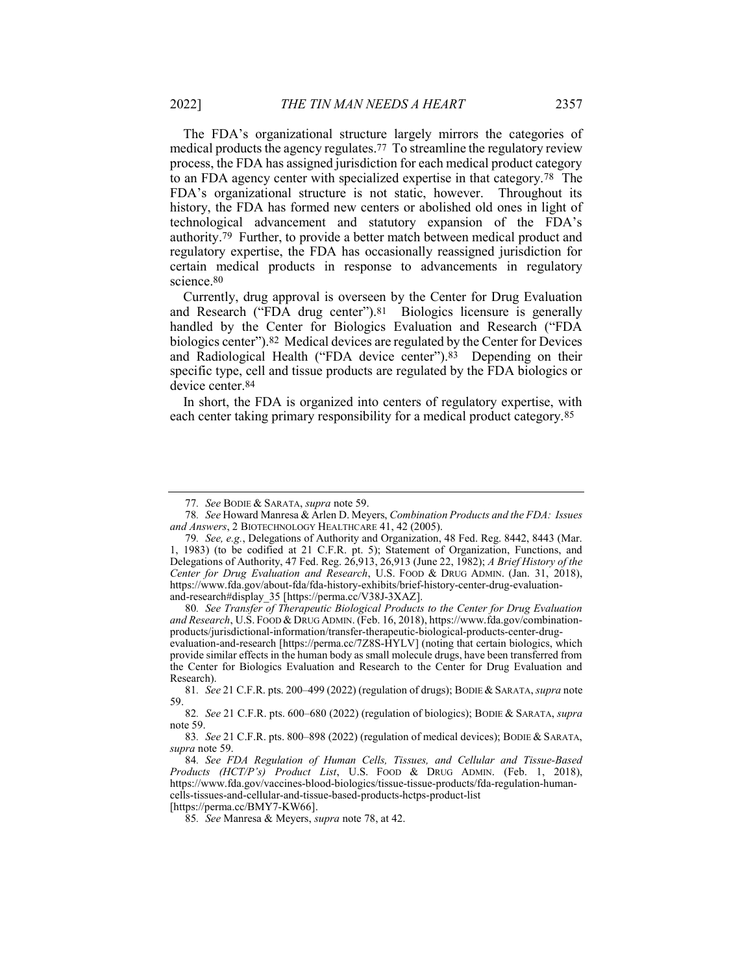The FDA's organizational structure largely mirrors the categories of medical products the agency regulates.77 To streamline the regulatory review process, the FDA has assigned jurisdiction for each medical product category to an FDA agency center with specialized expertise in that category.78 The FDA's organizational structure is not static, however. Throughout its history, the FDA has formed new centers or abolished old ones in light of technological advancement and statutory expansion of the FDA's authority.79 Further, to provide a better match between medical product and regulatory expertise, the FDA has occasionally reassigned jurisdiction for certain medical products in response to advancements in regulatory science.80

Currently, drug approval is overseen by the Center for Drug Evaluation and Research ("FDA drug center").81 Biologics licensure is generally handled by the Center for Biologics Evaluation and Research ("FDA biologics center").82 Medical devices are regulated by the Center for Devices and Radiological Health ("FDA device center").83 Depending on their specific type, cell and tissue products are regulated by the FDA biologics or device center.84

In short, the FDA is organized into centers of regulatory expertise, with each center taking primary responsibility for a medical product category.85

[https://perma.cc/BMY7-KW66].

<sup>77</sup>. See BODIE & SARATA, supra note 59.

<sup>78</sup>. See Howard Manresa & Arlen D. Meyers, Combination Products and the FDA: Issues and Answers, 2 BIOTECHNOLOGY HEALTHCARE 41, 42 (2005).

<sup>79</sup>. See, e.g., Delegations of Authority and Organization, 48 Fed. Reg. 8442, 8443 (Mar. 1, 1983) (to be codified at 21 C.F.R. pt. 5); Statement of Organization, Functions, and Delegations of Authority, 47 Fed. Reg. 26,913, 26,913 (June 22, 1982); A Brief History of the Center for Drug Evaluation and Research, U.S. FOOD & DRUG ADMIN. (Jan. 31, 2018), https://www.fda.gov/about-fda/fda-history-exhibits/brief-history-center-drug-evaluationand-research#display\_35 [https://perma.cc/V38J-3XAZ].

<sup>80</sup>. See Transfer of Therapeutic Biological Products to the Center for Drug Evaluation and Research, U.S. FOOD & DRUG ADMIN. (Feb. 16, 2018), https://www.fda.gov/combinationproducts/jurisdictional-information/transfer-therapeutic-biological-products-center-drugevaluation-and-research [https://perma.cc/7Z8S-HYLV] (noting that certain biologics, which provide similar effects in the human body as small molecule drugs, have been transferred from the Center for Biologics Evaluation and Research to the Center for Drug Evaluation and Research).

<sup>81.</sup> See 21 C.F.R. pts. 200-499 (2022) (regulation of drugs); BODIE & SARATA, supra note 59.

<sup>82.</sup> See 21 C.F.R. pts. 600–680 (2022) (regulation of biologics); BODIE & SARATA, supra note 59.

<sup>83.</sup> See 21 C.F.R. pts. 800-898 (2022) (regulation of medical devices); BODIE & SARATA, supra note 59.

<sup>84</sup>. See FDA Regulation of Human Cells, Tissues, and Cellular and Tissue-Based Products (HCT/P's) Product List, U.S. FOOD & DRUG ADMIN. (Feb. 1, 2018), https://www.fda.gov/vaccines-blood-biologics/tissue-tissue-products/fda-regulation-humancells-tissues-and-cellular-and-tissue-based-products-hctps-product-list

<sup>85</sup>. See Manresa & Meyers, supra note 78, at 42.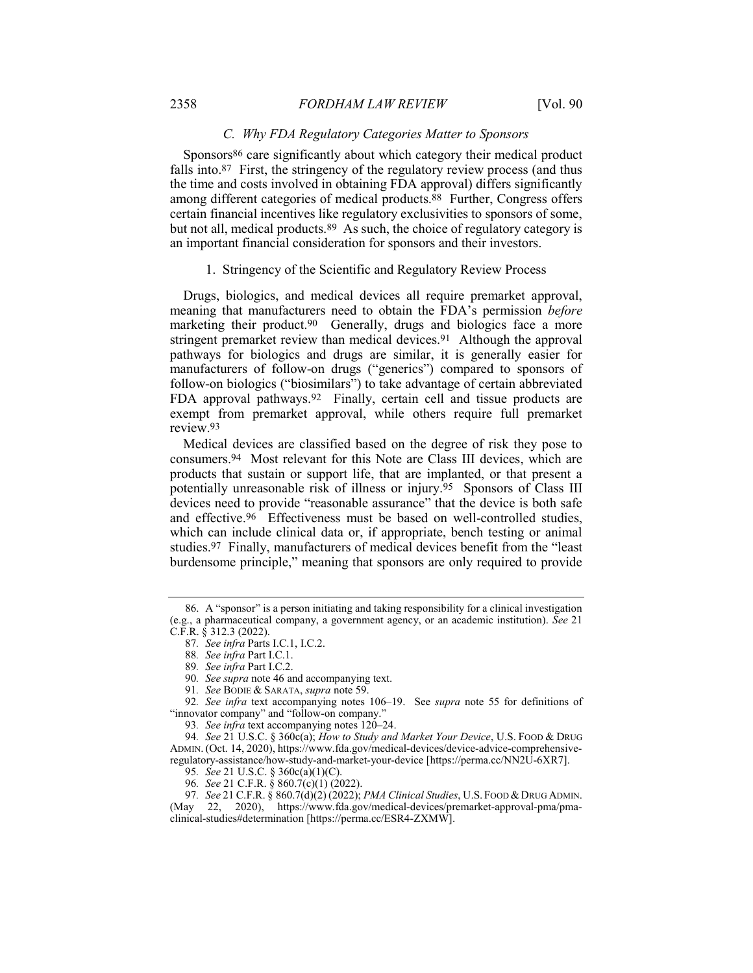#### C. Why FDA Regulatory Categories Matter to Sponsors

Sponsors<sup>86</sup> care significantly about which category their medical product falls into.87 First, the stringency of the regulatory review process (and thus the time and costs involved in obtaining FDA approval) differs significantly among different categories of medical products.88 Further, Congress offers certain financial incentives like regulatory exclusivities to sponsors of some, but not all, medical products.89 As such, the choice of regulatory category is an important financial consideration for sponsors and their investors.

1. Stringency of the Scientific and Regulatory Review Process

Drugs, biologics, and medical devices all require premarket approval, meaning that manufacturers need to obtain the FDA's permission before marketing their product.<sup>90</sup> Generally, drugs and biologics face a more stringent premarket review than medical devices.91 Although the approval pathways for biologics and drugs are similar, it is generally easier for manufacturers of follow-on drugs ("generics") compared to sponsors of follow-on biologics ("biosimilars") to take advantage of certain abbreviated FDA approval pathways.92 Finally, certain cell and tissue products are exempt from premarket approval, while others require full premarket review.93

Medical devices are classified based on the degree of risk they pose to consumers.94 Most relevant for this Note are Class III devices, which are products that sustain or support life, that are implanted, or that present a potentially unreasonable risk of illness or injury.95 Sponsors of Class III devices need to provide "reasonable assurance" that the device is both safe and effective.96 Effectiveness must be based on well-controlled studies, which can include clinical data or, if appropriate, bench testing or animal studies.97 Finally, manufacturers of medical devices benefit from the "least burdensome principle," meaning that sponsors are only required to provide

 <sup>86.</sup> A "sponsor" is a person initiating and taking responsibility for a clinical investigation (e.g., a pharmaceutical company, a government agency, or an academic institution). See 21 C.F.R. § 312.3 (2022).

<sup>87</sup>. See infra Parts I.C.1, I.C.2.

<sup>88</sup>. See infra Part I.C.1.

<sup>89</sup>. See infra Part I.C.2.

<sup>90</sup>. See supra note 46 and accompanying text.

<sup>91.</sup> See BODIE & SARATA, supra note 59.

<sup>92.</sup> See infra text accompanying notes 106–19. See supra note 55 for definitions of "innovator company" and "follow-on company."

<sup>93</sup>. See infra text accompanying notes 120–24.

<sup>94.</sup> See 21 U.S.C. § 360c(a); How to Study and Market Your Device, U.S. Food & DRUG ADMIN. (Oct. 14, 2020), https://www.fda.gov/medical-devices/device-advice-comprehensiveregulatory-assistance/how-study-and-market-your-device [https://perma.cc/NN2U-6XR7].

<sup>95</sup>. See 21 U.S.C. § 360c(a)(1)(C).

<sup>96</sup>. See 21 C.F.R. § 860.7(c)(1) (2022).

<sup>97.</sup> See 21 C.F.R. § 860.7(d)(2) (2022); PMA Clinical Studies, U.S. FOOD & DRUG ADMIN. (May 22, 2020), https://www.fda.gov/medical-devices/premarket-approval-pma/pmaclinical-studies#determination [https://perma.cc/ESR4-ZXMW].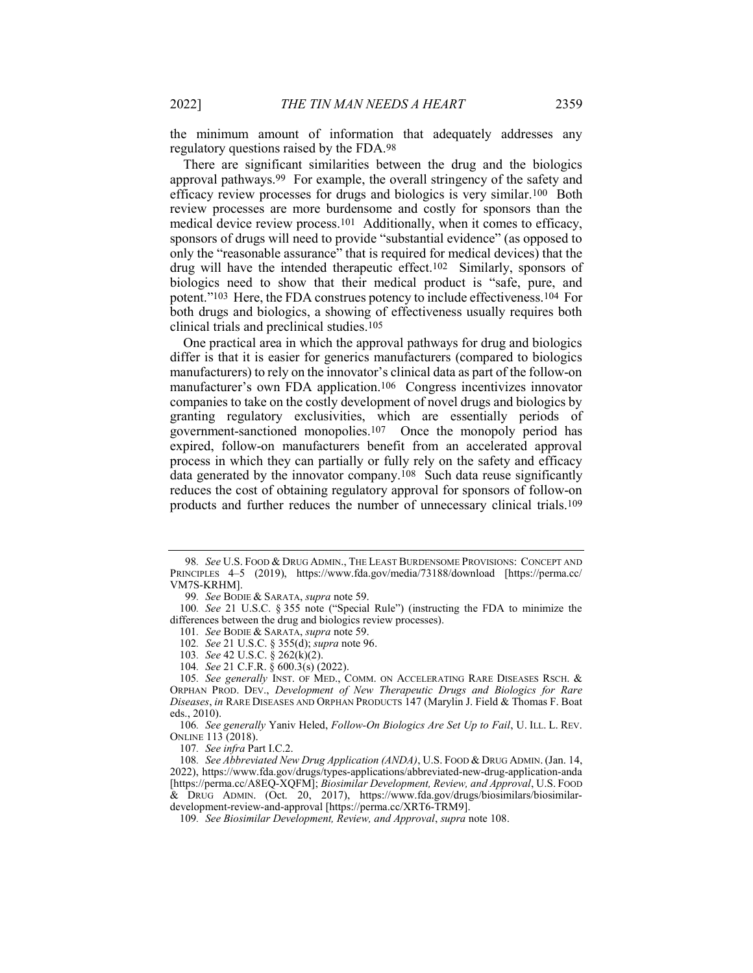the minimum amount of information that adequately addresses any regulatory questions raised by the FDA.98

There are significant similarities between the drug and the biologics approval pathways.99 For example, the overall stringency of the safety and efficacy review processes for drugs and biologics is very similar.100 Both review processes are more burdensome and costly for sponsors than the medical device review process.101 Additionally, when it comes to efficacy, sponsors of drugs will need to provide "substantial evidence" (as opposed to only the "reasonable assurance" that is required for medical devices) that the drug will have the intended therapeutic effect.102 Similarly, sponsors of biologics need to show that their medical product is "safe, pure, and potent."103 Here, the FDA construes potency to include effectiveness.104 For both drugs and biologics, a showing of effectiveness usually requires both clinical trials and preclinical studies.105

One practical area in which the approval pathways for drug and biologics differ is that it is easier for generics manufacturers (compared to biologics manufacturers) to rely on the innovator's clinical data as part of the follow-on manufacturer's own FDA application.106 Congress incentivizes innovator companies to take on the costly development of novel drugs and biologics by granting regulatory exclusivities, which are essentially periods of government-sanctioned monopolies.107 Once the monopoly period has expired, follow-on manufacturers benefit from an accelerated approval process in which they can partially or fully rely on the safety and efficacy data generated by the innovator company.108 Such data reuse significantly reduces the cost of obtaining regulatory approval for sponsors of follow-on products and further reduces the number of unnecessary clinical trials.109

102. See 21 U.S.C. § 355(d); supra note 96.

107. See infra Part I.C.2.

<sup>98.</sup> See U.S. FOOD & DRUG ADMIN., THE LEAST BURDENSOME PROVISIONS: CONCEPT AND PRINCIPLES 4–5 (2019), https://www.fda.gov/media/73188/download [https://perma.cc/ VM7S-KRHM].

<sup>99.</sup> See BODIE & SARATA, supra note 59.

<sup>100</sup>. See 21 U.S.C. § 355 note ("Special Rule") (instructing the FDA to minimize the differences between the drug and biologics review processes).

<sup>101.</sup> See BODIE & SARATA, supra note 59.

<sup>103</sup>. See 42 U.S.C. § 262(k)(2).

<sup>104</sup>. See 21 C.F.R. § 600.3(s) (2022).

<sup>105.</sup> See generally INST. OF MED., COMM. ON ACCELERATING RARE DISEASES RSCH. & ORPHAN PROD. DEV., Development of New Therapeutic Drugs and Biologics for Rare Diseases, in RARE DISEASES AND ORPHAN PRODUCTS 147 (Marylin J. Field & Thomas F. Boat eds., 2010).

<sup>106.</sup> See generally Yaniv Heled, Follow-On Biologics Are Set Up to Fail, U. ILL. L. REV. ONLINE 113 (2018).

<sup>108.</sup> See Abbreviated New Drug Application (ANDA), U.S. FOOD & DRUG ADMIN. (Jan. 14, 2022), https://www.fda.gov/drugs/types-applications/abbreviated-new-drug-application-anda [https://perma.cc/A8EQ-XQFM]; Biosimilar Development, Review, and Approval, U.S. FOOD & DRUG ADMIN. (Oct. 20, 2017), https://www.fda.gov/drugs/biosimilars/biosimilardevelopment-review-and-approval [https://perma.cc/XRT6-TRM9].

<sup>109</sup>. See Biosimilar Development, Review, and Approval, supra note 108.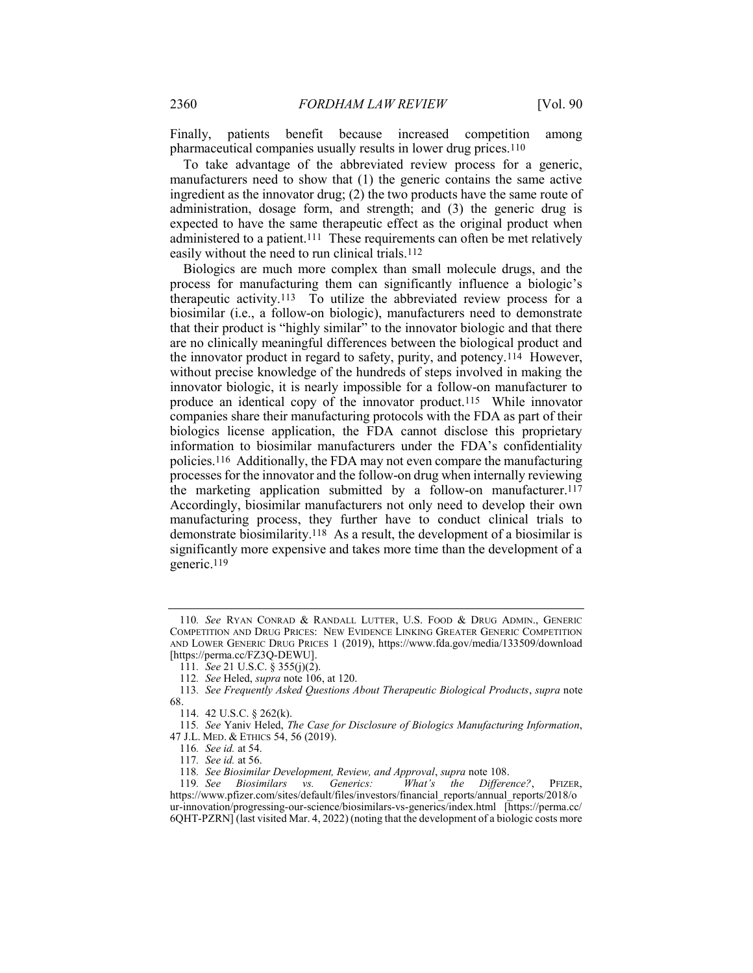Finally, patients benefit because increased competition among pharmaceutical companies usually results in lower drug prices.110

To take advantage of the abbreviated review process for a generic, manufacturers need to show that (1) the generic contains the same active ingredient as the innovator drug; (2) the two products have the same route of administration, dosage form, and strength; and (3) the generic drug is expected to have the same therapeutic effect as the original product when administered to a patient.111 These requirements can often be met relatively easily without the need to run clinical trials.<sup>112</sup>

Biologics are much more complex than small molecule drugs, and the process for manufacturing them can significantly influence a biologic's therapeutic activity.113 To utilize the abbreviated review process for a biosimilar (i.e., a follow-on biologic), manufacturers need to demonstrate that their product is "highly similar" to the innovator biologic and that there are no clinically meaningful differences between the biological product and the innovator product in regard to safety, purity, and potency.114 However, without precise knowledge of the hundreds of steps involved in making the innovator biologic, it is nearly impossible for a follow-on manufacturer to produce an identical copy of the innovator product.115 While innovator companies share their manufacturing protocols with the FDA as part of their biologics license application, the FDA cannot disclose this proprietary information to biosimilar manufacturers under the FDA's confidentiality policies.116 Additionally, the FDA may not even compare the manufacturing processes for the innovator and the follow-on drug when internally reviewing the marketing application submitted by a follow-on manufacturer.117 Accordingly, biosimilar manufacturers not only need to develop their own manufacturing process, they further have to conduct clinical trials to demonstrate biosimilarity.118 As a result, the development of a biosimilar is significantly more expensive and takes more time than the development of a generic.119

<sup>110</sup>. See RYAN CONRAD & RANDALL LUTTER, U.S. FOOD & DRUG ADMIN., GENERIC COMPETITION AND DRUG PRICES: NEW EVIDENCE LINKING GREATER GENERIC COMPETITION AND LOWER GENERIC DRUG PRICES 1 (2019), https://www.fda.gov/media/133509/download [https://perma.cc/FZ3Q-DEWU].

<sup>111</sup>. See 21 U.S.C. § 355(j)(2).

<sup>112</sup>. See Heled, supra note 106, at 120.

<sup>113</sup>. See Frequently Asked Questions About Therapeutic Biological Products, supra note 68.

 <sup>114. 42</sup> U.S.C. § 262(k).

<sup>115</sup>. See Yaniv Heled, The Case for Disclosure of Biologics Manufacturing Information, 47 J.L. MED. & ETHICS 54, 56 (2019).

<sup>116</sup>. See id. at 54.

<sup>117</sup>. See id. at 56.

<sup>118</sup>. See Biosimilar Development, Review, and Approval, supra note 108.

<sup>119</sup>. See Biosimilars vs. Generics: What's the Difference?, PFIZER, https://www.pfizer.com/sites/default/files/investors/financial\_reports/annual\_reports/2018/o ur-innovation/progressing-our-science/biosimilars-vs-generics/index.html [https://perma.cc/ 6QHT-PZRN] (last visited Mar. 4, 2022) (noting that the development of a biologic costs more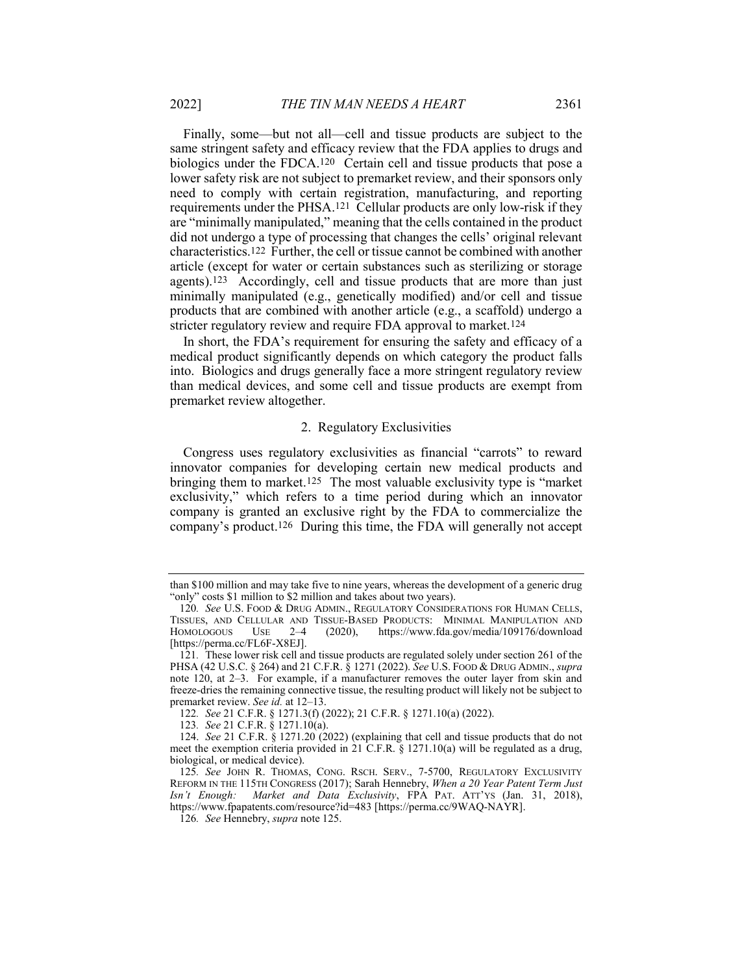Finally, some—but not all—cell and tissue products are subject to the same stringent safety and efficacy review that the FDA applies to drugs and biologics under the FDCA.120 Certain cell and tissue products that pose a lower safety risk are not subject to premarket review, and their sponsors only need to comply with certain registration, manufacturing, and reporting requirements under the PHSA.121 Cellular products are only low-risk if they are "minimally manipulated," meaning that the cells contained in the product did not undergo a type of processing that changes the cells' original relevant characteristics.122 Further, the cell or tissue cannot be combined with another article (except for water or certain substances such as sterilizing or storage agents).123 Accordingly, cell and tissue products that are more than just minimally manipulated (e.g., genetically modified) and/or cell and tissue products that are combined with another article (e.g., a scaffold) undergo a stricter regulatory review and require FDA approval to market.124

In short, the FDA's requirement for ensuring the safety and efficacy of a medical product significantly depends on which category the product falls into. Biologics and drugs generally face a more stringent regulatory review than medical devices, and some cell and tissue products are exempt from premarket review altogether.

#### 2. Regulatory Exclusivities

Congress uses regulatory exclusivities as financial "carrots" to reward innovator companies for developing certain new medical products and bringing them to market.125 The most valuable exclusivity type is "market exclusivity," which refers to a time period during which an innovator company is granted an exclusive right by the FDA to commercialize the company's product.126 During this time, the FDA will generally not accept

than \$100 million and may take five to nine years, whereas the development of a generic drug "only" costs \$1 million to \$2 million and takes about two years).

<sup>120.</sup> See U.S. FOOD & DRUG ADMIN., REGULATORY CONSIDERATIONS FOR HUMAN CELLS, TISSUES, AND CELLULAR AND TISSUE-BASED PRODUCTS: MINIMAL MANIPULATION AND HOMOLOGOUS USE 2–4 (2020), https://www.fda.gov/media/109176/download [https://perma.cc/FL6F-X8EJ].

<sup>121</sup>. These lower risk cell and tissue products are regulated solely under section 261 of the PHSA (42 U.S.C. § 264) and 21 C.F.R. § 1271 (2022). See U.S. Food & Drug Admin., supra note 120, at 2–3. For example, if a manufacturer removes the outer layer from skin and freeze-dries the remaining connective tissue, the resulting product will likely not be subject to premarket review. See id. at 12–13.

<sup>122</sup>. See 21 C.F.R. § 1271.3(f) (2022); 21 C.F.R. § 1271.10(a) (2022).

<sup>123</sup>. See 21 C.F.R. § 1271.10(a).

<sup>124.</sup> See 21 C.F.R. § 1271.20 (2022) (explaining that cell and tissue products that do not meet the exemption criteria provided in 21 C.F.R. § 1271.10(a) will be regulated as a drug, biological, or medical device).

<sup>125</sup>. See JOHN R. THOMAS, CONG. RSCH. SERV., 7-5700, REGULATORY EXCLUSIVITY REFORM IN THE 115TH CONGRESS (2017); Sarah Hennebry, When a 20 Year Patent Term Just Isn't Enough: Market and Data Exclusivity, FPA PAT. ATT'YS (Jan. 31, 2018), https://www.fpapatents.com/resource?id=483 [https://perma.cc/9WAQ-NAYR].

<sup>126</sup>. See Hennebry, supra note 125.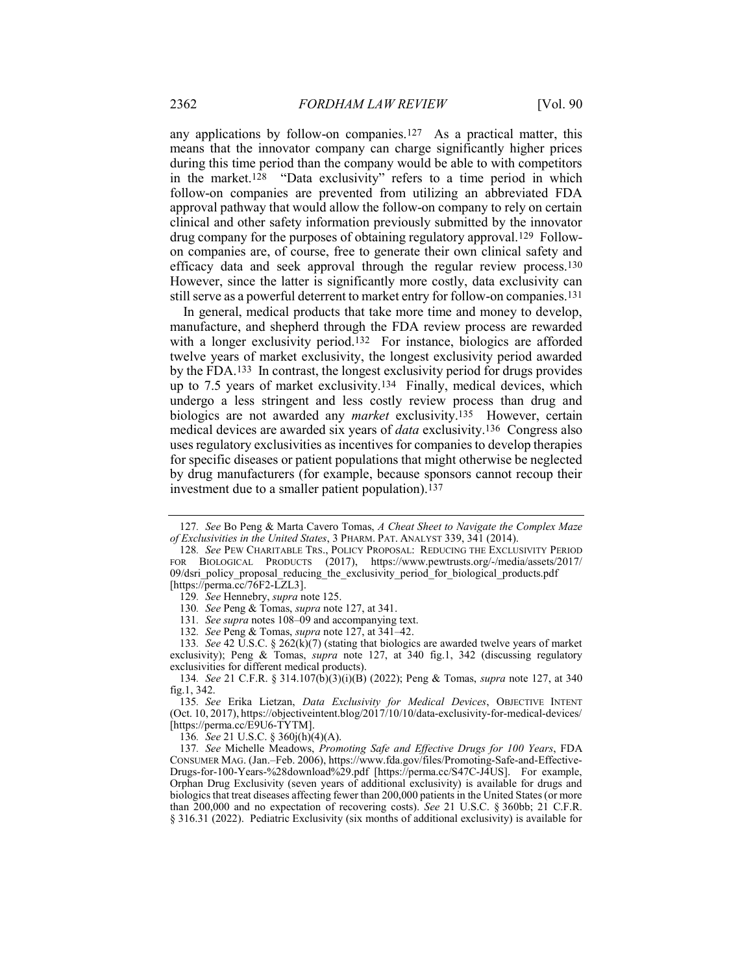any applications by follow-on companies.127 As a practical matter, this means that the innovator company can charge significantly higher prices during this time period than the company would be able to with competitors in the market.128 "Data exclusivity" refers to a time period in which follow-on companies are prevented from utilizing an abbreviated FDA approval pathway that would allow the follow-on company to rely on certain clinical and other safety information previously submitted by the innovator drug company for the purposes of obtaining regulatory approval.129 Followon companies are, of course, free to generate their own clinical safety and efficacy data and seek approval through the regular review process.130 However, since the latter is significantly more costly, data exclusivity can still serve as a powerful deterrent to market entry for follow-on companies.131

In general, medical products that take more time and money to develop, manufacture, and shepherd through the FDA review process are rewarded with a longer exclusivity period.<sup>132</sup> For instance, biologics are afforded twelve years of market exclusivity, the longest exclusivity period awarded by the FDA.133 In contrast, the longest exclusivity period for drugs provides up to 7.5 years of market exclusivity.134 Finally, medical devices, which undergo a less stringent and less costly review process than drug and biologics are not awarded any *market* exclusivity.<sup>135</sup> However, certain medical devices are awarded six years of data exclusivity.136 Congress also uses regulatory exclusivities as incentives for companies to develop therapies for specific diseases or patient populations that might otherwise be neglected by drug manufacturers (for example, because sponsors cannot recoup their investment due to a smaller patient population).137

136. See 21 U.S.C. § 360j(h)(4)(A).

137. See Michelle Meadows, Promoting Safe and Effective Drugs for 100 Years, FDA CONSUMER MAG. (Jan.–Feb. 2006), https://www.fda.gov/files/Promoting-Safe-and-Effective-Drugs-for-100-Years-%28download%29.pdf [https://perma.cc/S47C-J4US]. For example, Orphan Drug Exclusivity (seven years of additional exclusivity) is available for drugs and biologics that treat diseases affecting fewer than 200,000 patients in the United States (or more than 200,000 and no expectation of recovering costs). See 21 U.S.C. § 360bb; 21 C.F.R. § 316.31 (2022). Pediatric Exclusivity (six months of additional exclusivity) is available for

<sup>127.</sup> See Bo Peng & Marta Cavero Tomas, A Cheat Sheet to Navigate the Complex Maze of Exclusivities in the United States, 3 PHARM. PAT. ANALYST 339, 341 (2014).

<sup>128</sup>. See PEW CHARITABLE TRS., POLICY PROPOSAL: REDUCING THE EXCLUSIVITY PERIOD FOR BIOLOGICAL PRODUCTS (2017), https://www.pewtrusts.org/-/media/assets/2017/ 09/dsri\_policy\_proposal\_reducing\_the\_exclusivity\_period\_for\_biological\_products.pdf [https://perma.cc/76F2-LZL3].

<sup>129</sup>. See Hennebry, supra note 125.

<sup>130</sup>. See Peng & Tomas, supra note 127, at 341.

<sup>131.</sup> See supra notes 108–09 and accompanying text.

<sup>132.</sup> See Peng & Tomas, *supra* note 127, at 341–42.

<sup>133.</sup> See 42 U.S.C. § 262(k)(7) (stating that biologics are awarded twelve years of market exclusivity); Peng & Tomas, *supra* note 127, at 340 fig.1, 342 (discussing regulatory exclusivities for different medical products).

<sup>134</sup>. See 21 C.F.R. § 314.107(b)(3)(i)(B) (2022); Peng & Tomas, supra note 127, at 340 fig.1, 342.

<sup>135.</sup> See Erika Lietzan, Data Exclusivity for Medical Devices, OBJECTIVE INTENT (Oct. 10, 2017), https://objectiveintent.blog/2017/10/10/data-exclusivity-for-medical-devices/ [https://perma.cc/E9U6-TYTM].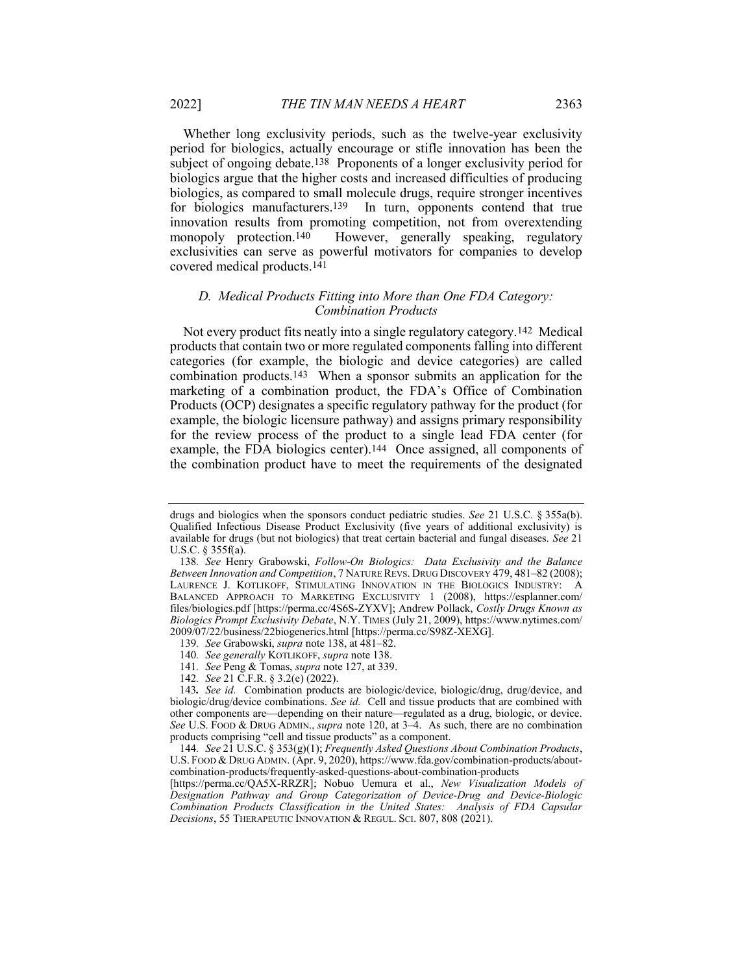Whether long exclusivity periods, such as the twelve-year exclusivity period for biologics, actually encourage or stifle innovation has been the subject of ongoing debate.<sup>138</sup> Proponents of a longer exclusivity period for biologics argue that the higher costs and increased difficulties of producing biologics, as compared to small molecule drugs, require stronger incentives for biologics manufacturers.<sup>139</sup> In turn, opponents contend that true innovation results from promoting competition, not from overextending monopoly protection.140 However, generally speaking, regulatory exclusivities can serve as powerful motivators for companies to develop covered medical products.141

#### D. Medical Products Fitting into More than One FDA Category: Combination Products

Not every product fits neatly into a single regulatory category.142 Medical products that contain two or more regulated components falling into different categories (for example, the biologic and device categories) are called combination products.143 When a sponsor submits an application for the marketing of a combination product, the FDA's Office of Combination Products (OCP) designates a specific regulatory pathway for the product (for example, the biologic licensure pathway) and assigns primary responsibility for the review process of the product to a single lead FDA center (for example, the FDA biologics center).<sup>144</sup> Once assigned, all components of the combination product have to meet the requirements of the designated

141. See Peng & Tomas, supra note 127, at 339.

drugs and biologics when the sponsors conduct pediatric studies. See 21 U.S.C. § 355a(b). Qualified Infectious Disease Product Exclusivity (five years of additional exclusivity) is available for drugs (but not biologics) that treat certain bacterial and fungal diseases. See 21 U.S.C. § 355f(a).

<sup>138</sup>. See Henry Grabowski, Follow-On Biologics: Data Exclusivity and the Balance Between Innovation and Competition, 7 NATURE REVS. DRUG DISCOVERY 479, 481–82 (2008); LAURENCE J. KOTLIKOFF, STIMULATING INNOVATION IN THE BIOLOGICS INDUSTRY: A BALANCED APPROACH TO MARKETING EXCLUSIVITY 1 (2008), https://esplanner.com/ files/biologics.pdf [https://perma.cc/4S6S-ZYXV]; Andrew Pollack, Costly Drugs Known as Biologics Prompt Exclusivity Debate, N.Y. TIMES (July 21, 2009), https://www.nytimes.com/ 2009/07/22/business/22biogenerics.html [https://perma.cc/S98Z-XEXG].

<sup>139</sup>. See Grabowski, supra note 138, at 481–82.

<sup>140</sup>. See generally KOTLIKOFF, supra note 138.

<sup>142</sup>. See 21 C.F.R. § 3.2(e) (2022).

<sup>143</sup>. See id. Combination products are biologic/device, biologic/drug, drug/device, and biologic/drug/device combinations. See id. Cell and tissue products that are combined with other components are—depending on their nature—regulated as a drug, biologic, or device. See U.S. FOOD & DRUG ADMIN., *supra* note 120, at 3–4. As such, there are no combination products comprising "cell and tissue products" as a component.

<sup>144.</sup> See 21 U.S.C. § 353(g)(1); Frequently Asked Questions About Combination Products, U.S. FOOD & DRUG ADMIN. (Apr. 9, 2020), https://www.fda.gov/combination-products/aboutcombination-products/frequently-asked-questions-about-combination-products

<sup>[</sup>https://perma.cc/QA5X-RRZR]; Nobuo Uemura et al., New Visualization Models of Designation Pathway and Group Categorization of Device-Drug and Device-Biologic Combination Products Classification in the United States: Analysis of FDA Capsular Decisions, 55 THERAPEUTIC INNOVATION & REGUL. SCI. 807, 808 (2021).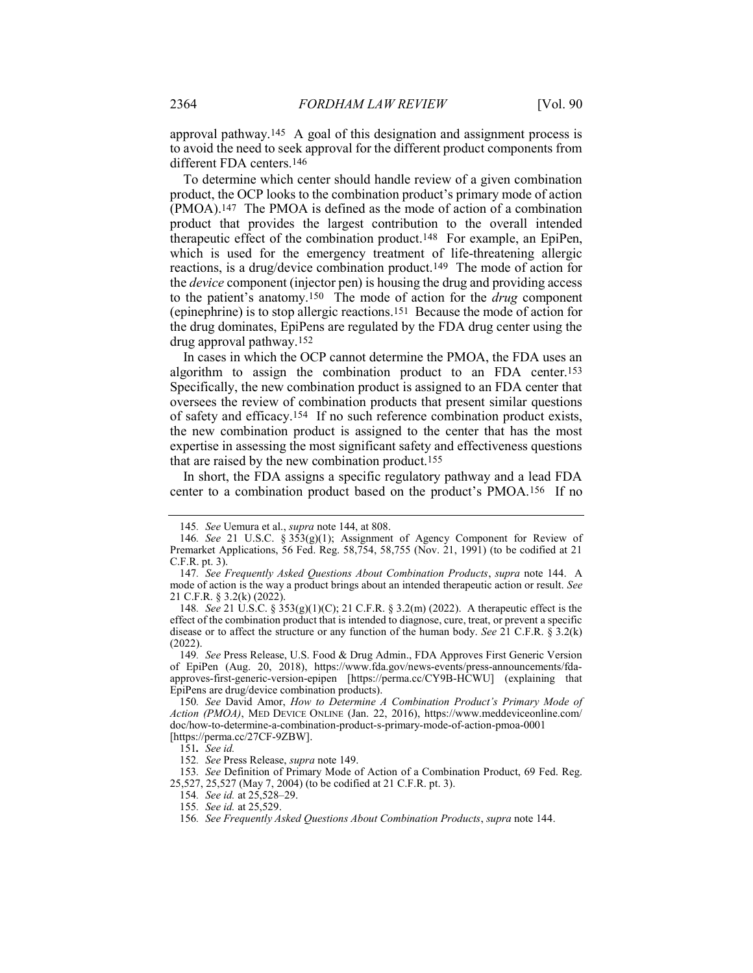approval pathway.145 A goal of this designation and assignment process is to avoid the need to seek approval for the different product components from different FDA centers.146

To determine which center should handle review of a given combination product, the OCP looks to the combination product's primary mode of action (PMOA).147 The PMOA is defined as the mode of action of a combination product that provides the largest contribution to the overall intended therapeutic effect of the combination product.148 For example, an EpiPen, which is used for the emergency treatment of life-threatening allergic reactions, is a drug/device combination product.149 The mode of action for the device component (injector pen) is housing the drug and providing access to the patient's anatomy.<sup>150</sup> The mode of action for the *drug* component (epinephrine) is to stop allergic reactions.151 Because the mode of action for the drug dominates, EpiPens are regulated by the FDA drug center using the drug approval pathway.152

In cases in which the OCP cannot determine the PMOA, the FDA uses an algorithm to assign the combination product to an FDA center.153 Specifically, the new combination product is assigned to an FDA center that oversees the review of combination products that present similar questions of safety and efficacy.154 If no such reference combination product exists, the new combination product is assigned to the center that has the most expertise in assessing the most significant safety and effectiveness questions that are raised by the new combination product.155

In short, the FDA assigns a specific regulatory pathway and a lead FDA center to a combination product based on the product's PMOA.156 If no

<sup>145</sup>. See Uemura et al., supra note 144, at 808.

<sup>146</sup>. See 21 U.S.C. § 353(g)(1); Assignment of Agency Component for Review of Premarket Applications, 56 Fed. Reg. 58,754, 58,755 (Nov. 21, 1991) (to be codified at 21 C.F.R. pt. 3).

<sup>147</sup>. See Frequently Asked Questions About Combination Products, supra note 144. A mode of action is the way a product brings about an intended therapeutic action or result. See 21 C.F.R. § 3.2(k) (2022).

<sup>148</sup>. See 21 U.S.C. § 353(g)(1)(C); 21 C.F.R. § 3.2(m) (2022). A therapeutic effect is the effect of the combination product that is intended to diagnose, cure, treat, or prevent a specific disease or to affect the structure or any function of the human body. See 21 C.F.R.  $\S 3.2(k)$ (2022).

<sup>149</sup>. See Press Release, U.S. Food & Drug Admin., FDA Approves First Generic Version of EpiPen (Aug. 20, 2018), https://www.fda.gov/news-events/press-announcements/fdaapproves-first-generic-version-epipen [https://perma.cc/CY9B-HCWU] (explaining that EpiPens are drug/device combination products).

<sup>150.</sup> See David Amor, How to Determine A Combination Product's Primary Mode of Action (PMOA), MED DEVICE ONLINE (Jan. 22, 2016), https://www.meddeviceonline.com/ doc/how-to-determine-a-combination-product-s-primary-mode-of-action-pmoa-0001 [https://perma.cc/27CF-9ZBW].

<sup>151</sup>. See id.

<sup>152</sup>. See Press Release, supra note 149.

<sup>153</sup>. See Definition of Primary Mode of Action of a Combination Product, 69 Fed. Reg. 25,527, 25,527 (May 7, 2004) (to be codified at 21 C.F.R. pt. 3).

<sup>154</sup>. See id. at 25,528–29.

<sup>155</sup>. See id. at 25,529.

<sup>156</sup>. See Frequently Asked Questions About Combination Products, supra note 144.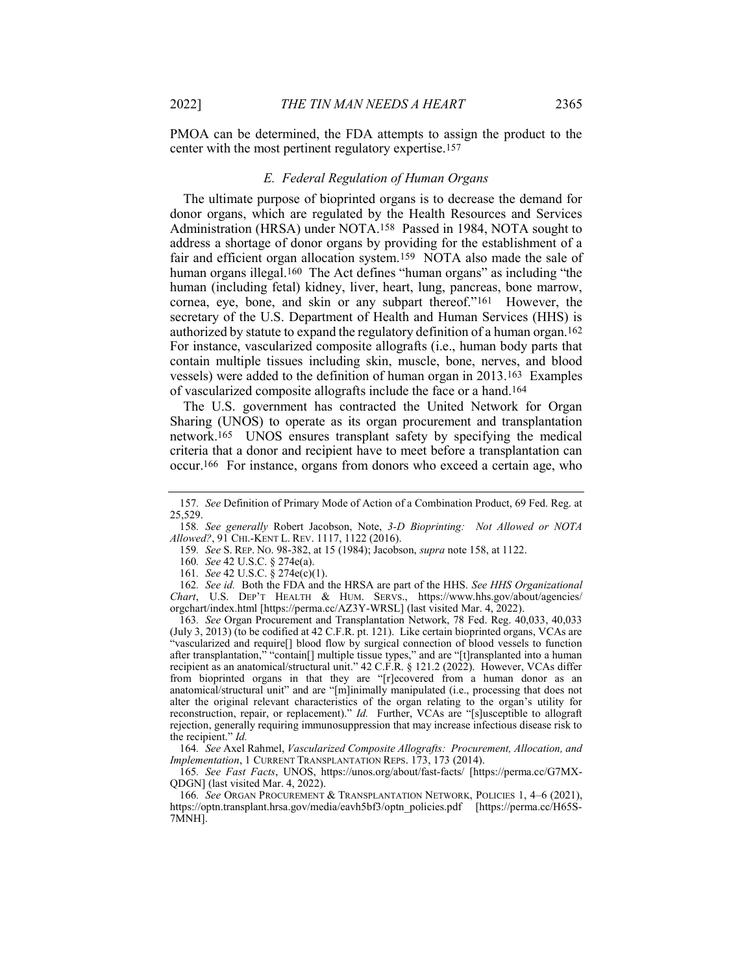PMOA can be determined, the FDA attempts to assign the product to the center with the most pertinent regulatory expertise.157

#### E. Federal Regulation of Human Organs

The ultimate purpose of bioprinted organs is to decrease the demand for donor organs, which are regulated by the Health Resources and Services Administration (HRSA) under NOTA.158 Passed in 1984, NOTA sought to address a shortage of donor organs by providing for the establishment of a fair and efficient organ allocation system.159 NOTA also made the sale of human organs illegal.<sup>160</sup> The Act defines "human organs" as including "the human (including fetal) kidney, liver, heart, lung, pancreas, bone marrow, cornea, eye, bone, and skin or any subpart thereof."161 However, the secretary of the U.S. Department of Health and Human Services (HHS) is authorized by statute to expand the regulatory definition of a human organ.162 For instance, vascularized composite allografts (i.e., human body parts that contain multiple tissues including skin, muscle, bone, nerves, and blood vessels) were added to the definition of human organ in 2013.163 Examples of vascularized composite allografts include the face or a hand.164

The U.S. government has contracted the United Network for Organ Sharing (UNOS) to operate as its organ procurement and transplantation network.165 UNOS ensures transplant safety by specifying the medical criteria that a donor and recipient have to meet before a transplantation can occur.166 For instance, organs from donors who exceed a certain age, who

163. See Organ Procurement and Transplantation Network, 78 Fed. Reg. 40,033, 40,033 (July 3, 2013) (to be codified at 42 C.F.R. pt. 121). Like certain bioprinted organs, VCAs are "vascularized and require[] blood flow by surgical connection of blood vessels to function after transplantation," "contain[] multiple tissue types," and are "[t]ransplanted into a human recipient as an anatomical/structural unit." 42 C.F.R. § 121.2 (2022). However, VCAs differ from bioprinted organs in that they are "[r]ecovered from a human donor as an anatomical/structural unit" and are "[m]inimally manipulated (i.e., processing that does not alter the original relevant characteristics of the organ relating to the organ's utility for reconstruction, repair, or replacement)." Id. Further, VCAs are "[s]usceptible to allograft rejection, generally requiring immunosuppression that may increase infectious disease risk to the recipient." Id.

164. See Axel Rahmel, Vascularized Composite Allografts: Procurement, Allocation, and Implementation, 1 CURRENT TRANSPLANTATION REPS. 173, 173 (2014).

165. See Fast Facts, UNOS, https://unos.org/about/fast-facts/ [https://perma.cc/G7MX-QDGN] (last visited Mar. 4, 2022).

166. See ORGAN PROCUREMENT & TRANSPLANTATION NETWORK, POLICIES 1, 4–6 (2021), https://optn.transplant.hrsa.gov/media/eavh5bf3/optn\_policies.pdf [https://perma.cc/H65S-7MNH].

<sup>157</sup>. See Definition of Primary Mode of Action of a Combination Product, 69 Fed. Reg. at 25,529.

<sup>158.</sup> See generally Robert Jacobson, Note, 3-D Bioprinting: Not Allowed or NOTA Allowed?, 91 CHI.-KENT L. REV. 1117, 1122 (2016).

<sup>159</sup>. See S. REP. NO. 98-382, at 15 (1984); Jacobson, supra note 158, at 1122.

<sup>160</sup>. See 42 U.S.C. § 274e(a).

<sup>161</sup>. See 42 U.S.C. § 274e(c)(1).

<sup>162.</sup> See id. Both the FDA and the HRSA are part of the HHS. See HHS Organizational Chart, U.S. DEP'T HEALTH & HUM. SERVS., https://www.hhs.gov/about/agencies/ orgchart/index.html [https://perma.cc/AZ3Y-WRSL] (last visited Mar. 4, 2022).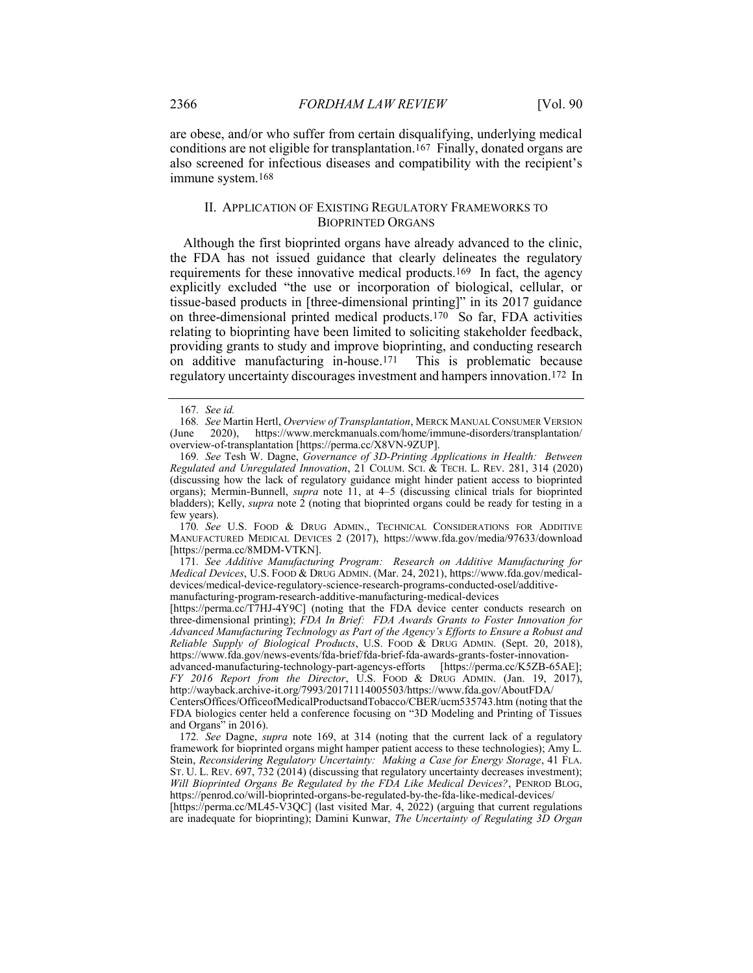are obese, and/or who suffer from certain disqualifying, underlying medical conditions are not eligible for transplantation.167 Finally, donated organs are also screened for infectious diseases and compatibility with the recipient's immune system.168

#### II. APPLICATION OF EXISTING REGULATORY FRAMEWORKS TO BIOPRINTED ORGANS

Although the first bioprinted organs have already advanced to the clinic, the FDA has not issued guidance that clearly delineates the regulatory requirements for these innovative medical products.169 In fact, the agency explicitly excluded "the use or incorporation of biological, cellular, or tissue-based products in [three-dimensional printing]" in its 2017 guidance on three-dimensional printed medical products.<sup>170</sup> So far, FDA activities relating to bioprinting have been limited to soliciting stakeholder feedback, providing grants to study and improve bioprinting, and conducting research on additive manufacturing in-house.171 This is problematic because regulatory uncertainty discourages investment and hampers innovation.172 In

170. See U.S. FOOD & DRUG ADMIN., TECHNICAL CONSIDERATIONS FOR ADDITIVE MANUFACTURED MEDICAL DEVICES 2 (2017), https://www.fda.gov/media/97633/download [https://perma.cc/8MDM-VTKN].

171. See Additive Manufacturing Program: Research on Additive Manufacturing for Medical Devices, U.S. FOOD & DRUG ADMIN. (Mar. 24, 2021), https://www.fda.gov/medicaldevices/medical-device-regulatory-science-research-programs-conducted-osel/additivemanufacturing-program-research-additive-manufacturing-medical-devices

[https://perma.cc/T7HJ-4Y9C] (noting that the FDA device center conducts research on three-dimensional printing); FDA In Brief: FDA Awards Grants to Foster Innovation for Advanced Manufacturing Technology as Part of the Agency's Efforts to Ensure a Robust and Reliable Supply of Biological Products, U.S. FOOD & DRUG ADMIN. (Sept. 20, 2018), https://www.fda.gov/news-events/fda-brief/fda-brief-fda-awards-grants-foster-innovation-

advanced-manufacturing-technology-part-agencys-efforts [https://perma.cc/K5ZB-65AE]; FY 2016 Report from the Director, U.S. FOOD & DRUG ADMIN. (Jan. 19, 2017), http://wayback.archive-it.org/7993/20171114005503/https://www.fda.gov/AboutFDA/

CentersOffices/OfficeofMedicalProductsandTobacco/CBER/ucm535743.htm (noting that the FDA biologics center held a conference focusing on "3D Modeling and Printing of Tissues and Organs" in 2016).

172. See Dagne, supra note 169, at 314 (noting that the current lack of a regulatory framework for bioprinted organs might hamper patient access to these technologies); Amy L. Stein, Reconsidering Regulatory Uncertainty: Making a Case for Energy Storage, 41 FLA. ST. U. L. REV. 697, 732 (2014) (discussing that regulatory uncertainty decreases investment); Will Bioprinted Organs Be Regulated by the FDA Like Medical Devices?, PENROD BLOG, https://penrod.co/will-bioprinted-organs-be-regulated-by-the-fda-like-medical-devices/

[https://perma.cc/ML45-V3QC] (last visited Mar. 4, 2022) (arguing that current regulations are inadequate for bioprinting); Damini Kunwar, The Uncertainty of Regulating 3D Organ

<sup>167</sup>. See id.

<sup>168.</sup> See Martin Hertl, Overview of Transplantation, MERCK MANUAL CONSUMER VERSION (June 2020), https://www.merckmanuals.com/home/immune-disorders/transplantation/ overview-of-transplantation [https://perma.cc/X8VN-9ZUP].

<sup>169</sup>. See Tesh W. Dagne, Governance of 3D-Printing Applications in Health: Between Regulated and Unregulated Innovation, 21 COLUM. SCI. & TECH. L. REV. 281, 314 (2020) (discussing how the lack of regulatory guidance might hinder patient access to bioprinted organs); Mermin-Bunnell, *supra* note 11, at 4–5 (discussing clinical trials for bioprinted bladders); Kelly, *supra* note 2 (noting that bioprinted organs could be ready for testing in a few years).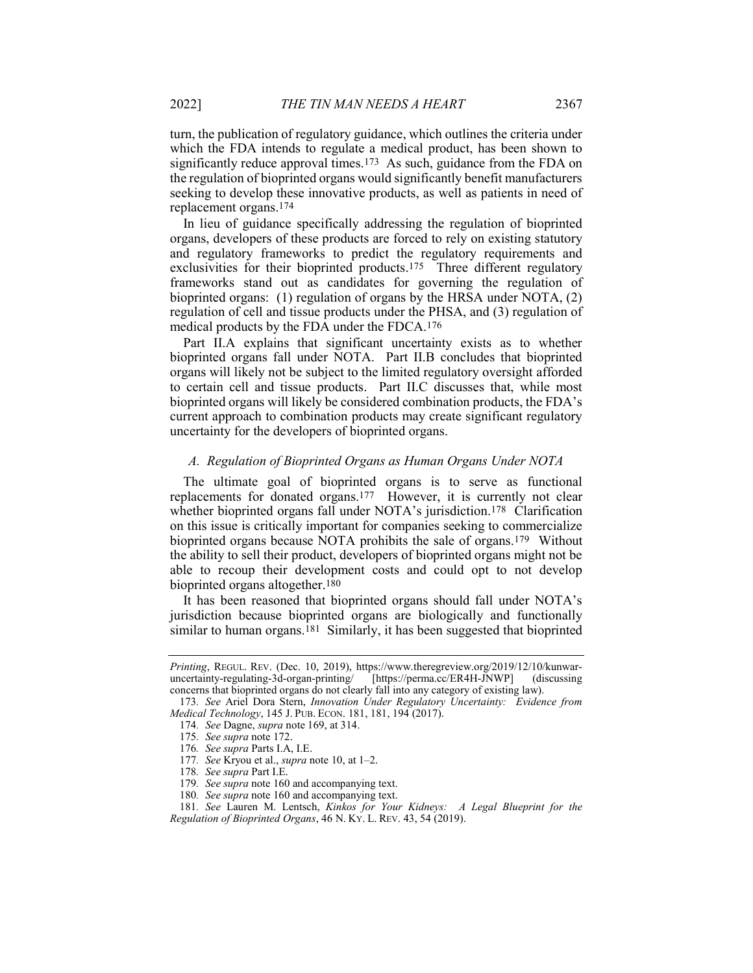turn, the publication of regulatory guidance, which outlines the criteria under which the FDA intends to regulate a medical product, has been shown to significantly reduce approval times.173 As such, guidance from the FDA on the regulation of bioprinted organs would significantly benefit manufacturers seeking to develop these innovative products, as well as patients in need of replacement organs.174

In lieu of guidance specifically addressing the regulation of bioprinted organs, developers of these products are forced to rely on existing statutory and regulatory frameworks to predict the regulatory requirements and exclusivities for their bioprinted products.<sup>175</sup> Three different regulatory frameworks stand out as candidates for governing the regulation of bioprinted organs: (1) regulation of organs by the HRSA under NOTA, (2) regulation of cell and tissue products under the PHSA, and (3) regulation of medical products by the FDA under the FDCA.176

Part II.A explains that significant uncertainty exists as to whether bioprinted organs fall under NOTA. Part II.B concludes that bioprinted organs will likely not be subject to the limited regulatory oversight afforded to certain cell and tissue products. Part II.C discusses that, while most bioprinted organs will likely be considered combination products, the FDA's current approach to combination products may create significant regulatory uncertainty for the developers of bioprinted organs.

#### A. Regulation of Bioprinted Organs as Human Organs Under NOTA

The ultimate goal of bioprinted organs is to serve as functional replacements for donated organs.177 However, it is currently not clear whether bioprinted organs fall under NOTA's jurisdiction.<sup>178</sup> Clarification on this issue is critically important for companies seeking to commercialize bioprinted organs because NOTA prohibits the sale of organs.179 Without the ability to sell their product, developers of bioprinted organs might not be able to recoup their development costs and could opt to not develop bioprinted organs altogether.180

It has been reasoned that bioprinted organs should fall under NOTA's jurisdiction because bioprinted organs are biologically and functionally similar to human organs.<sup>181</sup> Similarly, it has been suggested that bioprinted

Printing, REGUL. REV. (Dec. 10, 2019), https://www.theregreview.org/2019/12/10/kunwaruncertainty-regulating-3d-organ-printing/ [https://perma.cc/ER4H-JNWP] (discussing concerns that bioprinted organs do not clearly fall into any category of existing law).

<sup>173.</sup> See Ariel Dora Stern, Innovation Under Regulatory Uncertainty: Evidence from Medical Technology, 145 J. PUB. ECON. 181, 181, 194 (2017).

<sup>174</sup>. See Dagne, supra note 169, at 314.

<sup>175</sup>. See supra note 172.

<sup>176</sup>. See supra Parts I.A, I.E.

<sup>177.</sup> See Kryou et al., *supra* note 10, at 1-2.

<sup>178</sup>. See supra Part I.E.

<sup>179.</sup> See supra note 160 and accompanying text.

<sup>180.</sup> See supra note 160 and accompanying text.

<sup>181</sup>. See Lauren M. Lentsch, Kinkos for Your Kidneys: A Legal Blueprint for the Regulation of Bioprinted Organs, 46 N. KY. L. REV. 43, 54 (2019).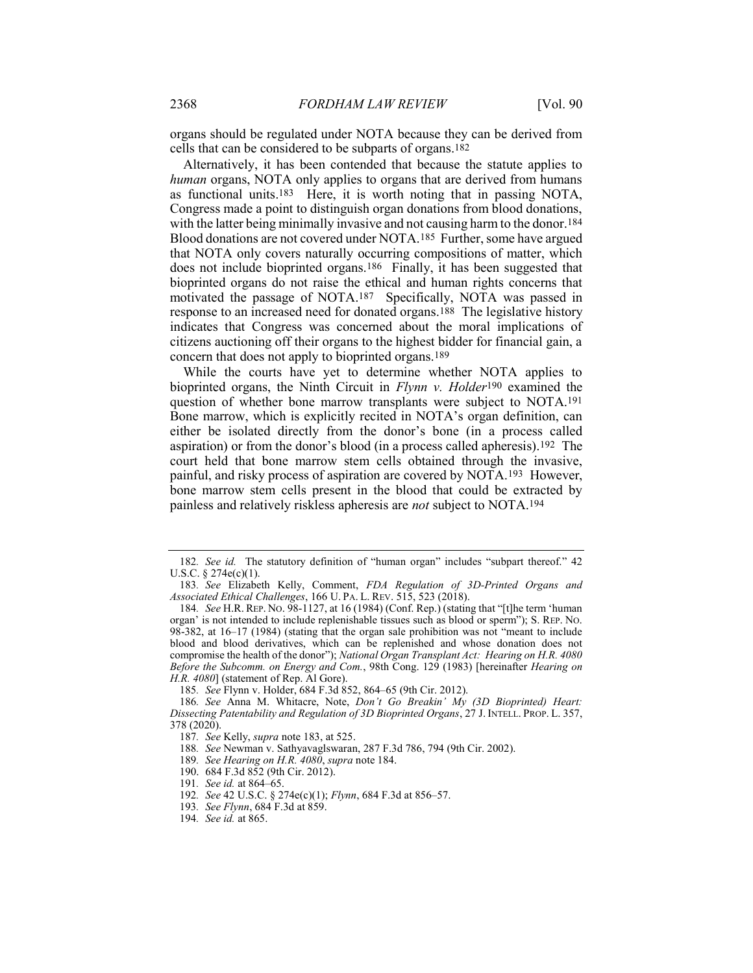organs should be regulated under NOTA because they can be derived from cells that can be considered to be subparts of organs.182

Alternatively, it has been contended that because the statute applies to human organs, NOTA only applies to organs that are derived from humans as functional units.183 Here, it is worth noting that in passing NOTA, Congress made a point to distinguish organ donations from blood donations, with the latter being minimally invasive and not causing harm to the donor.<sup>184</sup> Blood donations are not covered under NOTA.185 Further, some have argued that NOTA only covers naturally occurring compositions of matter, which does not include bioprinted organs.186 Finally, it has been suggested that bioprinted organs do not raise the ethical and human rights concerns that motivated the passage of NOTA.187 Specifically, NOTA was passed in response to an increased need for donated organs.188 The legislative history indicates that Congress was concerned about the moral implications of citizens auctioning off their organs to the highest bidder for financial gain, a concern that does not apply to bioprinted organs.189

While the courts have yet to determine whether NOTA applies to bioprinted organs, the Ninth Circuit in Flynn v. Holder<sup>190</sup> examined the question of whether bone marrow transplants were subject to NOTA.191 Bone marrow, which is explicitly recited in NOTA's organ definition, can either be isolated directly from the donor's bone (in a process called aspiration) or from the donor's blood (in a process called apheresis).192 The court held that bone marrow stem cells obtained through the invasive, painful, and risky process of aspiration are covered by NOTA.193 However, bone marrow stem cells present in the blood that could be extracted by painless and relatively riskless apheresis are not subject to NOTA.194

191. See id. at 864–65.

<sup>182</sup>. See id. The statutory definition of "human organ" includes "subpart thereof." 42 U.S.C. § 274e(c)(1).

<sup>183</sup>. See Elizabeth Kelly, Comment, FDA Regulation of 3D-Printed Organs and Associated Ethical Challenges, 166 U. PA. L. REV. 515, 523 (2018).

<sup>184</sup>. See H.R. REP. NO. 98-1127, at 16 (1984) (Conf. Rep.) (stating that "[t]he term 'human organ' is not intended to include replenishable tissues such as blood or sperm"); S. REP. NO. 98-382, at 16–17 (1984) (stating that the organ sale prohibition was not "meant to include blood and blood derivatives, which can be replenished and whose donation does not compromise the health of the donor"); National Organ Transplant Act: Hearing on H.R. 4080 Before the Subcomm. on Energy and Com., 98th Cong. 129 (1983) [hereinafter Hearing on H.R. 4080] (statement of Rep. Al Gore).

<sup>185</sup>. See Flynn v. Holder, 684 F.3d 852, 864–65 (9th Cir. 2012).

<sup>186.</sup> See Anna M. Whitacre, Note, Don't Go Breakin' My (3D Bioprinted) Heart: Dissecting Patentability and Regulation of 3D Bioprinted Organs, 27 J. INTELL. PROP. L. 357, 378 (2020).

<sup>187</sup>. See Kelly, supra note 183, at 525.

<sup>188</sup>. See Newman v. Sathyavaglswaran, 287 F.3d 786, 794 (9th Cir. 2002).

<sup>189</sup>. See Hearing on H.R. 4080, supra note 184.

 <sup>190. 684</sup> F.3d 852 (9th Cir. 2012).

<sup>192</sup>. See 42 U.S.C. § 274e(c)(1); Flynn, 684 F.3d at 856–57.

<sup>193</sup>. See Flynn, 684 F.3d at 859.

<sup>194</sup>. See id. at 865.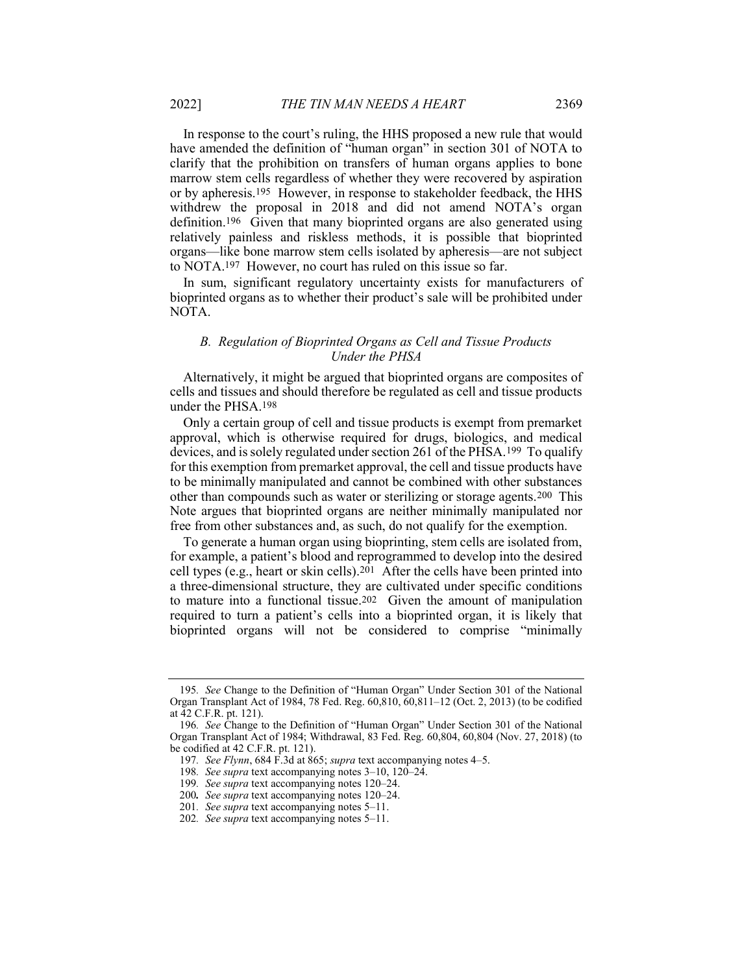In response to the court's ruling, the HHS proposed a new rule that would have amended the definition of "human organ" in section 301 of NOTA to clarify that the prohibition on transfers of human organs applies to bone marrow stem cells regardless of whether they were recovered by aspiration or by apheresis.195 However, in response to stakeholder feedback, the HHS withdrew the proposal in 2018 and did not amend NOTA's organ definition.196 Given that many bioprinted organs are also generated using relatively painless and riskless methods, it is possible that bioprinted organs—like bone marrow stem cells isolated by apheresis—are not subject to NOTA.197 However, no court has ruled on this issue so far.

In sum, significant regulatory uncertainty exists for manufacturers of bioprinted organs as to whether their product's sale will be prohibited under NOTA.

#### B. Regulation of Bioprinted Organs as Cell and Tissue Products Under the PHSA

Alternatively, it might be argued that bioprinted organs are composites of cells and tissues and should therefore be regulated as cell and tissue products under the PHSA.198

Only a certain group of cell and tissue products is exempt from premarket approval, which is otherwise required for drugs, biologics, and medical devices, and is solely regulated under section 261 of the PHSA.199 To qualify for this exemption from premarket approval, the cell and tissue products have to be minimally manipulated and cannot be combined with other substances other than compounds such as water or sterilizing or storage agents.200 This Note argues that bioprinted organs are neither minimally manipulated nor free from other substances and, as such, do not qualify for the exemption.

To generate a human organ using bioprinting, stem cells are isolated from, for example, a patient's blood and reprogrammed to develop into the desired cell types (e.g., heart or skin cells).<sup>201</sup> After the cells have been printed into a three-dimensional structure, they are cultivated under specific conditions to mature into a functional tissue.202 Given the amount of manipulation required to turn a patient's cells into a bioprinted organ, it is likely that bioprinted organs will not be considered to comprise "minimally

<sup>195</sup>. See Change to the Definition of "Human Organ" Under Section 301 of the National Organ Transplant Act of 1984, 78 Fed. Reg. 60,810, 60,811–12 (Oct. 2, 2013) (to be codified at 42 C.F.R. pt. 121).

<sup>196</sup>. See Change to the Definition of "Human Organ" Under Section 301 of the National Organ Transplant Act of 1984; Withdrawal, 83 Fed. Reg. 60,804, 60,804 (Nov. 27, 2018) (to be codified at 42 C.F.R. pt. 121).

<sup>197.</sup> See Flynn, 684 F.3d at 865; supra text accompanying notes 4-5.

<sup>198</sup>. See supra text accompanying notes 3–10, 120–24.

<sup>199</sup>. See supra text accompanying notes 120–24.

<sup>200</sup>. See supra text accompanying notes 120–24.

<sup>201.</sup> See supra text accompanying notes 5–11.

<sup>202</sup>. See supra text accompanying notes 5–11.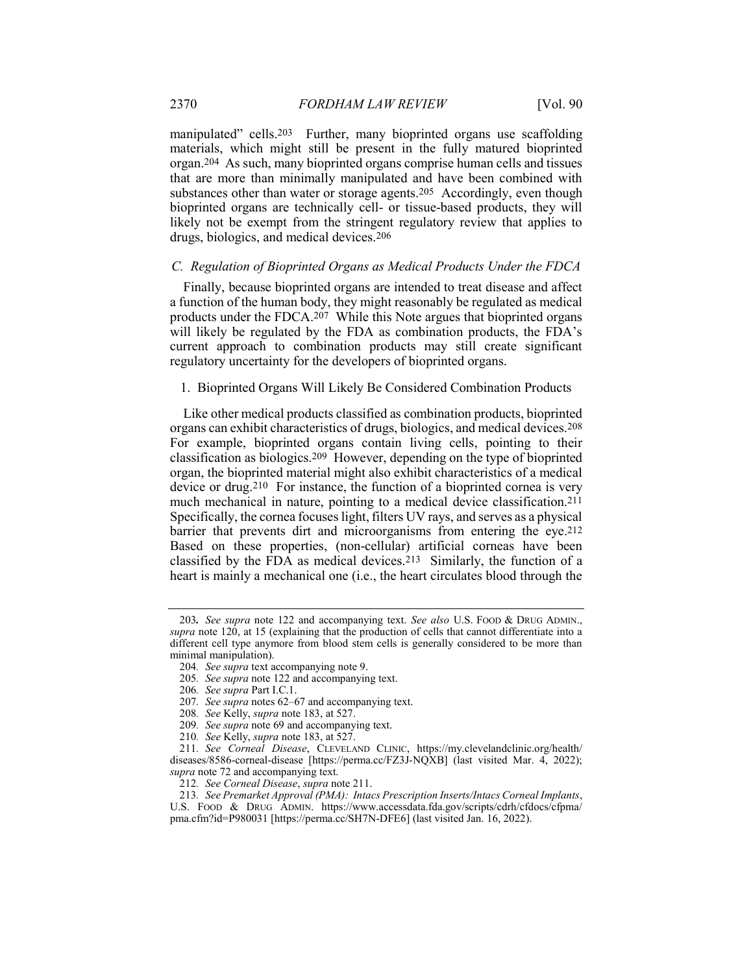manipulated" cells.<sup>203</sup> Further, many bioprinted organs use scaffolding materials, which might still be present in the fully matured bioprinted organ.204 As such, many bioprinted organs comprise human cells and tissues that are more than minimally manipulated and have been combined with substances other than water or storage agents.205 Accordingly, even though bioprinted organs are technically cell- or tissue-based products, they will likely not be exempt from the stringent regulatory review that applies to drugs, biologics, and medical devices.206

#### C. Regulation of Bioprinted Organs as Medical Products Under the FDCA

Finally, because bioprinted organs are intended to treat disease and affect a function of the human body, they might reasonably be regulated as medical products under the FDCA.207 While this Note argues that bioprinted organs will likely be regulated by the FDA as combination products, the FDA's current approach to combination products may still create significant regulatory uncertainty for the developers of bioprinted organs.

#### 1. Bioprinted Organs Will Likely Be Considered Combination Products

Like other medical products classified as combination products, bioprinted organs can exhibit characteristics of drugs, biologics, and medical devices.208 For example, bioprinted organs contain living cells, pointing to their classification as biologics.209 However, depending on the type of bioprinted organ, the bioprinted material might also exhibit characteristics of a medical device or drug.210 For instance, the function of a bioprinted cornea is very much mechanical in nature, pointing to a medical device classification.211 Specifically, the cornea focuses light, filters UV rays, and serves as a physical barrier that prevents dirt and microorganisms from entering the eye.<sup>212</sup> Based on these properties, (non-cellular) artificial corneas have been classified by the FDA as medical devices.213 Similarly, the function of a heart is mainly a mechanical one (i.e., the heart circulates blood through the

<sup>203.</sup> See supra note 122 and accompanying text. See also U.S. Food & DRUG ADMIN., supra note 120, at 15 (explaining that the production of cells that cannot differentiate into a different cell type anymore from blood stem cells is generally considered to be more than minimal manipulation).

<sup>204</sup>. See supra text accompanying note 9.

<sup>205</sup>. See supra note 122 and accompanying text.

<sup>206</sup>. See supra Part I.C.1.

<sup>207.</sup> See supra notes 62–67 and accompanying text.

<sup>208</sup>. See Kelly, supra note 183, at 527.

<sup>209</sup>. See supra note 69 and accompanying text.

<sup>210.</sup> See Kelly, supra note 183, at 527.

<sup>211</sup>. See Corneal Disease, CLEVELAND CLINIC, https://my.clevelandclinic.org/health/ diseases/8586-corneal-disease [https://perma.cc/FZ3J-NQXB] (last visited Mar. 4, 2022); supra note 72 and accompanying text.

<sup>212</sup>. See Corneal Disease, supra note 211.

<sup>213.</sup> See Premarket Approval (PMA): Intacs Prescription Inserts/Intacs Corneal Implants, U.S. FOOD & DRUG ADMIN. https://www.accessdata.fda.gov/scripts/cdrh/cfdocs/cfpma/ pma.cfm?id=P980031 [https://perma.cc/SH7N-DFE6] (last visited Jan. 16, 2022).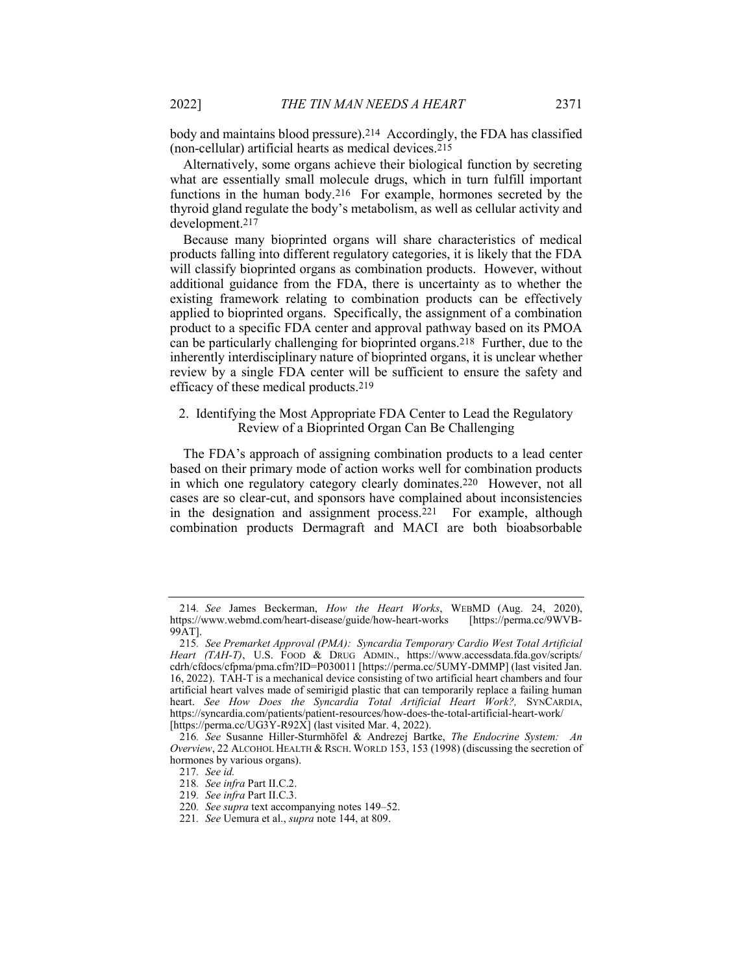body and maintains blood pressure).214 Accordingly, the FDA has classified (non-cellular) artificial hearts as medical devices.215

Alternatively, some organs achieve their biological function by secreting what are essentially small molecule drugs, which in turn fulfill important functions in the human body.216 For example, hormones secreted by the thyroid gland regulate the body's metabolism, as well as cellular activity and development.217

Because many bioprinted organs will share characteristics of medical products falling into different regulatory categories, it is likely that the FDA will classify bioprinted organs as combination products. However, without additional guidance from the FDA, there is uncertainty as to whether the existing framework relating to combination products can be effectively applied to bioprinted organs. Specifically, the assignment of a combination product to a specific FDA center and approval pathway based on its PMOA can be particularly challenging for bioprinted organs.218 Further, due to the inherently interdisciplinary nature of bioprinted organs, it is unclear whether review by a single FDA center will be sufficient to ensure the safety and efficacy of these medical products.219

#### 2. Identifying the Most Appropriate FDA Center to Lead the Regulatory Review of a Bioprinted Organ Can Be Challenging

The FDA's approach of assigning combination products to a lead center based on their primary mode of action works well for combination products in which one regulatory category clearly dominates.220 However, not all cases are so clear-cut, and sponsors have complained about inconsistencies in the designation and assignment process.221 For example, although combination products Dermagraft and MACI are both bioabsorbable

<sup>214.</sup> See James Beckerman, How the Heart Works, WEBMD (Aug. 24, 2020), tps://www.webmd.com/heart-disease/guide/how-heart-works [https://perma.cc/9WVBhttps://www.webmd.com/heart-disease/guide/how-heart-works 99AT].

<sup>215</sup>. See Premarket Approval (PMA): Syncardia Temporary Cardio West Total Artificial Heart (TAH-T), U.S. FOOD & DRUG ADMIN., https://www.accessdata.fda.gov/scripts/ cdrh/cfdocs/cfpma/pma.cfm?ID=P030011 [https://perma.cc/5UMY-DMMP] (last visited Jan. 16, 2022). TAH-T is a mechanical device consisting of two artificial heart chambers and four artificial heart valves made of semirigid plastic that can temporarily replace a failing human heart. See How Does the Syncardia Total Artificial Heart Work?, SYNCARDIA, https://syncardia.com/patients/patient-resources/how-does-the-total-artificial-heart-work/ [https://perma.cc/UG3Y-R92X] (last visited Mar. 4, 2022).

<sup>216</sup>. See Susanne Hiller-Sturmhöfel & Andrezej Bartke, The Endocrine System: An Overview, 22 ALCOHOL HEALTH & RSCH. WORLD 153, 153 (1998) (discussing the secretion of hormones by various organs).

<sup>217</sup>. See id.

<sup>218</sup>. See infra Part II.C.2.

<sup>219</sup>. See infra Part II.C.3.

<sup>220</sup>. See supra text accompanying notes 149–52.

<sup>221</sup>. See Uemura et al., supra note 144, at 809.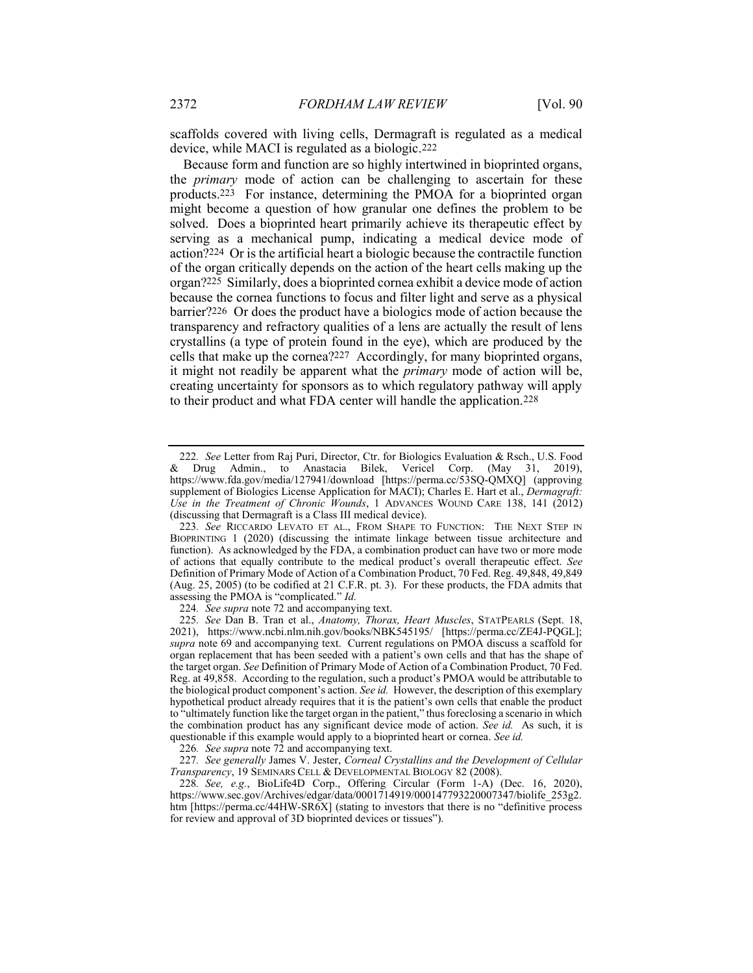scaffolds covered with living cells, Dermagraft is regulated as a medical device, while MACI is regulated as a biologic.222

Because form and function are so highly intertwined in bioprinted organs, the *primary* mode of action can be challenging to ascertain for these products.223 For instance, determining the PMOA for a bioprinted organ might become a question of how granular one defines the problem to be solved. Does a bioprinted heart primarily achieve its therapeutic effect by serving as a mechanical pump, indicating a medical device mode of action?224 Or is the artificial heart a biologic because the contractile function of the organ critically depends on the action of the heart cells making up the organ?225 Similarly, does a bioprinted cornea exhibit a device mode of action because the cornea functions to focus and filter light and serve as a physical barrier?226 Or does the product have a biologics mode of action because the transparency and refractory qualities of a lens are actually the result of lens crystallins (a type of protein found in the eye), which are produced by the cells that make up the cornea?227 Accordingly, for many bioprinted organs, it might not readily be apparent what the primary mode of action will be, creating uncertainty for sponsors as to which regulatory pathway will apply to their product and what FDA center will handle the application.228

<sup>222</sup>. See Letter from Raj Puri, Director, Ctr. for Biologics Evaluation & Rsch., U.S. Food & Drug Admin., to Anastacia Bilek, Vericel Corp. (May 31, 2019), https://www.fda.gov/media/127941/download [https://perma.cc/53SQ-QMXQ] (approving supplement of Biologics License Application for MACI); Charles E. Hart et al., *Dermagraft*: Use in the Treatment of Chronic Wounds, 1 ADVANCES WOUND CARE 138, 141 (2012) (discussing that Dermagraft is a Class III medical device).

<sup>223</sup>. See RICCARDO LEVATO ET AL., FROM SHAPE TO FUNCTION: THE NEXT STEP IN BIOPRINTING 1 (2020) (discussing the intimate linkage between tissue architecture and function). As acknowledged by the FDA, a combination product can have two or more mode of actions that equally contribute to the medical product's overall therapeutic effect. See Definition of Primary Mode of Action of a Combination Product, 70 Fed. Reg. 49,848, 49,849 (Aug. 25, 2005) (to be codified at 21 C.F.R. pt. 3). For these products, the FDA admits that assessing the PMOA is "complicated." Id.

<sup>224</sup>. See supra note 72 and accompanying text.

<sup>225</sup>. See Dan B. Tran et al., Anatomy, Thorax, Heart Muscles, STATPEARLS (Sept. 18, 2021), https://www.ncbi.nlm.nih.gov/books/NBK545195/ [https://perma.cc/ZE4J-PQGL]; supra note 69 and accompanying text. Current regulations on PMOA discuss a scaffold for organ replacement that has been seeded with a patient's own cells and that has the shape of the target organ. See Definition of Primary Mode of Action of a Combination Product, 70 Fed. Reg. at 49,858. According to the regulation, such a product's PMOA would be attributable to the biological product component's action. See id. However, the description of this exemplary hypothetical product already requires that it is the patient's own cells that enable the product to "ultimately function like the target organ in the patient," thus foreclosing a scenario in which the combination product has any significant device mode of action. See id. As such, it is questionable if this example would apply to a bioprinted heart or cornea. See id.

<sup>226</sup>. See supra note 72 and accompanying text.

<sup>227</sup>. See generally James V. Jester, Corneal Crystallins and the Development of Cellular Transparency, 19 SEMINARS CELL & DEVELOPMENTAL BIOLOGY 82 (2008).

<sup>228</sup>. See, e.g., BioLife4D Corp., Offering Circular (Form 1-A) (Dec. 16, 2020), https://www.sec.gov/Archives/edgar/data/0001714919/000147793220007347/biolife\_253g2. htm [https://perma.cc/44HW-SR6X] (stating to investors that there is no "definitive process for review and approval of 3D bioprinted devices or tissues").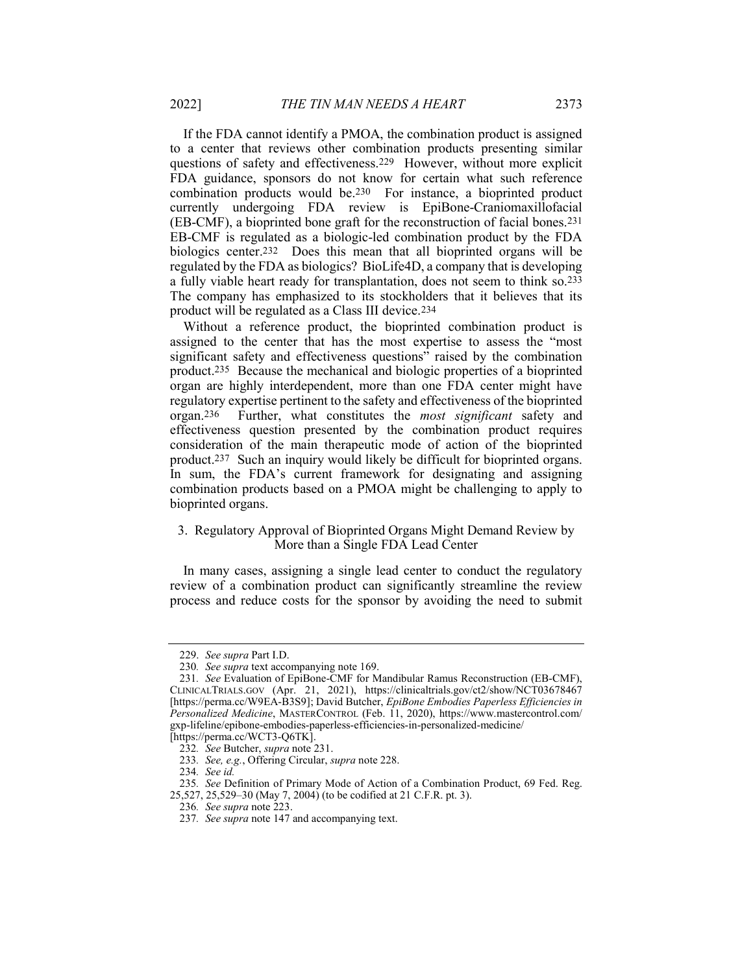If the FDA cannot identify a PMOA, the combination product is assigned to a center that reviews other combination products presenting similar questions of safety and effectiveness.229 However, without more explicit FDA guidance, sponsors do not know for certain what such reference combination products would be.230 For instance, a bioprinted product currently undergoing FDA review is EpiBone-Craniomaxillofacial (EB-CMF), a bioprinted bone graft for the reconstruction of facial bones.231 EB-CMF is regulated as a biologic-led combination product by the FDA biologics center.232 Does this mean that all bioprinted organs will be regulated by the FDA as biologics? BioLife4D, a company that is developing a fully viable heart ready for transplantation, does not seem to think so.233 The company has emphasized to its stockholders that it believes that its product will be regulated as a Class III device.234

Without a reference product, the bioprinted combination product is assigned to the center that has the most expertise to assess the "most significant safety and effectiveness questions" raised by the combination product.235 Because the mechanical and biologic properties of a bioprinted organ are highly interdependent, more than one FDA center might have regulatory expertise pertinent to the safety and effectiveness of the bioprinted organ.236 Further, what constitutes the most significant safety and effectiveness question presented by the combination product requires consideration of the main therapeutic mode of action of the bioprinted product.237 Such an inquiry would likely be difficult for bioprinted organs. In sum, the FDA's current framework for designating and assigning combination products based on a PMOA might be challenging to apply to bioprinted organs.

#### 3. Regulatory Approval of Bioprinted Organs Might Demand Review by More than a Single FDA Lead Center

In many cases, assigning a single lead center to conduct the regulatory review of a combination product can significantly streamline the review process and reduce costs for the sponsor by avoiding the need to submit

 <sup>229.</sup> See supra Part I.D.

<sup>230</sup>. See supra text accompanying note 169.

<sup>231</sup>. See Evaluation of EpiBone-CMF for Mandibular Ramus Reconstruction (EB-CMF), CLINICALTRIALS.GOV (Apr. 21, 2021), https://clinicaltrials.gov/ct2/show/NCT03678467 [https://perma.cc/W9EA-B3S9]; David Butcher, EpiBone Embodies Paperless Efficiencies in Personalized Medicine, MASTERCONTROL (Feb. 11, 2020), https://www.mastercontrol.com/ gxp-lifeline/epibone-embodies-paperless-efficiencies-in-personalized-medicine/

<sup>[</sup>https://perma.cc/WCT3-Q6TK].

<sup>232</sup>. See Butcher, supra note 231.

<sup>233</sup>. See, e.g., Offering Circular, supra note 228.

<sup>234</sup>. See id.

<sup>235</sup>. See Definition of Primary Mode of Action of a Combination Product, 69 Fed. Reg.

<sup>25,527, 25,529–30 (</sup>May 7, 2004) (to be codified at 21 C.F.R. pt. 3).

<sup>236</sup>. See supra note 223.

<sup>237.</sup> See supra note 147 and accompanying text.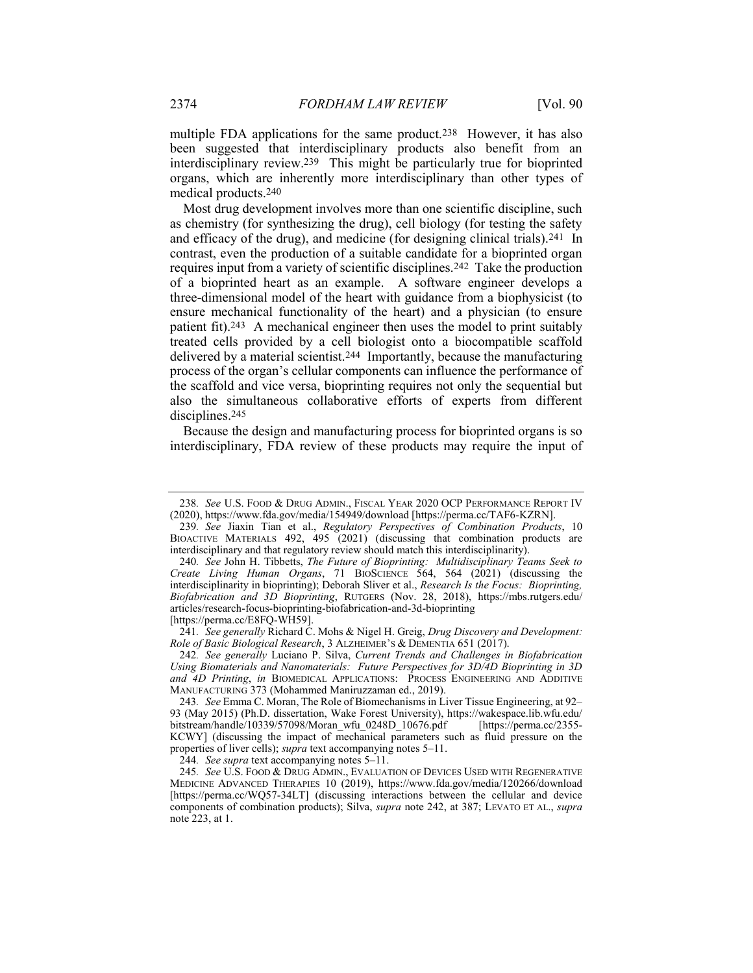multiple FDA applications for the same product.238 However, it has also been suggested that interdisciplinary products also benefit from an interdisciplinary review.239 This might be particularly true for bioprinted organs, which are inherently more interdisciplinary than other types of medical products.240

Most drug development involves more than one scientific discipline, such as chemistry (for synthesizing the drug), cell biology (for testing the safety and efficacy of the drug), and medicine (for designing clinical trials).241 In contrast, even the production of a suitable candidate for a bioprinted organ requires input from a variety of scientific disciplines.242 Take the production of a bioprinted heart as an example. A software engineer develops a three-dimensional model of the heart with guidance from a biophysicist (to ensure mechanical functionality of the heart) and a physician (to ensure patient fit).243 A mechanical engineer then uses the model to print suitably treated cells provided by a cell biologist onto a biocompatible scaffold delivered by a material scientist.244 Importantly, because the manufacturing process of the organ's cellular components can influence the performance of the scaffold and vice versa, bioprinting requires not only the sequential but also the simultaneous collaborative efforts of experts from different disciplines.245

Because the design and manufacturing process for bioprinted organs is so interdisciplinary, FDA review of these products may require the input of

[https://perma.cc/E8FQ-WH59].

241. See generally Richard C. Mohs & Nigel H. Greig, Drug Discovery and Development: Role of Basic Biological Research, 3 ALZHEIMER'S & DEMENTIA 651 (2017).

242. See generally Luciano P. Silva, Current Trends and Challenges in Biofabrication Using Biomaterials and Nanomaterials: Future Perspectives for 3D/4D Bioprinting in 3D and 4D Printing, in BIOMEDICAL APPLICATIONS: PROCESS ENGINEERING AND ADDITIVE MANUFACTURING 373 (Mohammed Maniruzzaman ed., 2019).

244. See supra text accompanying notes 5–11.

245. See U.S. FOOD & DRUG ADMIN., EVALUATION OF DEVICES USED WITH REGENERATIVE MEDICINE ADVANCED THERAPIES 10 (2019), https://www.fda.gov/media/120266/download [https://perma.cc/WQ57-34LT] (discussing interactions between the cellular and device components of combination products); Silva, supra note 242, at 387; LEVATO ET AL., supra note 223, at 1.

<sup>238</sup>. See U.S. FOOD & DRUG ADMIN., FISCAL YEAR 2020 OCP PERFORMANCE REPORT IV (2020), https://www.fda.gov/media/154949/download [https://perma.cc/TAF6-KZRN].

<sup>239</sup>. See Jiaxin Tian et al., Regulatory Perspectives of Combination Products, 10 BIOACTIVE MATERIALS 492, 495 (2021) (discussing that combination products are interdisciplinary and that regulatory review should match this interdisciplinarity).

<sup>240.</sup> See John H. Tibbetts, The Future of Bioprinting: Multidisciplinary Teams Seek to Create Living Human Organs, 71 BIOSCIENCE 564, 564 (2021) (discussing the interdisciplinarity in bioprinting); Deborah Sliver et al., Research Is the Focus: Bioprinting, Biofabrication and 3D Bioprinting, RUTGERS (Nov. 28, 2018), https://mbs.rutgers.edu/ articles/research-focus-bioprinting-biofabrication-and-3d-bioprinting

<sup>243</sup>. See Emma C. Moran, The Role of Biomechanisms in Liver Tissue Engineering, at 92– 93 (May 2015) (Ph.D. dissertation, Wake Forest University), https://wakespace.lib.wfu.edu/ bitstream/handle/10339/57098/Moran\_wfu\_0248D\_10676.pdf [https://perma.cc/2355- KCWY] (discussing the impact of mechanical parameters such as fluid pressure on the properties of liver cells); supra text accompanying notes 5–11.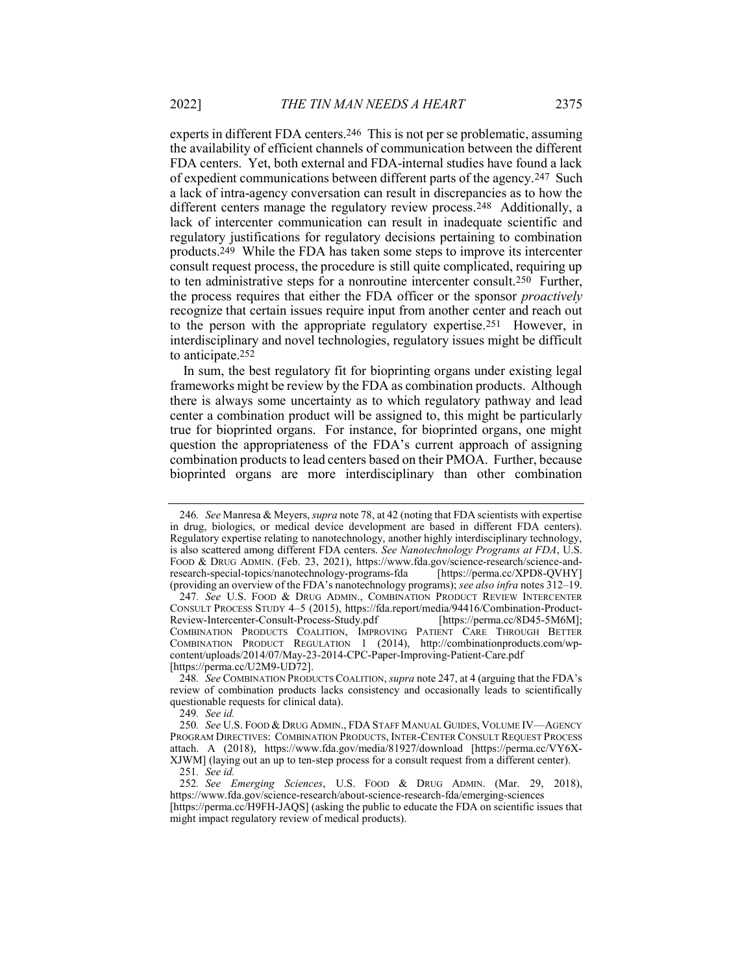experts in different FDA centers.246 This is not per se problematic, assuming the availability of efficient channels of communication between the different FDA centers. Yet, both external and FDA-internal studies have found a lack of expedient communications between different parts of the agency.247 Such a lack of intra-agency conversation can result in discrepancies as to how the different centers manage the regulatory review process.248 Additionally, a lack of intercenter communication can result in inadequate scientific and regulatory justifications for regulatory decisions pertaining to combination products.249 While the FDA has taken some steps to improve its intercenter consult request process, the procedure is still quite complicated, requiring up to ten administrative steps for a nonroutine intercenter consult.250 Further, the process requires that either the FDA officer or the sponsor *proactively* recognize that certain issues require input from another center and reach out to the person with the appropriate regulatory expertise.251 However, in interdisciplinary and novel technologies, regulatory issues might be difficult to anticipate.252

In sum, the best regulatory fit for bioprinting organs under existing legal frameworks might be review by the FDA as combination products. Although there is always some uncertainty as to which regulatory pathway and lead center a combination product will be assigned to, this might be particularly true for bioprinted organs. For instance, for bioprinted organs, one might question the appropriateness of the FDA's current approach of assigning combination products to lead centers based on their PMOA. Further, because bioprinted organs are more interdisciplinary than other combination

<sup>246.</sup> See Manresa & Meyers, *supra* note 78, at 42 (noting that FDA scientists with expertise in drug, biologics, or medical device development are based in different FDA centers). Regulatory expertise relating to nanotechnology, another highly interdisciplinary technology, is also scattered among different FDA centers. See Nanotechnology Programs at FDA, U.S. FOOD & DRUG ADMIN. (Feb. 23, 2021), https://www.fda.gov/science-research/science-andresearch-special-topics/nanotechnology-programs-fda [https://perma.cc/XPD8-QVHY] (providing an overview of the FDA's nanotechnology programs); see also infra notes 312–19.

<sup>247</sup>. See U.S. FOOD & DRUG ADMIN., COMBINATION PRODUCT REVIEW INTERCENTER CONSULT PROCESS STUDY 4–5 (2015), https://fda.report/media/94416/Combination-Product-Review-Intercenter-Consult-Process-Study.pdf COMBINATION PRODUCTS COALITION, IMPROVING PATIENT CARE THROUGH BETTER COMBINATION PRODUCT REGULATION 1 (2014), http://combinationproducts.com/wpcontent/uploads/2014/07/May-23-2014-CPC-Paper-Improving-Patient-Care.pdf [https://perma.cc/U2M9-UD72].

<sup>248</sup>. See COMBINATION PRODUCTS COALITION, supra note 247, at 4 (arguing that the FDA's review of combination products lacks consistency and occasionally leads to scientifically questionable requests for clinical data).

<sup>249</sup>. See id.

<sup>250</sup>. See U.S. FOOD & DRUG ADMIN., FDA STAFF MANUAL GUIDES, VOLUME IV—AGENCY PROGRAM DIRECTIVES: COMBINATION PRODUCTS, INTER-CENTER CONSULT REQUEST PROCESS attach. A (2018), https://www.fda.gov/media/81927/download [https://perma.cc/VY6X-XJWM] (laying out an up to ten-step process for a consult request from a different center). 251. See id.

<sup>252</sup>. See Emerging Sciences, U.S. FOOD & DRUG ADMIN. (Mar. 29, 2018), https://www.fda.gov/science-research/about-science-research-fda/emerging-sciences [https://perma.cc/H9FH-JAQS] (asking the public to educate the FDA on scientific issues that might impact regulatory review of medical products).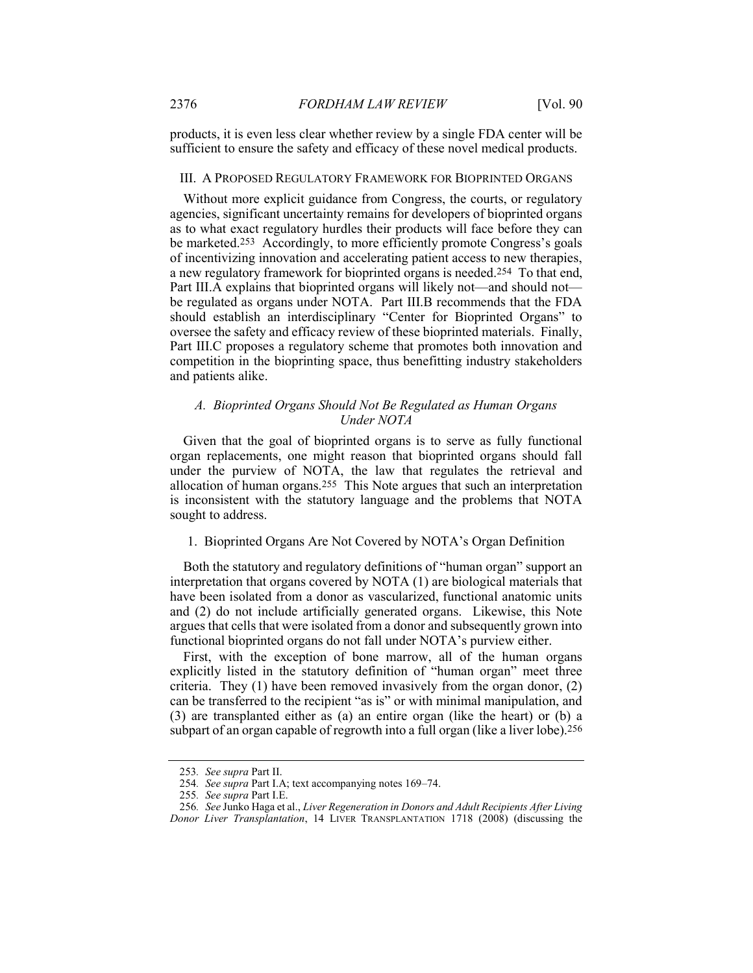products, it is even less clear whether review by a single FDA center will be sufficient to ensure the safety and efficacy of these novel medical products.

#### III. A PROPOSED REGULATORY FRAMEWORK FOR BIOPRINTED ORGANS

Without more explicit guidance from Congress, the courts, or regulatory agencies, significant uncertainty remains for developers of bioprinted organs as to what exact regulatory hurdles their products will face before they can be marketed.253 Accordingly, to more efficiently promote Congress's goals of incentivizing innovation and accelerating patient access to new therapies, a new regulatory framework for bioprinted organs is needed.254 To that end, Part III.A explains that bioprinted organs will likely not—and should not be regulated as organs under NOTA. Part III.B recommends that the FDA should establish an interdisciplinary "Center for Bioprinted Organs" to oversee the safety and efficacy review of these bioprinted materials. Finally, Part III.C proposes a regulatory scheme that promotes both innovation and competition in the bioprinting space, thus benefitting industry stakeholders and patients alike.

#### A. Bioprinted Organs Should Not Be Regulated as Human Organs Under NOTA

Given that the goal of bioprinted organs is to serve as fully functional organ replacements, one might reason that bioprinted organs should fall under the purview of NOTA, the law that regulates the retrieval and allocation of human organs.255 This Note argues that such an interpretation is inconsistent with the statutory language and the problems that NOTA sought to address.

#### 1. Bioprinted Organs Are Not Covered by NOTA's Organ Definition

Both the statutory and regulatory definitions of "human organ" support an interpretation that organs covered by NOTA (1) are biological materials that have been isolated from a donor as vascularized, functional anatomic units and (2) do not include artificially generated organs. Likewise, this Note argues that cells that were isolated from a donor and subsequently grown into functional bioprinted organs do not fall under NOTA's purview either.

First, with the exception of bone marrow, all of the human organs explicitly listed in the statutory definition of "human organ" meet three criteria. They (1) have been removed invasively from the organ donor, (2) can be transferred to the recipient "as is" or with minimal manipulation, and (3) are transplanted either as (a) an entire organ (like the heart) or (b) a subpart of an organ capable of regrowth into a full organ (like a liver lobe).256

<sup>253</sup>. See supra Part II.

<sup>254</sup>. See supra Part I.A; text accompanying notes 169–74.

<sup>255</sup>. See supra Part I.E.

<sup>256</sup>. See Junko Haga et al., Liver Regeneration in Donors and Adult Recipients After Living Donor Liver Transplantation, 14 LIVER TRANSPLANTATION 1718 (2008) (discussing the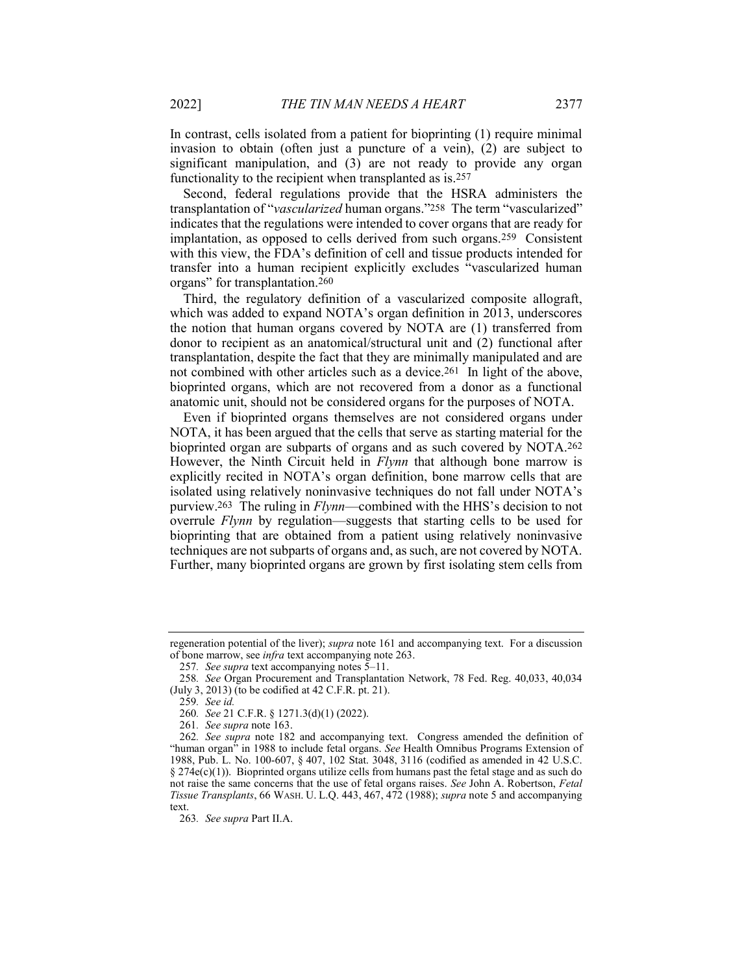In contrast, cells isolated from a patient for bioprinting (1) require minimal invasion to obtain (often just a puncture of a vein), (2) are subject to significant manipulation, and (3) are not ready to provide any organ functionality to the recipient when transplanted as is.257

Second, federal regulations provide that the HSRA administers the transplantation of "vascularized human organs."258 The term "vascularized" indicates that the regulations were intended to cover organs that are ready for implantation, as opposed to cells derived from such organs.259 Consistent with this view, the FDA's definition of cell and tissue products intended for transfer into a human recipient explicitly excludes "vascularized human organs" for transplantation.260

Third, the regulatory definition of a vascularized composite allograft, which was added to expand NOTA's organ definition in 2013, underscores the notion that human organs covered by NOTA are (1) transferred from donor to recipient as an anatomical/structural unit and (2) functional after transplantation, despite the fact that they are minimally manipulated and are not combined with other articles such as a device.261 In light of the above, bioprinted organs, which are not recovered from a donor as a functional anatomic unit, should not be considered organs for the purposes of NOTA.

Even if bioprinted organs themselves are not considered organs under NOTA, it has been argued that the cells that serve as starting material for the bioprinted organ are subparts of organs and as such covered by NOTA.262 However, the Ninth Circuit held in *Flynn* that although bone marrow is explicitly recited in NOTA's organ definition, bone marrow cells that are isolated using relatively noninvasive techniques do not fall under NOTA's purview.263 The ruling in Flynn—combined with the HHS's decision to not overrule Flynn by regulation—suggests that starting cells to be used for bioprinting that are obtained from a patient using relatively noninvasive techniques are not subparts of organs and, as such, are not covered by NOTA. Further, many bioprinted organs are grown by first isolating stem cells from

regeneration potential of the liver); supra note 161 and accompanying text. For a discussion of bone marrow, see infra text accompanying note 263.

<sup>257</sup>. See supra text accompanying notes 5–11.

<sup>258</sup>. See Organ Procurement and Transplantation Network, 78 Fed. Reg. 40,033, 40,034 (July 3, 2013) (to be codified at 42 C.F.R. pt. 21).

<sup>259</sup>. See id.

<sup>260</sup>. See 21 C.F.R. § 1271.3(d)(1) (2022).

<sup>261</sup>. See supra note 163.

<sup>262</sup>. See supra note 182 and accompanying text. Congress amended the definition of "human organ" in 1988 to include fetal organs. See Health Omnibus Programs Extension of 1988, Pub. L. No. 100-607, § 407, 102 Stat. 3048, 3116 (codified as amended in 42 U.S.C.  $§$  274 $e$ (c)(1)). Bioprinted organs utilize cells from humans past the fetal stage and as such do not raise the same concerns that the use of fetal organs raises. See John A. Robertson, Fetal Tissue Transplants, 66 WASH. U. L.Q. 443, 467, 472 (1988); supra note 5 and accompanying text.

<sup>263</sup>. See supra Part II.A.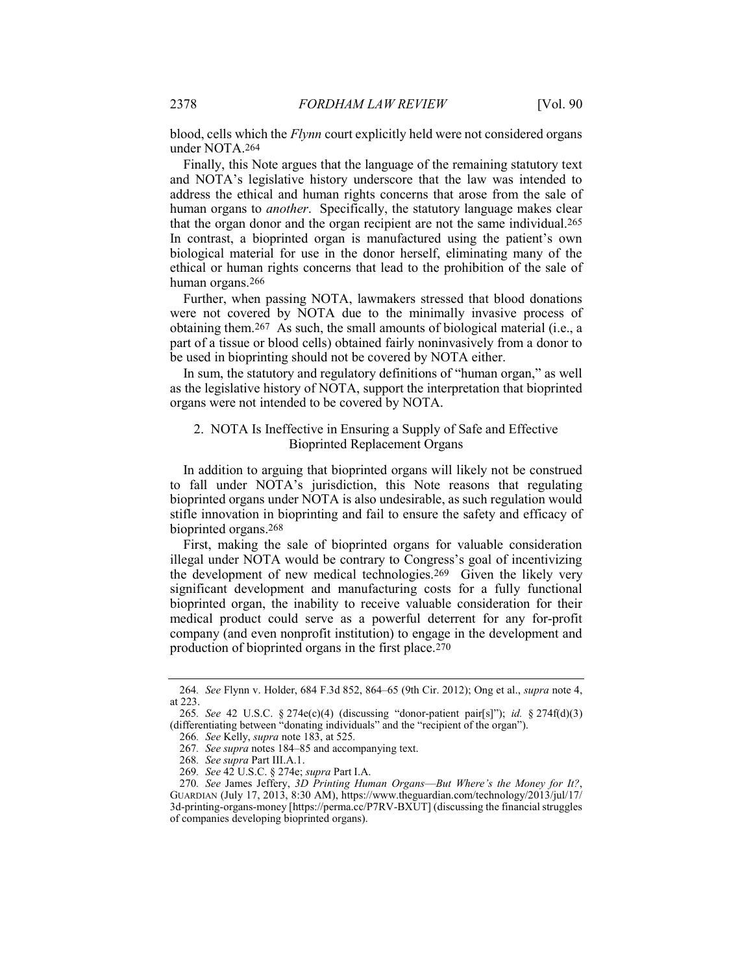blood, cells which the Flynn court explicitly held were not considered organs under NOTA.264

Finally, this Note argues that the language of the remaining statutory text and NOTA's legislative history underscore that the law was intended to address the ethical and human rights concerns that arose from the sale of human organs to *another*. Specifically, the statutory language makes clear that the organ donor and the organ recipient are not the same individual.265 In contrast, a bioprinted organ is manufactured using the patient's own biological material for use in the donor herself, eliminating many of the ethical or human rights concerns that lead to the prohibition of the sale of human organs.266

Further, when passing NOTA, lawmakers stressed that blood donations were not covered by NOTA due to the minimally invasive process of obtaining them.267 As such, the small amounts of biological material (i.e., a part of a tissue or blood cells) obtained fairly noninvasively from a donor to be used in bioprinting should not be covered by NOTA either.

In sum, the statutory and regulatory definitions of "human organ," as well as the legislative history of NOTA, support the interpretation that bioprinted organs were not intended to be covered by NOTA.

#### 2. NOTA Is Ineffective in Ensuring a Supply of Safe and Effective Bioprinted Replacement Organs

In addition to arguing that bioprinted organs will likely not be construed to fall under NOTA's jurisdiction, this Note reasons that regulating bioprinted organs under NOTA is also undesirable, as such regulation would stifle innovation in bioprinting and fail to ensure the safety and efficacy of bioprinted organs.268

First, making the sale of bioprinted organs for valuable consideration illegal under NOTA would be contrary to Congress's goal of incentivizing the development of new medical technologies.269 Given the likely very significant development and manufacturing costs for a fully functional bioprinted organ, the inability to receive valuable consideration for their medical product could serve as a powerful deterrent for any for-profit company (and even nonprofit institution) to engage in the development and production of bioprinted organs in the first place.270

<sup>264</sup>. See Flynn v. Holder, 684 F.3d 852, 864–65 (9th Cir. 2012); Ong et al., supra note 4, at 223.

<sup>265.</sup> See 42 U.S.C. § 274 $e(c)(4)$  (discussing "donor-patient pair[s]"); id. § 274f(d)(3) (differentiating between "donating individuals" and the "recipient of the organ").

<sup>266</sup>. See Kelly, supra note 183, at 525.

<sup>267</sup>. See supra notes 184–85 and accompanying text.

<sup>268</sup>. See supra Part III.A.1.

<sup>269.</sup> See 42 U.S.C. § 274e; supra Part I.A.

<sup>270.</sup> See James Jeffery, 3D Printing Human Organs-But Where's the Money for It?, GUARDIAN (July 17, 2013, 8:30 AM), https://www.theguardian.com/technology/2013/jul/17/ 3d-printing-organs-money [https://perma.cc/P7RV-BXUT] (discussing the financial struggles of companies developing bioprinted organs).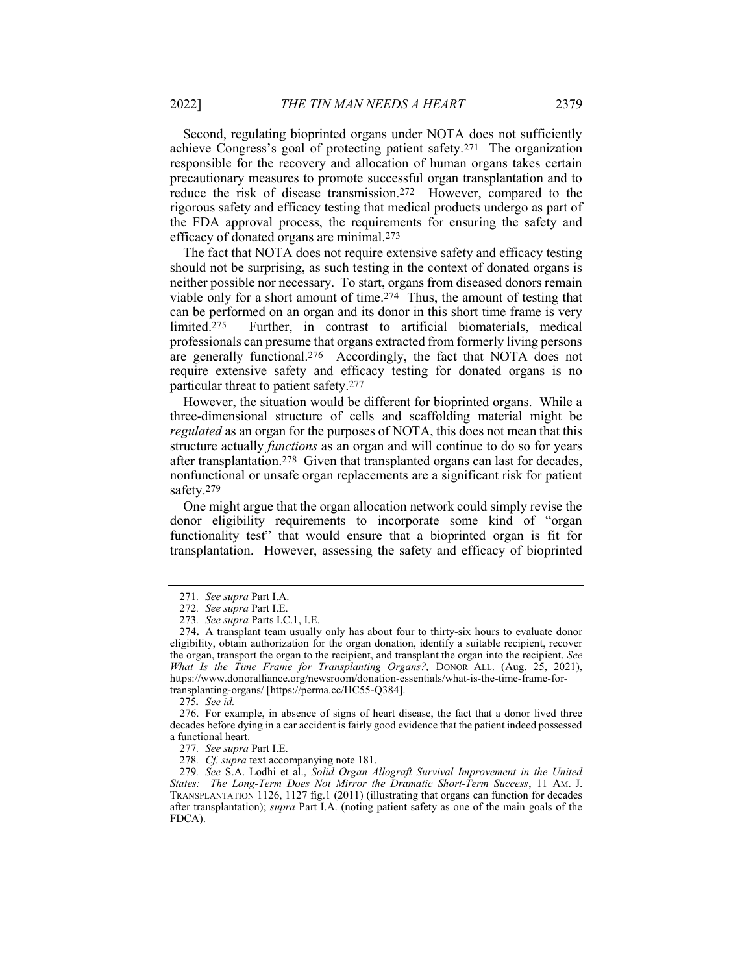Second, regulating bioprinted organs under NOTA does not sufficiently achieve Congress's goal of protecting patient safety.271 The organization responsible for the recovery and allocation of human organs takes certain precautionary measures to promote successful organ transplantation and to reduce the risk of disease transmission.272 However, compared to the rigorous safety and efficacy testing that medical products undergo as part of the FDA approval process, the requirements for ensuring the safety and efficacy of donated organs are minimal.273

The fact that NOTA does not require extensive safety and efficacy testing should not be surprising, as such testing in the context of donated organs is neither possible nor necessary. To start, organs from diseased donors remain viable only for a short amount of time.274 Thus, the amount of testing that can be performed on an organ and its donor in this short time frame is very limited.275 Further, in contrast to artificial biomaterials, medical professionals can presume that organs extracted from formerly living persons are generally functional.276 Accordingly, the fact that NOTA does not require extensive safety and efficacy testing for donated organs is no particular threat to patient safety.277

However, the situation would be different for bioprinted organs. While a three-dimensional structure of cells and scaffolding material might be regulated as an organ for the purposes of NOTA, this does not mean that this structure actually *functions* as an organ and will continue to do so for years after transplantation.278 Given that transplanted organs can last for decades, nonfunctional or unsafe organ replacements are a significant risk for patient safety.279

One might argue that the organ allocation network could simply revise the donor eligibility requirements to incorporate some kind of "organ functionality test" that would ensure that a bioprinted organ is fit for transplantation. However, assessing the safety and efficacy of bioprinted

<sup>271</sup>. See supra Part I.A.

<sup>272</sup>. See supra Part I.E.

<sup>273</sup>. See supra Parts I.C.1, I.E.

<sup>274</sup>. A transplant team usually only has about four to thirty-six hours to evaluate donor eligibility, obtain authorization for the organ donation, identify a suitable recipient, recover the organ, transport the organ to the recipient, and transplant the organ into the recipient. See What Is the Time Frame for Transplanting Organs?, DONOR ALL. (Aug. 25, 2021), https://www.donoralliance.org/newsroom/donation-essentials/what-is-the-time-frame-fortransplanting-organs/ [https://perma.cc/HC55-Q384].

<sup>275</sup>. See id.

 <sup>276.</sup> For example, in absence of signs of heart disease, the fact that a donor lived three decades before dying in a car accident is fairly good evidence that the patient indeed possessed a functional heart.

<sup>277</sup>. See supra Part I.E.

<sup>278.</sup> Cf. supra text accompanying note 181.

<sup>279</sup>. See S.A. Lodhi et al., Solid Organ Allograft Survival Improvement in the United States: The Long-Term Does Not Mirror the Dramatic Short-Term Success, 11 AM. J. TRANSPLANTATION 1126, 1127 fig.1 (2011) (illustrating that organs can function for decades after transplantation); supra Part I.A. (noting patient safety as one of the main goals of the FDCA).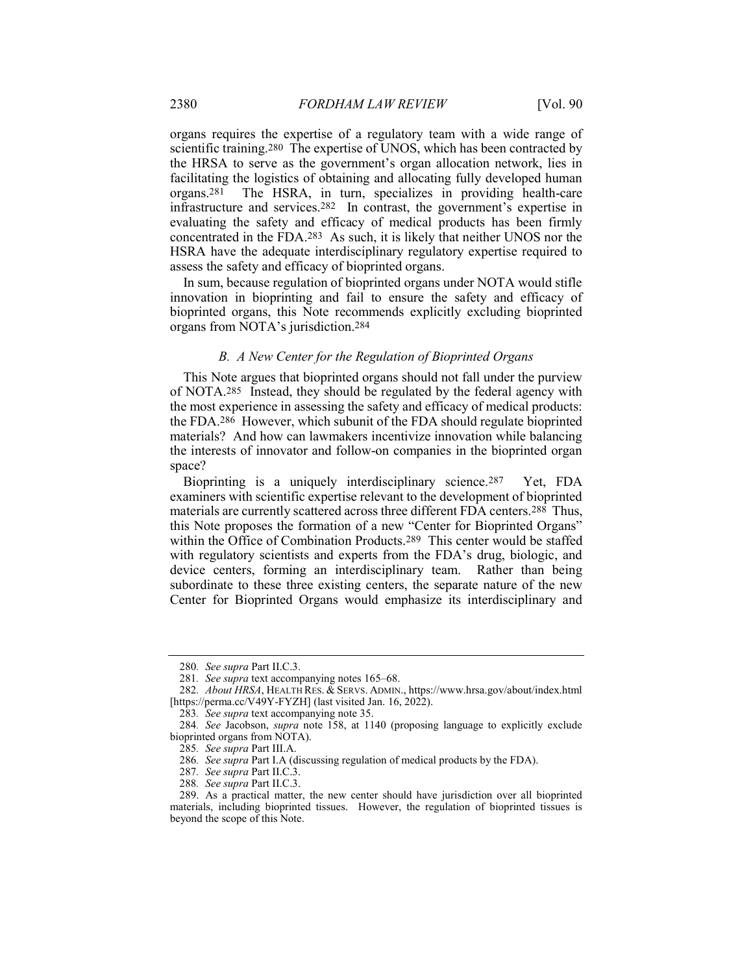organs requires the expertise of a regulatory team with a wide range of scientific training.280 The expertise of UNOS, which has been contracted by the HRSA to serve as the government's organ allocation network, lies in facilitating the logistics of obtaining and allocating fully developed human organs.281 The HSRA, in turn, specializes in providing health-care infrastructure and services.282 In contrast, the government's expertise in evaluating the safety and efficacy of medical products has been firmly concentrated in the FDA.283 As such, it is likely that neither UNOS nor the HSRA have the adequate interdisciplinary regulatory expertise required to assess the safety and efficacy of bioprinted organs.

In sum, because regulation of bioprinted organs under NOTA would stifle innovation in bioprinting and fail to ensure the safety and efficacy of bioprinted organs, this Note recommends explicitly excluding bioprinted organs from NOTA's jurisdiction.284

#### B. A New Center for the Regulation of Bioprinted Organs

This Note argues that bioprinted organs should not fall under the purview of NOTA.285 Instead, they should be regulated by the federal agency with the most experience in assessing the safety and efficacy of medical products: the FDA.286 However, which subunit of the FDA should regulate bioprinted materials? And how can lawmakers incentivize innovation while balancing the interests of innovator and follow-on companies in the bioprinted organ space?

Bioprinting is a uniquely interdisciplinary science.287 Yet, FDA examiners with scientific expertise relevant to the development of bioprinted materials are currently scattered across three different FDA centers.288 Thus, this Note proposes the formation of a new "Center for Bioprinted Organs" within the Office of Combination Products.289 This center would be staffed with regulatory scientists and experts from the FDA's drug, biologic, and device centers, forming an interdisciplinary team. Rather than being subordinate to these three existing centers, the separate nature of the new Center for Bioprinted Organs would emphasize its interdisciplinary and

<sup>280</sup>. See supra Part II.C.3.

<sup>281</sup>. See supra text accompanying notes 165–68.

<sup>282</sup>. About HRSA, HEALTH RES. & SERVS. ADMIN., https://www.hrsa.gov/about/index.html [https://perma.cc/V49Y-FYZH] (last visited Jan. 16, 2022).

<sup>283</sup>. See supra text accompanying note 35.

<sup>284</sup>. See Jacobson, supra note 158, at 1140 (proposing language to explicitly exclude bioprinted organs from NOTA).

<sup>285</sup>. See supra Part III.A.

<sup>286</sup>. See supra Part I.A (discussing regulation of medical products by the FDA).

<sup>287</sup>. See supra Part II.C.3.

<sup>288</sup>. See supra Part II.C.3.

 <sup>289.</sup> As a practical matter, the new center should have jurisdiction over all bioprinted materials, including bioprinted tissues. However, the regulation of bioprinted tissues is beyond the scope of this Note.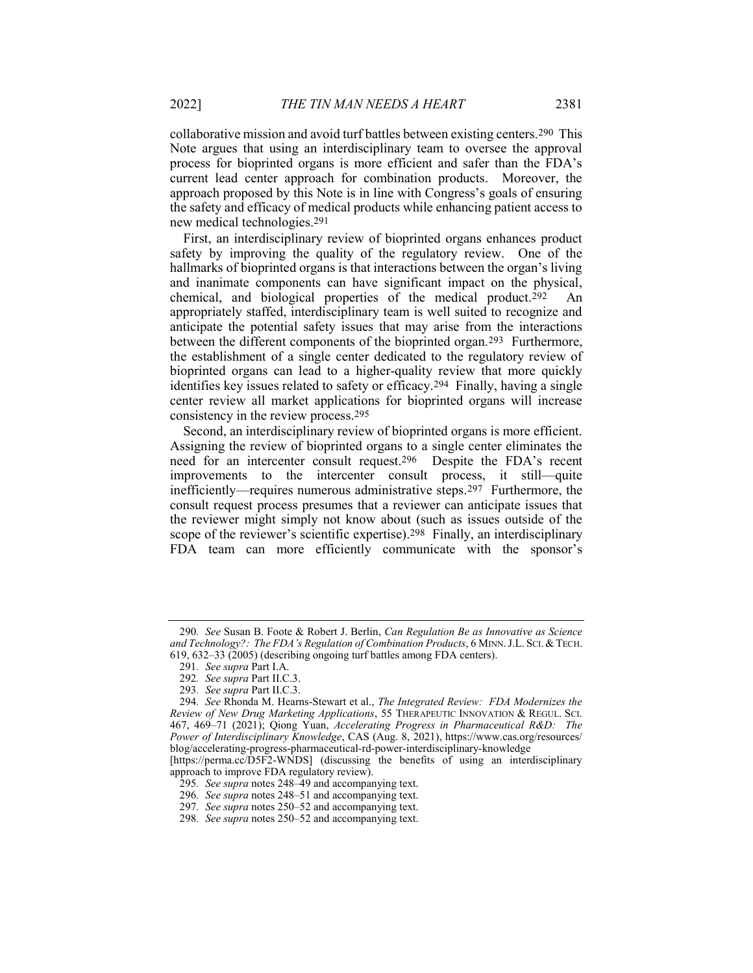collaborative mission and avoid turf battles between existing centers.290 This Note argues that using an interdisciplinary team to oversee the approval process for bioprinted organs is more efficient and safer than the FDA's current lead center approach for combination products. Moreover, the approach proposed by this Note is in line with Congress's goals of ensuring the safety and efficacy of medical products while enhancing patient access to new medical technologies.291

First, an interdisciplinary review of bioprinted organs enhances product safety by improving the quality of the regulatory review. One of the hallmarks of bioprinted organs is that interactions between the organ's living and inanimate components can have significant impact on the physical, chemical, and biological properties of the medical product.292 An appropriately staffed, interdisciplinary team is well suited to recognize and anticipate the potential safety issues that may arise from the interactions between the different components of the bioprinted organ.<sup>293</sup> Furthermore, the establishment of a single center dedicated to the regulatory review of bioprinted organs can lead to a higher-quality review that more quickly identifies key issues related to safety or efficacy.294 Finally, having a single center review all market applications for bioprinted organs will increase consistency in the review process.295

Second, an interdisciplinary review of bioprinted organs is more efficient. Assigning the review of bioprinted organs to a single center eliminates the need for an intercenter consult request.296 Despite the FDA's recent improvements to the intercenter consult process, it still—quite inefficiently—requires numerous administrative steps.297 Furthermore, the consult request process presumes that a reviewer can anticipate issues that the reviewer might simply not know about (such as issues outside of the scope of the reviewer's scientific expertise).298 Finally, an interdisciplinary FDA team can more efficiently communicate with the sponsor's

<sup>290.</sup> See Susan B. Foote & Robert J. Berlin, Can Regulation Be as Innovative as Science and Technology?: The FDA's Regulation of Combination Products, 6 MINN. J.L. SCI. & TECH. 619, 632–33 (2005) (describing ongoing turf battles among FDA centers).

<sup>291</sup>. See supra Part I.A.

<sup>292</sup>. See supra Part II.C.3.

<sup>293</sup>. See supra Part II.C.3.

<sup>294.</sup> See Rhonda M. Hearns-Stewart et al., The Integrated Review: FDA Modernizes the Review of New Drug Marketing Applications, 55 THERAPEUTIC INNOVATION & REGUL. SCI. 467, 469–71 (2021); Qiong Yuan, Accelerating Progress in Pharmaceutical R&D: The Power of Interdisciplinary Knowledge, CAS (Aug. 8, 2021), https://www.cas.org/resources/ blog/accelerating-progress-pharmaceutical-rd-power-interdisciplinary-knowledge

<sup>[</sup>https://perma.cc/D5F2-WNDS] (discussing the benefits of using an interdisciplinary approach to improve FDA regulatory review).

<sup>295</sup>. See supra notes 248–49 and accompanying text.

<sup>296</sup>. See supra notes 248–51 and accompanying text.

<sup>297</sup>. See supra notes 250–52 and accompanying text.

<sup>298</sup>. See supra notes 250–52 and accompanying text.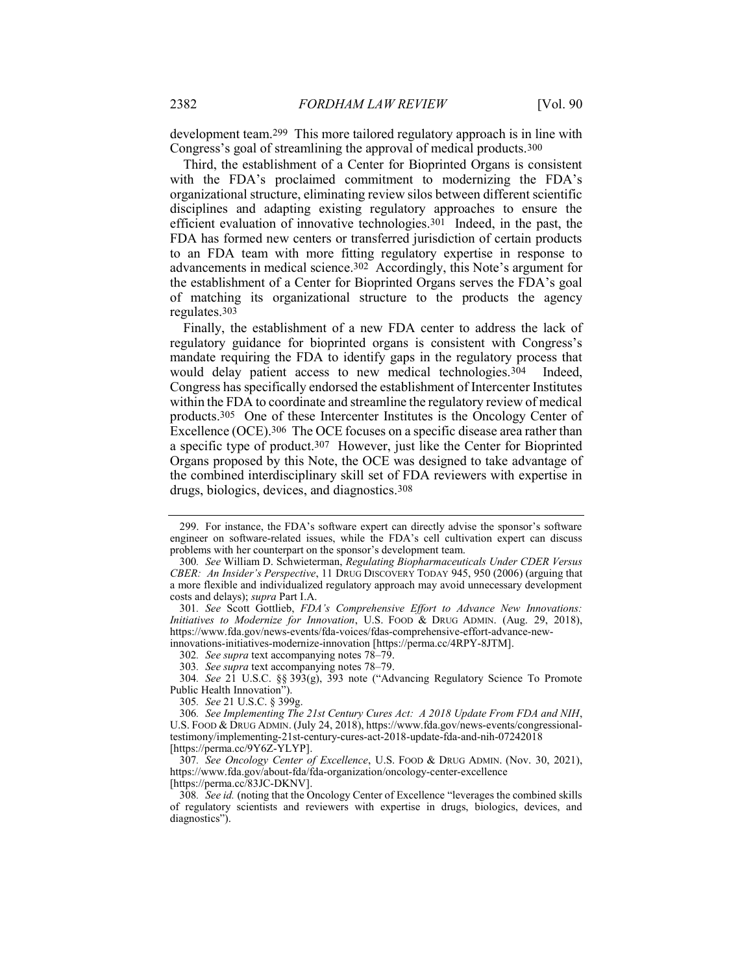development team.299 This more tailored regulatory approach is in line with Congress's goal of streamlining the approval of medical products.300

Third, the establishment of a Center for Bioprinted Organs is consistent with the FDA's proclaimed commitment to modernizing the FDA's organizational structure, eliminating review silos between different scientific disciplines and adapting existing regulatory approaches to ensure the efficient evaluation of innovative technologies.301 Indeed, in the past, the FDA has formed new centers or transferred jurisdiction of certain products to an FDA team with more fitting regulatory expertise in response to advancements in medical science.302 Accordingly, this Note's argument for the establishment of a Center for Bioprinted Organs serves the FDA's goal of matching its organizational structure to the products the agency regulates.303

Finally, the establishment of a new FDA center to address the lack of regulatory guidance for bioprinted organs is consistent with Congress's mandate requiring the FDA to identify gaps in the regulatory process that would delay patient access to new medical technologies.304 Indeed, Congress has specifically endorsed the establishment of Intercenter Institutes within the FDA to coordinate and streamline the regulatory review of medical products.305 One of these Intercenter Institutes is the Oncology Center of Excellence (OCE).<sup>306</sup> The OCE focuses on a specific disease area rather than a specific type of product.307 However, just like the Center for Bioprinted Organs proposed by this Note, the OCE was designed to take advantage of the combined interdisciplinary skill set of FDA reviewers with expertise in drugs, biologics, devices, and diagnostics.308

303. See supra text accompanying notes 78–79.

304. See 21 U.S.C. §§ 393(g), 393 note ("Advancing Regulatory Science To Promote Public Health Innovation").

305. See 21 U.S.C. § 399g.

 <sup>299.</sup> For instance, the FDA's software expert can directly advise the sponsor's software engineer on software-related issues, while the FDA's cell cultivation expert can discuss problems with her counterpart on the sponsor's development team.

<sup>300</sup>. See William D. Schwieterman, Regulating Biopharmaceuticals Under CDER Versus CBER: An Insider's Perspective, 11 DRUG DISCOVERY TODAY 945, 950 (2006) (arguing that a more flexible and individualized regulatory approach may avoid unnecessary development costs and delays); supra Part I.A.

<sup>301</sup>. See Scott Gottlieb, FDA's Comprehensive Effort to Advance New Innovations: Initiatives to Modernize for Innovation, U.S. FOOD & DRUG ADMIN. (Aug. 29, 2018), https://www.fda.gov/news-events/fda-voices/fdas-comprehensive-effort-advance-newinnovations-initiatives-modernize-innovation [https://perma.cc/4RPY-8JTM].

<sup>302</sup>. See supra text accompanying notes 78–79.

<sup>306</sup>. See Implementing The 21st Century Cures Act: A 2018 Update From FDA and NIH, U.S. FOOD & DRUG ADMIN. (July 24, 2018), https://www.fda.gov/news-events/congressionaltestimony/implementing-21st-century-cures-act-2018-update-fda-and-nih-07242018 [https://perma.cc/9Y6Z-YLYP].

<sup>307</sup>. See Oncology Center of Excellence, U.S. FOOD & DRUG ADMIN. (Nov. 30, 2021), https://www.fda.gov/about-fda/fda-organization/oncology-center-excellence [https://perma.cc/83JC-DKNV].

<sup>308</sup>. See id. (noting that the Oncology Center of Excellence "leverages the combined skills of regulatory scientists and reviewers with expertise in drugs, biologics, devices, and diagnostics").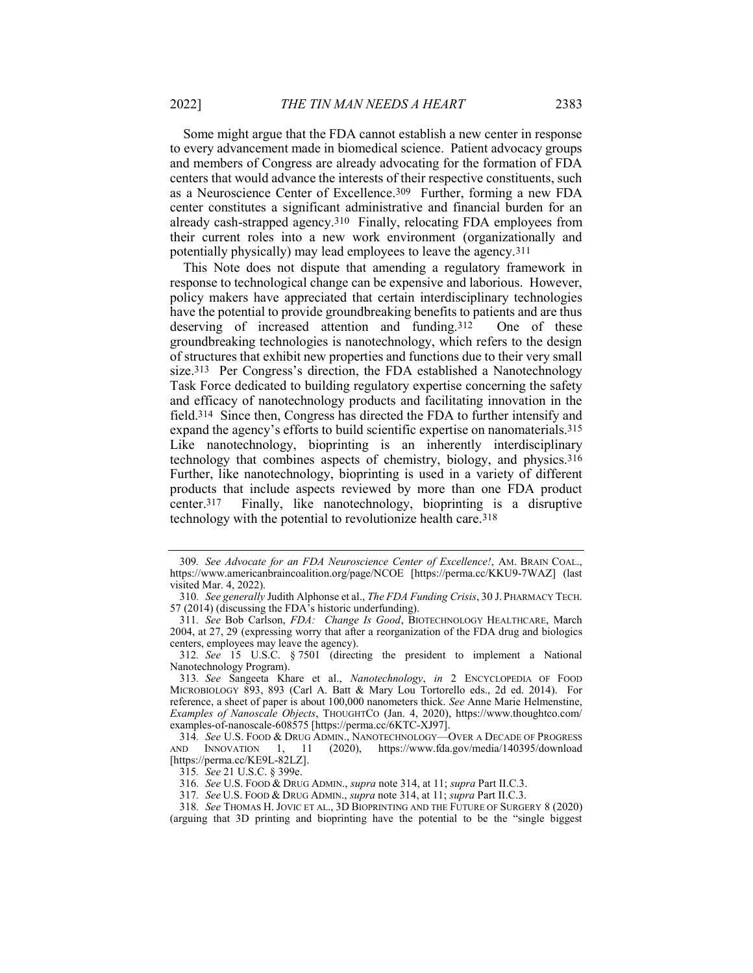Some might argue that the FDA cannot establish a new center in response to every advancement made in biomedical science. Patient advocacy groups and members of Congress are already advocating for the formation of FDA centers that would advance the interests of their respective constituents, such as a Neuroscience Center of Excellence.309 Further, forming a new FDA center constitutes a significant administrative and financial burden for an already cash-strapped agency.310 Finally, relocating FDA employees from their current roles into a new work environment (organizationally and potentially physically) may lead employees to leave the agency.311

This Note does not dispute that amending a regulatory framework in response to technological change can be expensive and laborious. However, policy makers have appreciated that certain interdisciplinary technologies have the potential to provide groundbreaking benefits to patients and are thus deserving of increased attention and funding.312 One of these groundbreaking technologies is nanotechnology, which refers to the design of structures that exhibit new properties and functions due to their very small size.313 Per Congress's direction, the FDA established a Nanotechnology Task Force dedicated to building regulatory expertise concerning the safety and efficacy of nanotechnology products and facilitating innovation in the field.314 Since then, Congress has directed the FDA to further intensify and expand the agency's efforts to build scientific expertise on nanomaterials.315 Like nanotechnology, bioprinting is an inherently interdisciplinary technology that combines aspects of chemistry, biology, and physics.316 Further, like nanotechnology, bioprinting is used in a variety of different products that include aspects reviewed by more than one FDA product center.317 Finally, like nanotechnology, bioprinting is a disruptive technology with the potential to revolutionize health care.318

<sup>309</sup>. See Advocate for an FDA Neuroscience Center of Excellence!, AM. BRAIN COAL., https://www.americanbraincoalition.org/page/NCOE [https://perma.cc/KKU9-7WAZ] (last visited Mar. 4, 2022).

<sup>310</sup>. See generally Judith Alphonse et al., The FDA Funding Crisis, 30 J. PHARMACY TECH. 57 (2014) (discussing the FDA<sup>'</sup>s historic underfunding).

<sup>311</sup>. See Bob Carlson, FDA: Change Is Good, BIOTECHNOLOGY HEALTHCARE, March 2004, at 27, 29 (expressing worry that after a reorganization of the FDA drug and biologics centers, employees may leave the agency).

<sup>312</sup>. See 15 U.S.C. § 7501 (directing the president to implement a National Nanotechnology Program).

<sup>313</sup>. See Sangeeta Khare et al., Nanotechnology, in 2 ENCYCLOPEDIA OF FOOD MICROBIOLOGY 893, 893 (Carl A. Batt & Mary Lou Tortorello eds., 2d ed. 2014). For reference, a sheet of paper is about 100,000 nanometers thick. See Anne Marie Helmenstine, Examples of Nanoscale Objects, THOUGHTCO (Jan. 4, 2020), https://www.thoughtco.com/ examples-of-nanoscale-608575 [https://perma.cc/6KTC-XJ97].

<sup>314</sup>. See U.S. FOOD & DRUG ADMIN., NANOTECHNOLOGY—OVER A DECADE OF PROGRESS AND INNOVATION 1, 11 (2020), https://www.fda.gov/media/140395/download [https://perma.cc/KE9L-82LZ].

<sup>315</sup>. See 21 U.S.C. § 399e.

<sup>316</sup>. See U.S. FOOD & DRUG ADMIN., supra note 314, at 11; supra Part II.C.3.

<sup>317</sup>. See U.S. FOOD & DRUG ADMIN., supra note 314, at 11; supra Part II.C.3.

<sup>318</sup>. See THOMAS H. JOVIC ET AL., 3D BIOPRINTING AND THE FUTURE OF SURGERY 8 (2020) (arguing that 3D printing and bioprinting have the potential to be the "single biggest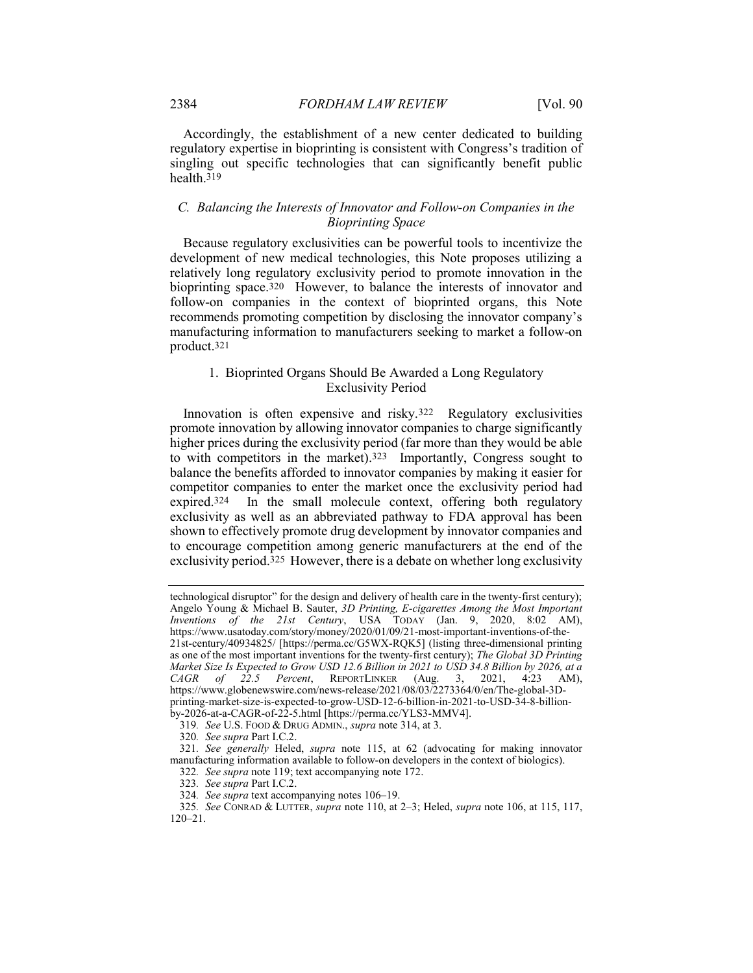Accordingly, the establishment of a new center dedicated to building regulatory expertise in bioprinting is consistent with Congress's tradition of singling out specific technologies that can significantly benefit public health.319

#### C. Balancing the Interests of Innovator and Follow-on Companies in the Bioprinting Space

Because regulatory exclusivities can be powerful tools to incentivize the development of new medical technologies, this Note proposes utilizing a relatively long regulatory exclusivity period to promote innovation in the bioprinting space.<sup>320</sup> However, to balance the interests of innovator and follow-on companies in the context of bioprinted organs, this Note recommends promoting competition by disclosing the innovator company's manufacturing information to manufacturers seeking to market a follow-on product.321

#### 1. Bioprinted Organs Should Be Awarded a Long Regulatory Exclusivity Period

Innovation is often expensive and risky.322 Regulatory exclusivities promote innovation by allowing innovator companies to charge significantly higher prices during the exclusivity period (far more than they would be able to with competitors in the market).323 Importantly, Congress sought to balance the benefits afforded to innovator companies by making it easier for competitor companies to enter the market once the exclusivity period had expired.324 In the small molecule context, offering both regulatory exclusivity as well as an abbreviated pathway to FDA approval has been shown to effectively promote drug development by innovator companies and to encourage competition among generic manufacturers at the end of the exclusivity period.325 However, there is a debate on whether long exclusivity

technological disruptor" for the design and delivery of health care in the twenty-first century); Angelo Young & Michael B. Sauter, 3D Printing, E-cigarettes Among the Most Important Inventions of the 21st Century, USA TODAY (Jan. 9, 2020, 8:02 AM), https://www.usatoday.com/story/money/2020/01/09/21-most-important-inventions-of-the-21st-century/40934825/ [https://perma.cc/G5WX-RQK5] (listing three-dimensional printing as one of the most important inventions for the twenty-first century); The Global 3D Printing Market Size Is Expected to Grow USD 12.6 Billion in 2021 to USD 34.8 Billion by 2026, at a  $CAGR$  of 22.5 Percent, REPORTLINKER (Aug. 3, 2021, 4:23 AM), https://www.globenewswire.com/news-release/2021/08/03/2273364/0/en/The-global-3Dprinting-market-size-is-expected-to-grow-USD-12-6-billion-in-2021-to-USD-34-8-billionby-2026-at-a-CAGR-of-22-5.html [https://perma.cc/YLS3-MMV4].

<sup>319</sup>. See U.S. FOOD & DRUG ADMIN., supra note 314, at 3.

<sup>320</sup>. See supra Part I.C.2.

<sup>321</sup>. See generally Heled, supra note 115, at 62 (advocating for making innovator manufacturing information available to follow-on developers in the context of biologics).

<sup>322</sup>. See supra note 119; text accompanying note 172.

<sup>323</sup>. See supra Part I.C.2.

<sup>324</sup>. See supra text accompanying notes 106–19.

<sup>325</sup>. See CONRAD & LUTTER, supra note 110, at 2–3; Heled, supra note 106, at 115, 117, 120–21.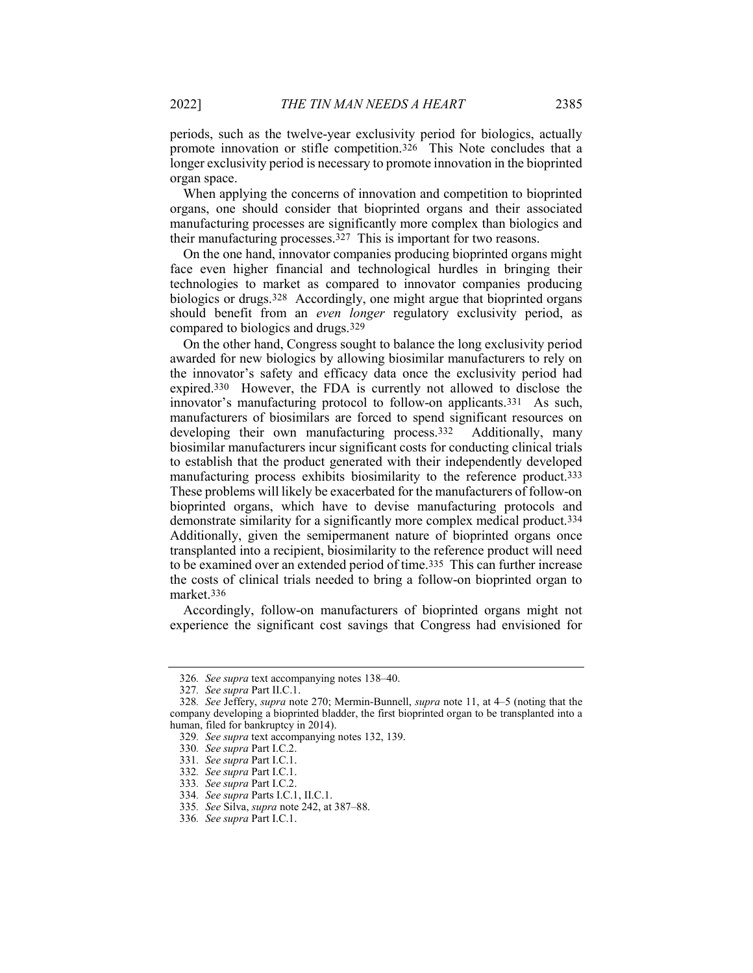periods, such as the twelve-year exclusivity period for biologics, actually promote innovation or stifle competition.326 This Note concludes that a longer exclusivity period is necessary to promote innovation in the bioprinted organ space.

When applying the concerns of innovation and competition to bioprinted organs, one should consider that bioprinted organs and their associated manufacturing processes are significantly more complex than biologics and their manufacturing processes.327 This is important for two reasons.

On the one hand, innovator companies producing bioprinted organs might face even higher financial and technological hurdles in bringing their technologies to market as compared to innovator companies producing biologics or drugs.328 Accordingly, one might argue that bioprinted organs should benefit from an *even longer* regulatory exclusivity period, as compared to biologics and drugs.329

On the other hand, Congress sought to balance the long exclusivity period awarded for new biologics by allowing biosimilar manufacturers to rely on the innovator's safety and efficacy data once the exclusivity period had expired.330 However, the FDA is currently not allowed to disclose the innovator's manufacturing protocol to follow-on applicants.331 As such, manufacturers of biosimilars are forced to spend significant resources on developing their own manufacturing process.<sup>332</sup> Additionally, many biosimilar manufacturers incur significant costs for conducting clinical trials to establish that the product generated with their independently developed manufacturing process exhibits biosimilarity to the reference product.333 These problems will likely be exacerbated for the manufacturers of follow-on bioprinted organs, which have to devise manufacturing protocols and demonstrate similarity for a significantly more complex medical product.334 Additionally, given the semipermanent nature of bioprinted organs once transplanted into a recipient, biosimilarity to the reference product will need to be examined over an extended period of time.335 This can further increase the costs of clinical trials needed to bring a follow-on bioprinted organ to market.336

Accordingly, follow-on manufacturers of bioprinted organs might not experience the significant cost savings that Congress had envisioned for

<sup>326</sup>. See supra text accompanying notes 138–40.

<sup>327</sup>. See supra Part II.C.1.

<sup>328</sup>. See Jeffery, supra note 270; Mermin-Bunnell, supra note 11, at 4–5 (noting that the company developing a bioprinted bladder, the first bioprinted organ to be transplanted into a human, filed for bankruptcy in 2014).

<sup>329</sup>. See supra text accompanying notes 132, 139.

<sup>330</sup>. See supra Part I.C.2.

<sup>331</sup>. See supra Part I.C.1.

<sup>332</sup>. See supra Part I.C.1.

<sup>333</sup>. See supra Part I.C.2.

<sup>334</sup>. See supra Parts I.C.1, II.C.1.

<sup>335</sup>. See Silva, supra note 242, at 387–88.

<sup>336</sup>. See supra Part I.C.1.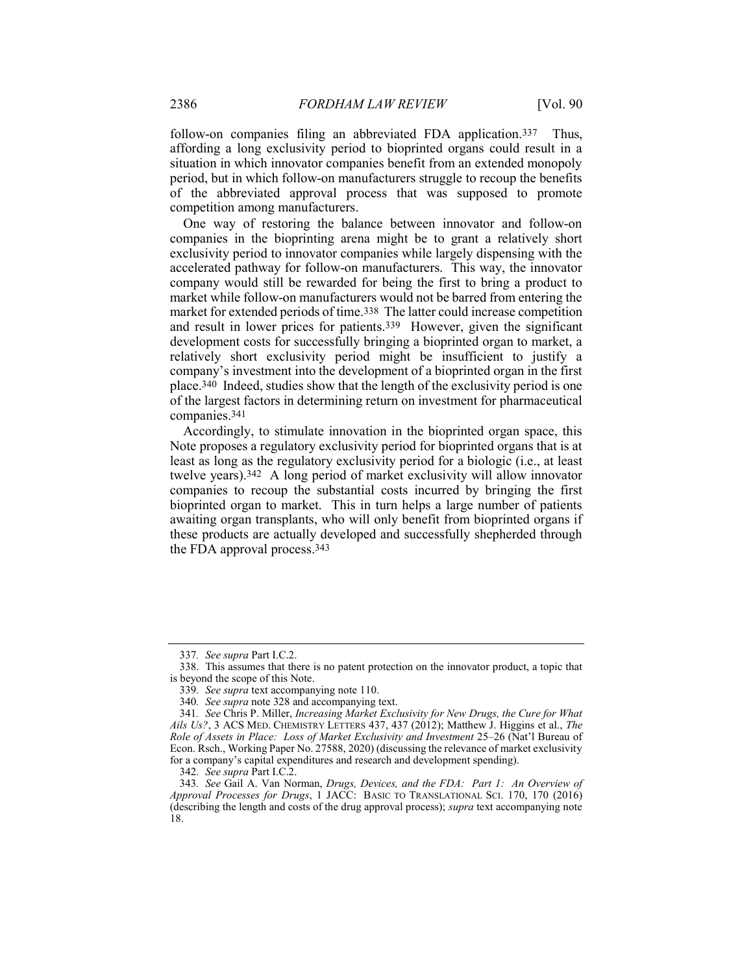follow-on companies filing an abbreviated FDA application.<sup>337</sup> Thus, affording a long exclusivity period to bioprinted organs could result in a situation in which innovator companies benefit from an extended monopoly period, but in which follow-on manufacturers struggle to recoup the benefits of the abbreviated approval process that was supposed to promote competition among manufacturers.

One way of restoring the balance between innovator and follow-on companies in the bioprinting arena might be to grant a relatively short exclusivity period to innovator companies while largely dispensing with the accelerated pathway for follow-on manufacturers. This way, the innovator company would still be rewarded for being the first to bring a product to market while follow-on manufacturers would not be barred from entering the market for extended periods of time.338 The latter could increase competition and result in lower prices for patients.339 However, given the significant development costs for successfully bringing a bioprinted organ to market, a relatively short exclusivity period might be insufficient to justify a company's investment into the development of a bioprinted organ in the first place.340 Indeed, studies show that the length of the exclusivity period is one of the largest factors in determining return on investment for pharmaceutical companies.341

Accordingly, to stimulate innovation in the bioprinted organ space, this Note proposes a regulatory exclusivity period for bioprinted organs that is at least as long as the regulatory exclusivity period for a biologic (i.e., at least twelve years).342 A long period of market exclusivity will allow innovator companies to recoup the substantial costs incurred by bringing the first bioprinted organ to market. This in turn helps a large number of patients awaiting organ transplants, who will only benefit from bioprinted organs if these products are actually developed and successfully shepherded through the FDA approval process.343

342. See supra Part I.C.2.

<sup>337</sup>. See supra Part I.C.2.

 <sup>338.</sup> This assumes that there is no patent protection on the innovator product, a topic that is beyond the scope of this Note.

<sup>339</sup>. See supra text accompanying note 110.

<sup>340</sup>. See supra note 328 and accompanying text.

<sup>341</sup>. See Chris P. Miller, Increasing Market Exclusivity for New Drugs, the Cure for What Ails Us?, 3 ACS MED. CHEMISTRY LETTERS 437, 437 (2012); Matthew J. Higgins et al., The Role of Assets in Place: Loss of Market Exclusivity and Investment 25–26 (Nat'l Bureau of Econ. Rsch., Working Paper No. 27588, 2020) (discussing the relevance of market exclusivity for a company's capital expenditures and research and development spending).

<sup>343.</sup> See Gail A. Van Norman, Drugs, Devices, and the FDA: Part 1: An Overview of Approval Processes for Drugs, 1 JACC: BASIC TO TRANSLATIONAL SCI. 170, 170 (2016) (describing the length and costs of the drug approval process); supra text accompanying note 18.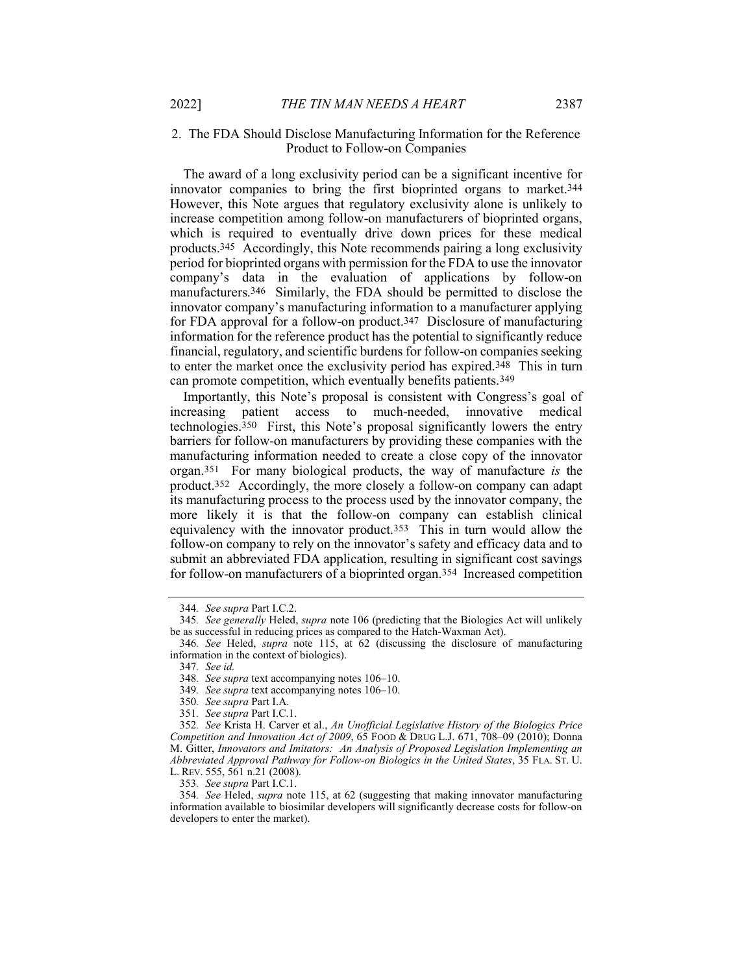#### 2. The FDA Should Disclose Manufacturing Information for the Reference Product to Follow-on Companies

The award of a long exclusivity period can be a significant incentive for innovator companies to bring the first bioprinted organs to market.344 However, this Note argues that regulatory exclusivity alone is unlikely to increase competition among follow-on manufacturers of bioprinted organs, which is required to eventually drive down prices for these medical products.345 Accordingly, this Note recommends pairing a long exclusivity period for bioprinted organs with permission for the FDA to use the innovator company's data in the evaluation of applications by follow-on manufacturers.<sup>346</sup> Similarly, the FDA should be permitted to disclose the innovator company's manufacturing information to a manufacturer applying for FDA approval for a follow-on product.347 Disclosure of manufacturing information for the reference product has the potential to significantly reduce financial, regulatory, and scientific burdens for follow-on companies seeking to enter the market once the exclusivity period has expired.348 This in turn can promote competition, which eventually benefits patients.349

Importantly, this Note's proposal is consistent with Congress's goal of increasing patient access to much-needed, innovative medical technologies.350 First, this Note's proposal significantly lowers the entry barriers for follow-on manufacturers by providing these companies with the manufacturing information needed to create a close copy of the innovator organ.351 For many biological products, the way of manufacture is the product.352 Accordingly, the more closely a follow-on company can adapt its manufacturing process to the process used by the innovator company, the more likely it is that the follow-on company can establish clinical equivalency with the innovator product.353 This in turn would allow the follow-on company to rely on the innovator's safety and efficacy data and to submit an abbreviated FDA application, resulting in significant cost savings for follow-on manufacturers of a bioprinted organ.354 Increased competition

<sup>344</sup>. See supra Part I.C.2.

<sup>345.</sup> See generally Heled, supra note 106 (predicting that the Biologics Act will unlikely be as successful in reducing prices as compared to the Hatch-Waxman Act).

<sup>346.</sup> See Heled, *supra* note 115, at 62 (discussing the disclosure of manufacturing information in the context of biologics).

<sup>347</sup>. See id.

<sup>348</sup>. See supra text accompanying notes 106–10.

<sup>349</sup>. See supra text accompanying notes 106–10.

<sup>350</sup>. See supra Part I.A.

<sup>351</sup>. See supra Part I.C.1.

<sup>352</sup>. See Krista H. Carver et al., An Unofficial Legislative History of the Biologics Price Competition and Innovation Act of 2009,  $65$  FOOD & DRUG L.J.  $671$ ,  $708-09$  (2010); Donna M. Gitter, Innovators and Imitators: An Analysis of Proposed Legislation Implementing an Abbreviated Approval Pathway for Follow-on Biologics in the United States, 35 FLA. ST. U. L. REV. 555, 561 n.21 (2008).

<sup>353</sup>. See supra Part I.C.1.

<sup>354</sup>. See Heled, supra note 115, at 62 (suggesting that making innovator manufacturing information available to biosimilar developers will significantly decrease costs for follow-on developers to enter the market).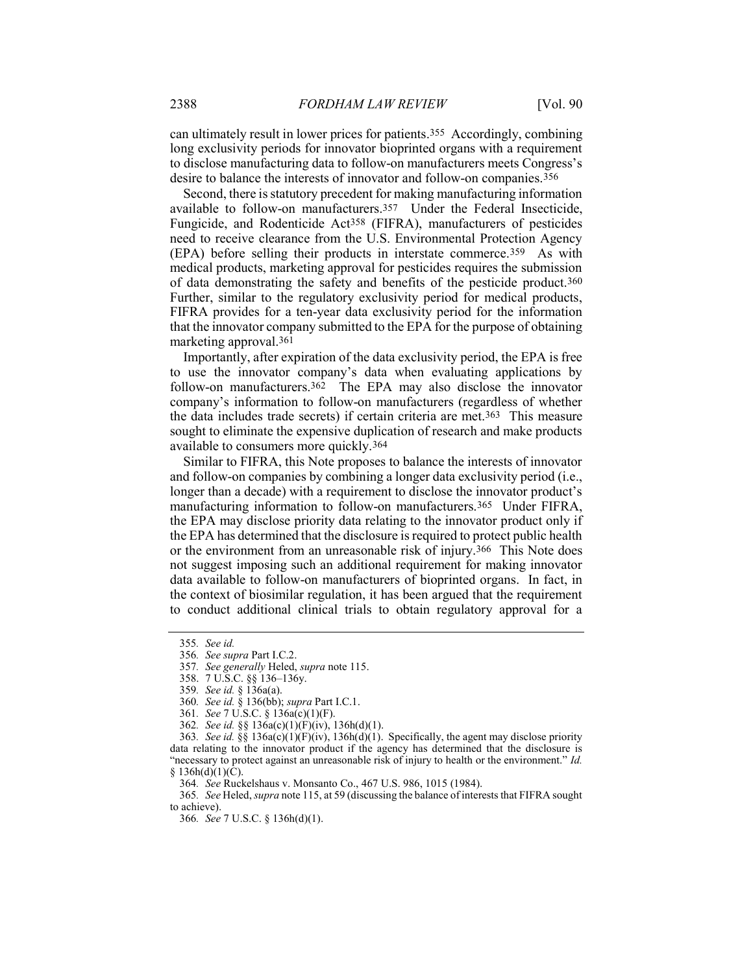can ultimately result in lower prices for patients.355 Accordingly, combining long exclusivity periods for innovator bioprinted organs with a requirement to disclose manufacturing data to follow-on manufacturers meets Congress's desire to balance the interests of innovator and follow-on companies.356

Second, there is statutory precedent for making manufacturing information available to follow-on manufacturers.357 Under the Federal Insecticide, Fungicide, and Rodenticide Act358 (FIFRA), manufacturers of pesticides need to receive clearance from the U.S. Environmental Protection Agency (EPA) before selling their products in interstate commerce.359 As with medical products, marketing approval for pesticides requires the submission of data demonstrating the safety and benefits of the pesticide product.360 Further, similar to the regulatory exclusivity period for medical products, FIFRA provides for a ten-year data exclusivity period for the information that the innovator company submitted to the EPA for the purpose of obtaining marketing approval.361

Importantly, after expiration of the data exclusivity period, the EPA is free to use the innovator company's data when evaluating applications by follow-on manufacturers.<sup>362</sup> The EPA may also disclose the innovator company's information to follow-on manufacturers (regardless of whether the data includes trade secrets) if certain criteria are met.363 This measure sought to eliminate the expensive duplication of research and make products available to consumers more quickly.364

Similar to FIFRA, this Note proposes to balance the interests of innovator and follow-on companies by combining a longer data exclusivity period (i.e., longer than a decade) with a requirement to disclose the innovator product's manufacturing information to follow-on manufacturers.365 Under FIFRA, the EPA may disclose priority data relating to the innovator product only if the EPA has determined that the disclosure is required to protect public health or the environment from an unreasonable risk of injury.366 This Note does not suggest imposing such an additional requirement for making innovator data available to follow-on manufacturers of bioprinted organs. In fact, in the context of biosimilar regulation, it has been argued that the requirement to conduct additional clinical trials to obtain regulatory approval for a

365. See Heled, supra note 115, at 59 (discussing the balance of interests that FIFRA sought to achieve).

366. See 7 U.S.C. § 136h(d)(1).

<sup>355</sup>. See id.

<sup>356</sup>. See supra Part I.C.2.

<sup>357</sup>. See generally Heled, supra note 115.

 <sup>358. 7</sup> U.S.C. §§ 136–136y.

<sup>359</sup>. See id. § 136a(a).

<sup>360</sup>. See id. § 136(bb); supra Part I.C.1.

<sup>361</sup>. See 7 U.S.C. § 136a(c)(1)(F).

<sup>362</sup>. See id. §§ 136a(c)(1)(F)(iv), 136h(d)(1).

<sup>363.</sup> See id. §§ 136a(c)(1)(F)(iv), 136h(d)(1). Specifically, the agent may disclose priority data relating to the innovator product if the agency has determined that the disclosure is "necessary to protect against an unreasonable risk of injury to health or the environment." Id.  $§ 136h(d)(1)(C).$ 

<sup>364</sup>. See Ruckelshaus v. Monsanto Co., 467 U.S. 986, 1015 (1984).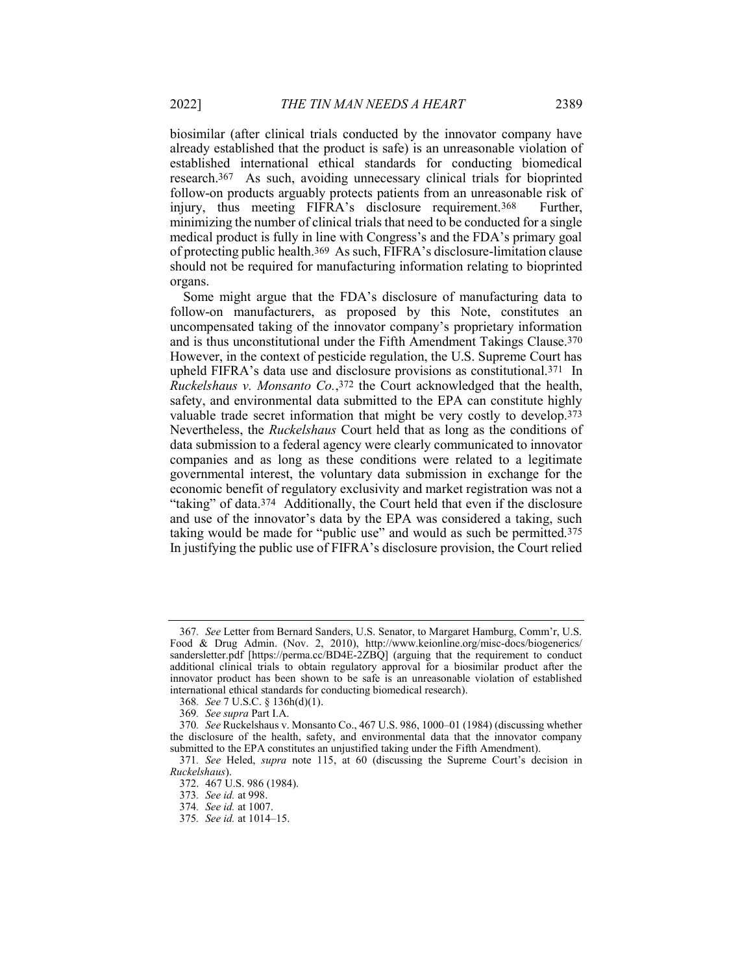biosimilar (after clinical trials conducted by the innovator company have already established that the product is safe) is an unreasonable violation of established international ethical standards for conducting biomedical research.367 As such, avoiding unnecessary clinical trials for bioprinted follow-on products arguably protects patients from an unreasonable risk of injury, thus meeting FIFRA's disclosure requirement.368 Further, minimizing the number of clinical trials that need to be conducted for a single medical product is fully in line with Congress's and the FDA's primary goal of protecting public health.369 As such, FIFRA's disclosure-limitation clause should not be required for manufacturing information relating to bioprinted organs.

Some might argue that the FDA's disclosure of manufacturing data to follow-on manufacturers, as proposed by this Note, constitutes an uncompensated taking of the innovator company's proprietary information and is thus unconstitutional under the Fifth Amendment Takings Clause.370 However, in the context of pesticide regulation, the U.S. Supreme Court has upheld FIFRA's data use and disclosure provisions as constitutional.371 In Ruckelshaus v. Monsanto Co.,372 the Court acknowledged that the health, safety, and environmental data submitted to the EPA can constitute highly valuable trade secret information that might be very costly to develop.373 Nevertheless, the Ruckelshaus Court held that as long as the conditions of data submission to a federal agency were clearly communicated to innovator companies and as long as these conditions were related to a legitimate governmental interest, the voluntary data submission in exchange for the economic benefit of regulatory exclusivity and market registration was not a "taking" of data.374 Additionally, the Court held that even if the disclosure and use of the innovator's data by the EPA was considered a taking, such taking would be made for "public use" and would as such be permitted.<sup>375</sup> In justifying the public use of FIFRA's disclosure provision, the Court relied

<sup>367</sup>. See Letter from Bernard Sanders, U.S. Senator, to Margaret Hamburg, Comm'r, U.S. Food & Drug Admin. (Nov. 2, 2010), http://www.keionline.org/misc-docs/biogenerics/ sandersletter.pdf [https://perma.cc/BD4E-2ZBQ] (arguing that the requirement to conduct additional clinical trials to obtain regulatory approval for a biosimilar product after the innovator product has been shown to be safe is an unreasonable violation of established international ethical standards for conducting biomedical research).

<sup>368</sup>. See 7 U.S.C. § 136h(d)(1).

<sup>369</sup>. See supra Part I.A.

<sup>370</sup>. See Ruckelshaus v. Monsanto Co., 467 U.S. 986, 1000–01 (1984) (discussing whether the disclosure of the health, safety, and environmental data that the innovator company submitted to the EPA constitutes an unjustified taking under the Fifth Amendment).

<sup>371</sup>. See Heled, supra note 115, at 60 (discussing the Supreme Court's decision in Ruckelshaus).

 <sup>372. 467</sup> U.S. 986 (1984).

<sup>373</sup>. See id. at 998.

<sup>374</sup>. See id. at 1007.

<sup>375</sup>. See id. at 1014–15.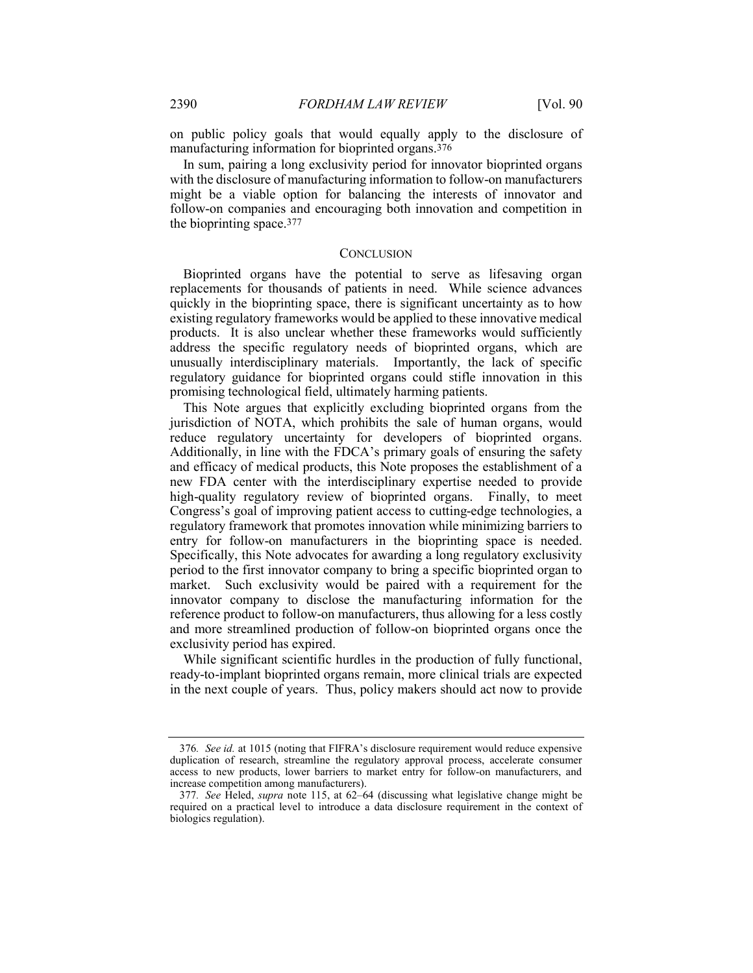on public policy goals that would equally apply to the disclosure of manufacturing information for bioprinted organs.376

In sum, pairing a long exclusivity period for innovator bioprinted organs with the disclosure of manufacturing information to follow-on manufacturers might be a viable option for balancing the interests of innovator and follow-on companies and encouraging both innovation and competition in the bioprinting space.377

#### **CONCLUSION**

Bioprinted organs have the potential to serve as lifesaving organ replacements for thousands of patients in need. While science advances quickly in the bioprinting space, there is significant uncertainty as to how existing regulatory frameworks would be applied to these innovative medical products. It is also unclear whether these frameworks would sufficiently address the specific regulatory needs of bioprinted organs, which are unusually interdisciplinary materials. Importantly, the lack of specific regulatory guidance for bioprinted organs could stifle innovation in this promising technological field, ultimately harming patients.

This Note argues that explicitly excluding bioprinted organs from the jurisdiction of NOTA, which prohibits the sale of human organs, would reduce regulatory uncertainty for developers of bioprinted organs. Additionally, in line with the FDCA's primary goals of ensuring the safety and efficacy of medical products, this Note proposes the establishment of a new FDA center with the interdisciplinary expertise needed to provide high-quality regulatory review of bioprinted organs. Finally, to meet Congress's goal of improving patient access to cutting-edge technologies, a regulatory framework that promotes innovation while minimizing barriers to entry for follow-on manufacturers in the bioprinting space is needed. Specifically, this Note advocates for awarding a long regulatory exclusivity period to the first innovator company to bring a specific bioprinted organ to market. Such exclusivity would be paired with a requirement for the innovator company to disclose the manufacturing information for the reference product to follow-on manufacturers, thus allowing for a less costly and more streamlined production of follow-on bioprinted organs once the exclusivity period has expired.

While significant scientific hurdles in the production of fully functional, ready-to-implant bioprinted organs remain, more clinical trials are expected in the next couple of years. Thus, policy makers should act now to provide

<sup>376.</sup> See id. at 1015 (noting that FIFRA's disclosure requirement would reduce expensive duplication of research, streamline the regulatory approval process, accelerate consumer access to new products, lower barriers to market entry for follow-on manufacturers, and increase competition among manufacturers).

<sup>377</sup>. See Heled, supra note 115, at 62–64 (discussing what legislative change might be required on a practical level to introduce a data disclosure requirement in the context of biologics regulation).